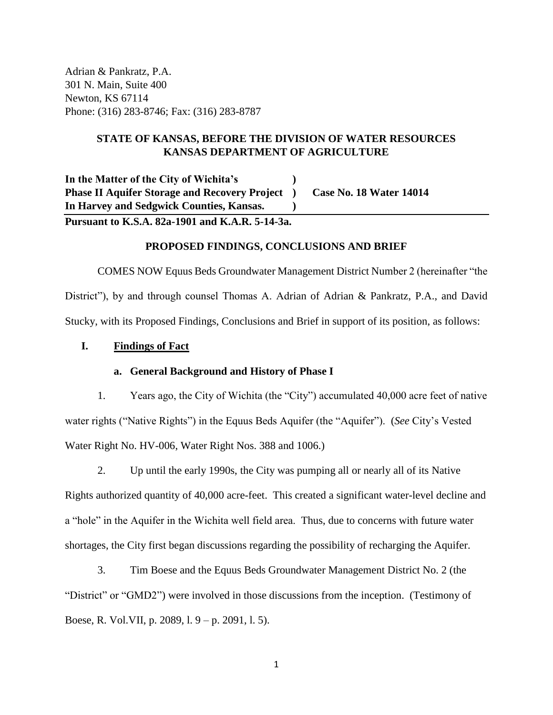Adrian & Pankratz, P.A. 301 N. Main, Suite 400 Newton, KS 67114 Phone: (316) 283-8746; Fax: (316) 283-8787

# **STATE OF KANSAS, BEFORE THE DIVISION OF WATER RESOURCES KANSAS DEPARTMENT OF AGRICULTURE**

**In the Matter of the City of Wichita's ) Phase II Aquifer Storage and Recovery Project ) Case No. 18 Water 14014 In Harvey and Sedgwick Counties, Kansas. )**

**Pursuant to K.S.A. 82a-1901 and K.A.R. 5-14-3a.**

## **PROPOSED FINDINGS, CONCLUSIONS AND BRIEF**

COMES NOW Equus Beds Groundwater Management District Number 2 (hereinafter "the District"), by and through counsel Thomas A. Adrian of Adrian & Pankratz, P.A., and David Stucky, with its Proposed Findings, Conclusions and Brief in support of its position, as follows:

## **I. Findings of Fact**

#### **a. General Background and History of Phase I**

1. Years ago, the City of Wichita (the "City") accumulated 40,000 acre feet of native water rights ("Native Rights") in the Equus Beds Aquifer (the "Aquifer"). (*See* City's Vested Water Right No. HV-006, Water Right Nos. 388 and 1006.)

2. Up until the early 1990s, the City was pumping all or nearly all of its Native Rights authorized quantity of 40,000 acre-feet. This created a significant water-level decline and a "hole" in the Aquifer in the Wichita well field area. Thus, due to concerns with future water shortages, the City first began discussions regarding the possibility of recharging the Aquifer.

3. Tim Boese and the Equus Beds Groundwater Management District No. 2 (the "District" or "GMD2") were involved in those discussions from the inception. (Testimony of Boese, R. Vol.VII, p. 2089, l. 9 – p. 2091, l. 5).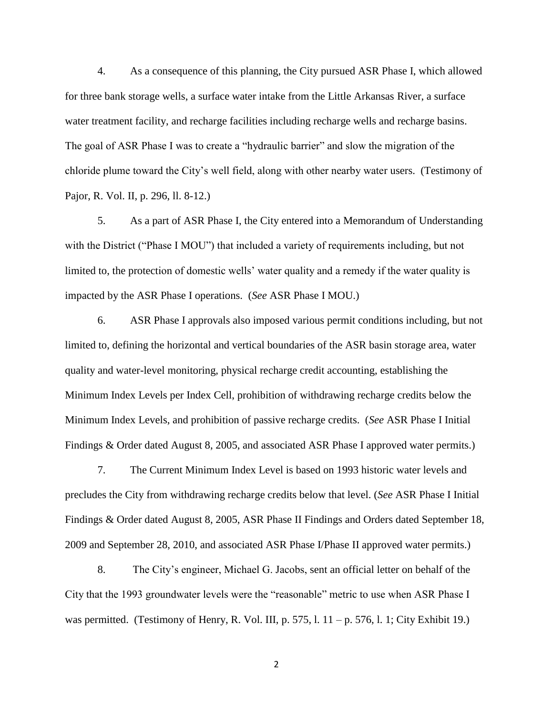4. As a consequence of this planning, the City pursued ASR Phase I, which allowed for three bank storage wells, a surface water intake from the Little Arkansas River, a surface water treatment facility, and recharge facilities including recharge wells and recharge basins. The goal of ASR Phase I was to create a "hydraulic barrier" and slow the migration of the chloride plume toward the City's well field, along with other nearby water users. (Testimony of Pajor, R. Vol. II, p. 296, ll. 8-12.)

5. As a part of ASR Phase I, the City entered into a Memorandum of Understanding with the District ("Phase I MOU") that included a variety of requirements including, but not limited to, the protection of domestic wells' water quality and a remedy if the water quality is impacted by the ASR Phase I operations. (*See* ASR Phase I MOU.)

6. ASR Phase I approvals also imposed various permit conditions including, but not limited to, defining the horizontal and vertical boundaries of the ASR basin storage area, water quality and water-level monitoring, physical recharge credit accounting, establishing the Minimum Index Levels per Index Cell, prohibition of withdrawing recharge credits below the Minimum Index Levels, and prohibition of passive recharge credits. (*See* ASR Phase I Initial Findings & Order dated August 8, 2005, and associated ASR Phase I approved water permits.)

7. The Current Minimum Index Level is based on 1993 historic water levels and precludes the City from withdrawing recharge credits below that level. (*See* ASR Phase I Initial Findings & Order dated August 8, 2005, ASR Phase II Findings and Orders dated September 18, 2009 and September 28, 2010, and associated ASR Phase I/Phase II approved water permits.)

8. The City's engineer, Michael G. Jacobs, sent an official letter on behalf of the City that the 1993 groundwater levels were the "reasonable" metric to use when ASR Phase I was permitted. (Testimony of Henry, R. Vol. III, p. 575, l.  $11 - p$ . 576, l. 1; City Exhibit 19.)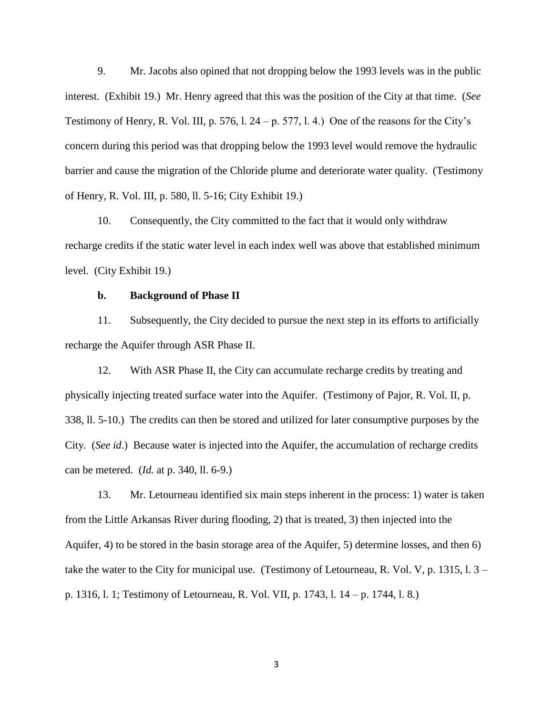9. Mr. Jacobs also opined that not dropping below the 1993 levels was in the public interest. (Exhibit 19.) Mr. Henry agreed that this was the position of the City at that time. (*See* Testimony of Henry, R. Vol. III, p. 576, l. 24 – p. 577, l. 4.) One of the reasons for the City's concern during this period was that dropping below the 1993 level would remove the hydraulic barrier and cause the migration of the Chloride plume and deteriorate water quality. (Testimony of Henry, R. Vol. III, p. 580, ll. 5-16; City Exhibit 19.)

10. Consequently, the City committed to the fact that it would only withdraw recharge credits if the static water level in each index well was above that established minimum level. (City Exhibit 19.)

## **b. Background of Phase II**

11. Subsequently, the City decided to pursue the next step in its efforts to artificially recharge the Aquifer through ASR Phase II.

12. With ASR Phase II, the City can accumulate recharge credits by treating and physically injecting treated surface water into the Aquifer. (Testimony of Pajor, R. Vol. II, p. 338, ll. 5-10.) The credits can then be stored and utilized for later consumptive purposes by the City. (*See id*.) Because water is injected into the Aquifer, the accumulation of recharge credits can be metered. (*Id.* at p. 340, ll. 6-9.)

13. Mr. Letourneau identified six main steps inherent in the process: 1) water is taken from the Little Arkansas River during flooding, 2) that is treated, 3) then injected into the Aquifer, 4) to be stored in the basin storage area of the Aquifer, 5) determine losses, and then 6) take the water to the City for municipal use. (Testimony of Letourneau, R. Vol. V, p. 1315, l. 3 – p. 1316, l. 1; Testimony of Letourneau, R. Vol. VII, p. 1743, l. 14 – p. 1744, l. 8.)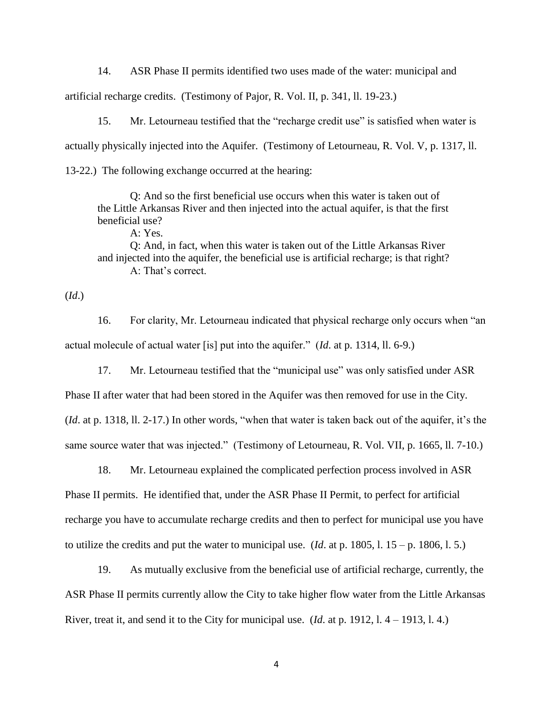14. ASR Phase II permits identified two uses made of the water: municipal and artificial recharge credits. (Testimony of Pajor, R. Vol. II, p. 341, ll. 19-23.)

15. Mr. Letourneau testified that the "recharge credit use" is satisfied when water is actually physically injected into the Aquifer. (Testimony of Letourneau, R. Vol. V, p. 1317, ll. 13-22.) The following exchange occurred at the hearing:

Q: And so the first beneficial use occurs when this water is taken out of the Little Arkansas River and then injected into the actual aquifer, is that the first beneficial use?

A: Yes. Q: And, in fact, when this water is taken out of the Little Arkansas River and injected into the aquifer, the beneficial use is artificial recharge; is that right? A: That's correct.

(*Id*.)

16. For clarity, Mr. Letourneau indicated that physical recharge only occurs when "an actual molecule of actual water [is] put into the aquifer." (*Id*. at p. 1314, ll. 6-9.)

17. Mr. Letourneau testified that the "municipal use" was only satisfied under ASR

Phase II after water that had been stored in the Aquifer was then removed for use in the City. (*Id*. at p. 1318, ll. 2-17.) In other words, "when that water is taken back out of the aquifer, it's the same source water that was injected." (Testimony of Letourneau, R. Vol. VII, p. 1665, ll. 7-10.)

18. Mr. Letourneau explained the complicated perfection process involved in ASR Phase II permits. He identified that, under the ASR Phase II Permit, to perfect for artificial recharge you have to accumulate recharge credits and then to perfect for municipal use you have to utilize the credits and put the water to municipal use. (*Id*. at p. 1805, l. 15 – p. 1806, l. 5.)

19. As mutually exclusive from the beneficial use of artificial recharge, currently, the ASR Phase II permits currently allow the City to take higher flow water from the Little Arkansas River, treat it, and send it to the City for municipal use. (*Id*. at p. 1912, l. 4 – 1913, l. 4.)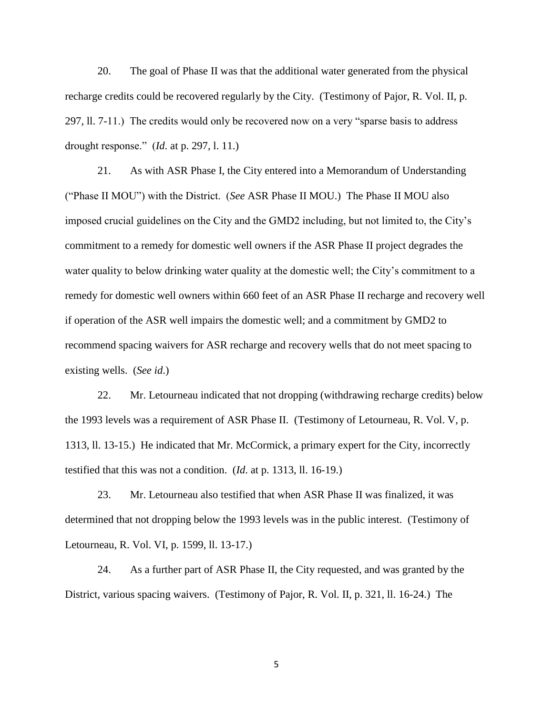20. The goal of Phase II was that the additional water generated from the physical recharge credits could be recovered regularly by the City. (Testimony of Pajor, R. Vol. II, p. 297, ll. 7-11.) The credits would only be recovered now on a very "sparse basis to address drought response." (*Id*. at p. 297, l. 11.)

21. As with ASR Phase I, the City entered into a Memorandum of Understanding ("Phase II MOU") with the District. (*See* ASR Phase II MOU.) The Phase II MOU also imposed crucial guidelines on the City and the GMD2 including, but not limited to, the City's commitment to a remedy for domestic well owners if the ASR Phase II project degrades the water quality to below drinking water quality at the domestic well; the City's commitment to a remedy for domestic well owners within 660 feet of an ASR Phase II recharge and recovery well if operation of the ASR well impairs the domestic well; and a commitment by GMD2 to recommend spacing waivers for ASR recharge and recovery wells that do not meet spacing to existing wells. (*See id*.)

22. Mr. Letourneau indicated that not dropping (withdrawing recharge credits) below the 1993 levels was a requirement of ASR Phase II. (Testimony of Letourneau, R. Vol. V, p. 1313, ll. 13-15.) He indicated that Mr. McCormick, a primary expert for the City, incorrectly testified that this was not a condition. (*Id*. at p. 1313, ll. 16-19.)

23. Mr. Letourneau also testified that when ASR Phase II was finalized, it was determined that not dropping below the 1993 levels was in the public interest. (Testimony of Letourneau, R. Vol. VI, p. 1599, ll. 13-17.)

24. As a further part of ASR Phase II, the City requested, and was granted by the District, various spacing waivers. (Testimony of Pajor, R. Vol. II, p. 321, ll. 16-24.) The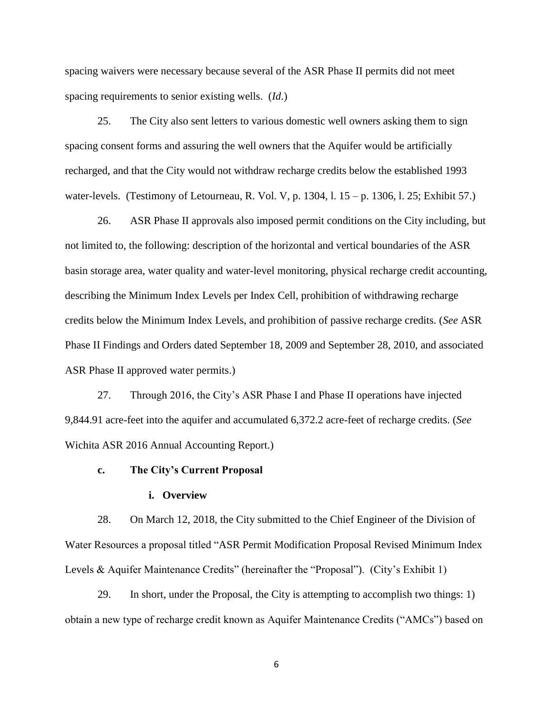spacing waivers were necessary because several of the ASR Phase II permits did not meet spacing requirements to senior existing wells. (*Id*.)

25. The City also sent letters to various domestic well owners asking them to sign spacing consent forms and assuring the well owners that the Aquifer would be artificially recharged, and that the City would not withdraw recharge credits below the established 1993 water-levels. (Testimony of Letourneau, R. Vol. V, p. 1304, l. 15 – p. 1306, l. 25; Exhibit 57.)

26. ASR Phase II approvals also imposed permit conditions on the City including, but not limited to, the following: description of the horizontal and vertical boundaries of the ASR basin storage area, water quality and water-level monitoring, physical recharge credit accounting, describing the Minimum Index Levels per Index Cell, prohibition of withdrawing recharge credits below the Minimum Index Levels, and prohibition of passive recharge credits. (*See* ASR Phase II Findings and Orders dated September 18, 2009 and September 28, 2010, and associated ASR Phase II approved water permits.)

27. Through 2016, the City's ASR Phase I and Phase II operations have injected 9,844.91 acre-feet into the aquifer and accumulated 6,372.2 acre-feet of recharge credits. (*See* Wichita ASR 2016 Annual Accounting Report.)

## **c. The City's Current Proposal**

#### **i. Overview**

28. On March 12, 2018, the City submitted to the Chief Engineer of the Division of Water Resources a proposal titled "ASR Permit Modification Proposal Revised Minimum Index Levels & Aquifer Maintenance Credits" (hereinafter the "Proposal"). (City's Exhibit 1)

29. In short, under the Proposal, the City is attempting to accomplish two things: 1) obtain a new type of recharge credit known as Aquifer Maintenance Credits ("AMCs") based on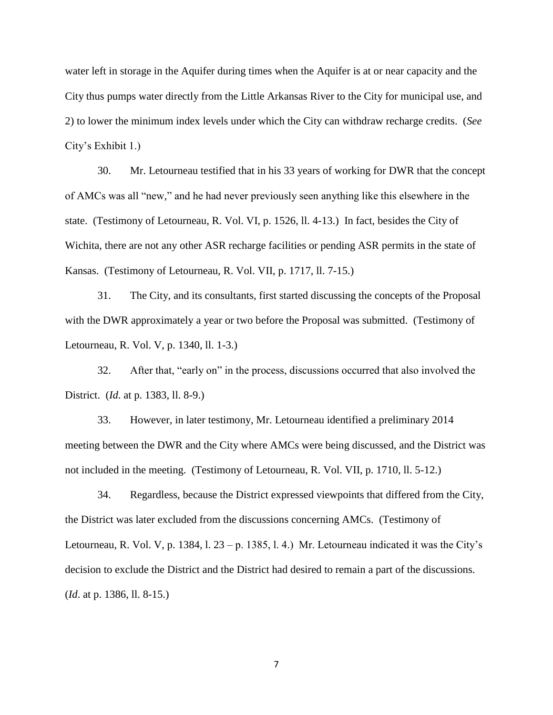water left in storage in the Aquifer during times when the Aquifer is at or near capacity and the City thus pumps water directly from the Little Arkansas River to the City for municipal use, and 2) to lower the minimum index levels under which the City can withdraw recharge credits. (*See*  City's Exhibit 1.)

30. Mr. Letourneau testified that in his 33 years of working for DWR that the concept of AMCs was all "new," and he had never previously seen anything like this elsewhere in the state. (Testimony of Letourneau, R. Vol. VI, p. 1526, ll. 4-13.) In fact, besides the City of Wichita, there are not any other ASR recharge facilities or pending ASR permits in the state of Kansas. (Testimony of Letourneau, R. Vol. VII, p. 1717, ll. 7-15.)

31. The City, and its consultants, first started discussing the concepts of the Proposal with the DWR approximately a year or two before the Proposal was submitted. (Testimony of Letourneau, R. Vol. V, p. 1340, ll. 1-3.)

32. After that, "early on" in the process, discussions occurred that also involved the District. (*Id*. at p. 1383, ll. 8-9.)

33. However, in later testimony, Mr. Letourneau identified a preliminary 2014 meeting between the DWR and the City where AMCs were being discussed, and the District was not included in the meeting. (Testimony of Letourneau, R. Vol. VII, p. 1710, ll. 5-12.)

34. Regardless, because the District expressed viewpoints that differed from the City, the District was later excluded from the discussions concerning AMCs. (Testimony of Letourneau, R. Vol. V, p. 1384, l.  $23 - p$ . 1385, l. 4.) Mr. Letourneau indicated it was the City's decision to exclude the District and the District had desired to remain a part of the discussions. (*Id*. at p. 1386, ll. 8-15.)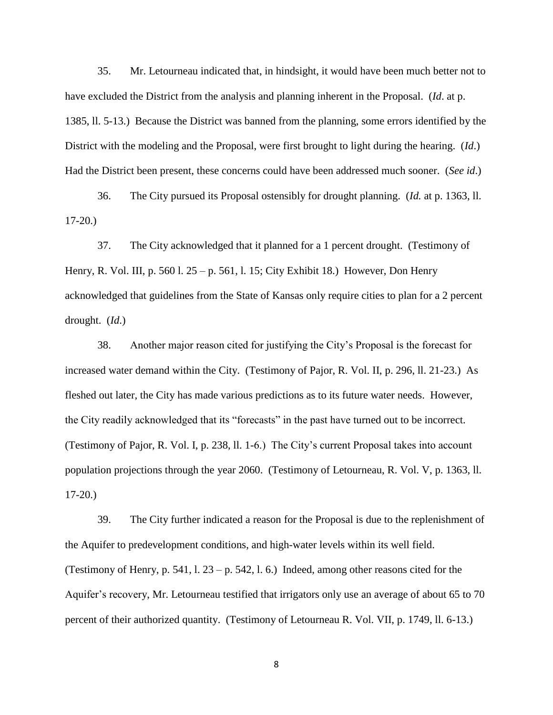35. Mr. Letourneau indicated that, in hindsight, it would have been much better not to have excluded the District from the analysis and planning inherent in the Proposal. (*Id*. at p. 1385, ll. 5-13.) Because the District was banned from the planning, some errors identified by the District with the modeling and the Proposal, were first brought to light during the hearing. (*Id*.) Had the District been present, these concerns could have been addressed much sooner. (*See id*.)

36. The City pursued its Proposal ostensibly for drought planning. (*Id.* at p. 1363, ll. 17-20.)

37. The City acknowledged that it planned for a 1 percent drought. (Testimony of Henry, R. Vol. III, p. 560 l. 25 – p. 561, l. 15; City Exhibit 18.) However, Don Henry acknowledged that guidelines from the State of Kansas only require cities to plan for a 2 percent drought. (*Id*.)

38. Another major reason cited for justifying the City's Proposal is the forecast for increased water demand within the City. (Testimony of Pajor, R. Vol. II, p. 296, ll. 21-23.) As fleshed out later, the City has made various predictions as to its future water needs. However, the City readily acknowledged that its "forecasts" in the past have turned out to be incorrect. (Testimony of Pajor, R. Vol. I, p. 238, ll. 1-6.) The City's current Proposal takes into account population projections through the year 2060. (Testimony of Letourneau, R. Vol. V, p. 1363, ll. 17-20.)

39. The City further indicated a reason for the Proposal is due to the replenishment of the Aquifer to predevelopment conditions, and high-water levels within its well field. (Testimony of Henry, p. 541, l.  $23 - p. 542$ , l. 6.) Indeed, among other reasons cited for the Aquifer's recovery, Mr. Letourneau testified that irrigators only use an average of about 65 to 70 percent of their authorized quantity. (Testimony of Letourneau R. Vol. VII, p. 1749, ll. 6-13.)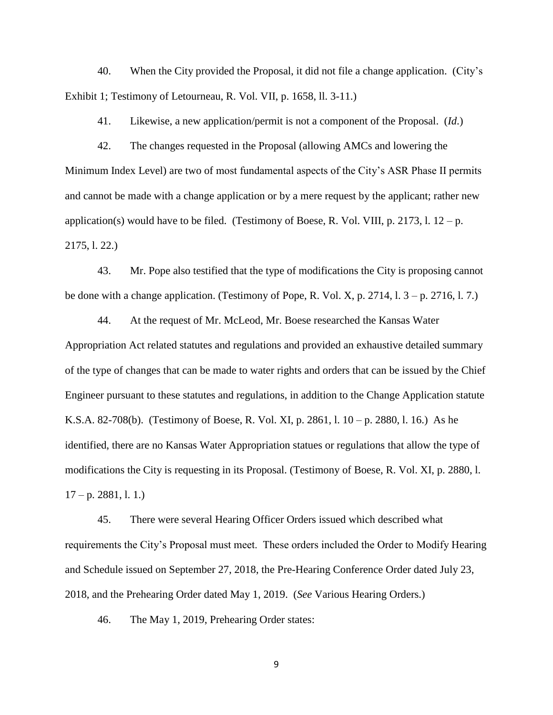40. When the City provided the Proposal, it did not file a change application. (City's Exhibit 1; Testimony of Letourneau, R. Vol. VII, p. 1658, ll. 3-11.)

41. Likewise, a new application/permit is not a component of the Proposal. (*Id*.)

42. The changes requested in the Proposal (allowing AMCs and lowering the Minimum Index Level) are two of most fundamental aspects of the City's ASR Phase II permits and cannot be made with a change application or by a mere request by the applicant; rather new application(s) would have to be filed. (Testimony of Boese, R. Vol. VIII, p. 2173, l.  $12 - p$ . 2175, l. 22.)

43. Mr. Pope also testified that the type of modifications the City is proposing cannot be done with a change application. (Testimony of Pope, R. Vol. X, p. 2714, l. 3 – p. 2716, l. 7.)

44. At the request of Mr. McLeod, Mr. Boese researched the Kansas Water Appropriation Act related statutes and regulations and provided an exhaustive detailed summary of the type of changes that can be made to water rights and orders that can be issued by the Chief Engineer pursuant to these statutes and regulations, in addition to the Change Application statute K.S.A. 82-708(b). (Testimony of Boese, R. Vol. XI, p. 2861, l. 10 – p. 2880, l. 16.) As he identified, there are no Kansas Water Appropriation statues or regulations that allow the type of modifications the City is requesting in its Proposal. (Testimony of Boese, R. Vol. XI, p. 2880, l.  $17 - p. 2881, 1.1.$ 

45. There were several Hearing Officer Orders issued which described what requirements the City's Proposal must meet. These orders included the Order to Modify Hearing and Schedule issued on September 27, 2018, the Pre-Hearing Conference Order dated July 23, 2018, and the Prehearing Order dated May 1, 2019. (*See* Various Hearing Orders.)

46. The May 1, 2019, Prehearing Order states: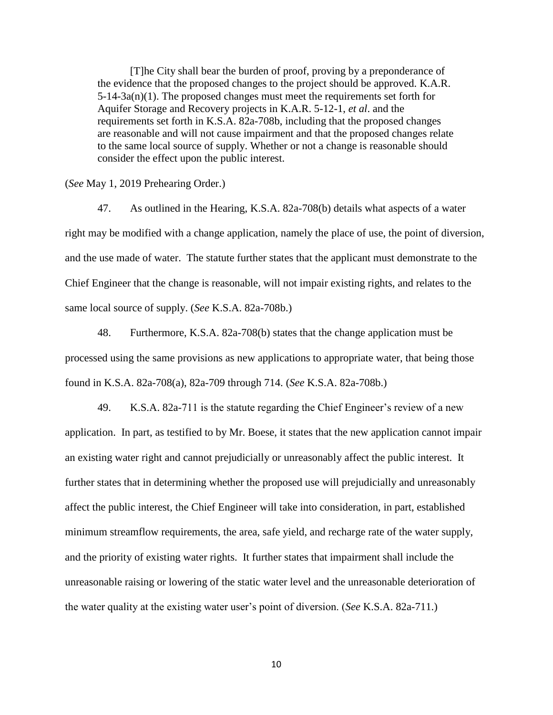[T]he City shall bear the burden of proof, proving by a preponderance of the evidence that the proposed changes to the project should be approved. K.A.R.  $5-14-3a(n)(1)$ . The proposed changes must meet the requirements set forth for Aquifer Storage and Recovery projects in K.A.R. 5-12-1, *et al*. and the requirements set forth in K.S.A. 82a-708b, including that the proposed changes are reasonable and will not cause impairment and that the proposed changes relate to the same local source of supply. Whether or not a change is reasonable should consider the effect upon the public interest.

(*See* May 1, 2019 Prehearing Order.)

47. As outlined in the Hearing, K.S.A. 82a-708(b) details what aspects of a water right may be modified with a change application, namely the place of use, the point of diversion, and the use made of water. The statute further states that the applicant must demonstrate to the Chief Engineer that the change is reasonable, will not impair existing rights, and relates to the same local source of supply. (*See* K.S.A. 82a-708b.)

48. Furthermore, K.S.A. 82a-708(b) states that the change application must be processed using the same provisions as new applications to appropriate water, that being those found in K.S.A. 82a-708(a), 82a-709 through 714. (*See* K.S.A. 82a-708b.)

49. K.S.A. 82a-711 is the statute regarding the Chief Engineer's review of a new application. In part, as testified to by Mr. Boese, it states that the new application cannot impair an existing water right and cannot prejudicially or unreasonably affect the public interest. It further states that in determining whether the proposed use will prejudicially and unreasonably affect the public interest, the Chief Engineer will take into consideration, in part, established minimum streamflow requirements, the area, safe yield, and recharge rate of the water supply, and the priority of existing water rights. It further states that impairment shall include the unreasonable raising or lowering of the static water level and the unreasonable deterioration of the water quality at the existing water user's point of diversion. (*See* K.S.A. 82a-711.)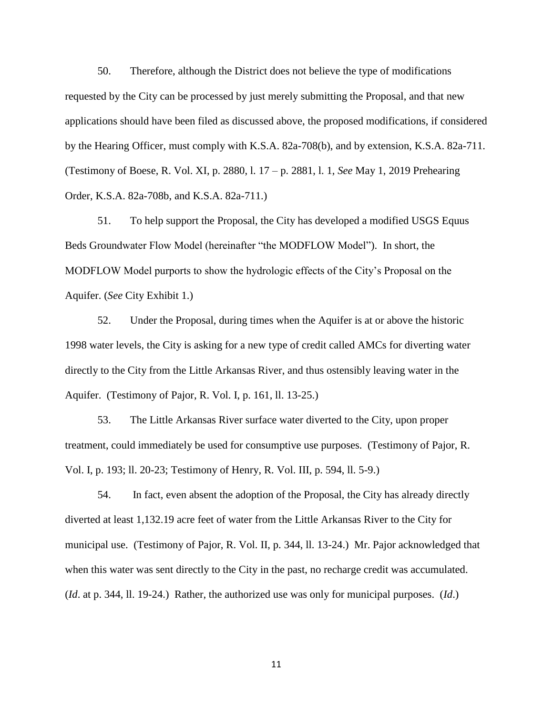50. Therefore, although the District does not believe the type of modifications requested by the City can be processed by just merely submitting the Proposal, and that new applications should have been filed as discussed above, the proposed modifications, if considered by the Hearing Officer, must comply with K.S.A. 82a-708(b), and by extension, K.S.A. 82a-711. (Testimony of Boese, R. Vol. XI, p. 2880, l. 17 – p. 2881, l. 1, *See* May 1, 2019 Prehearing Order, K.S.A. 82a-708b, and K.S.A. 82a-711.)

51. To help support the Proposal, the City has developed a modified USGS Equus Beds Groundwater Flow Model (hereinafter "the MODFLOW Model"). In short, the MODFLOW Model purports to show the hydrologic effects of the City's Proposal on the Aquifer. (*See* City Exhibit 1.)

52. Under the Proposal, during times when the Aquifer is at or above the historic 1998 water levels, the City is asking for a new type of credit called AMCs for diverting water directly to the City from the Little Arkansas River, and thus ostensibly leaving water in the Aquifer. (Testimony of Pajor, R. Vol. I, p. 161, ll. 13-25.)

53. The Little Arkansas River surface water diverted to the City, upon proper treatment, could immediately be used for consumptive use purposes. (Testimony of Pajor, R. Vol. I, p. 193; ll. 20-23; Testimony of Henry, R. Vol. III, p. 594, ll. 5-9.)

54. In fact, even absent the adoption of the Proposal, the City has already directly diverted at least 1,132.19 acre feet of water from the Little Arkansas River to the City for municipal use. (Testimony of Pajor, R. Vol. II, p. 344, ll. 13-24.) Mr. Pajor acknowledged that when this water was sent directly to the City in the past, no recharge credit was accumulated. (*Id*. at p. 344, ll. 19-24.) Rather, the authorized use was only for municipal purposes. (*Id*.)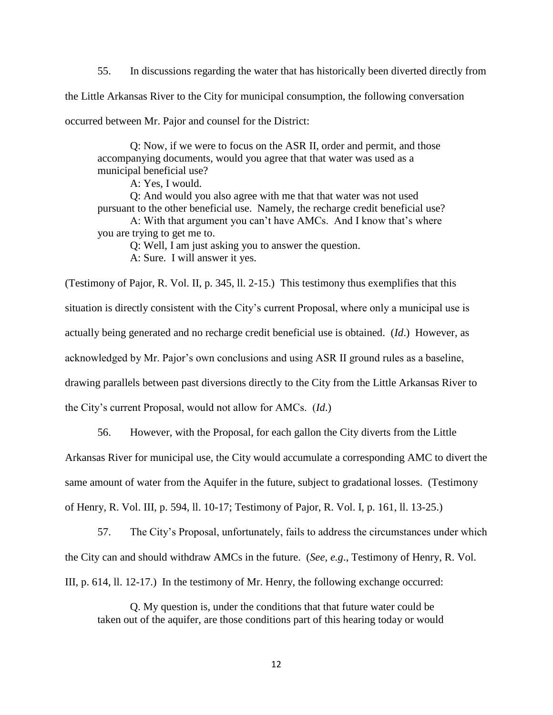55. In discussions regarding the water that has historically been diverted directly from the Little Arkansas River to the City for municipal consumption, the following conversation occurred between Mr. Pajor and counsel for the District:

Q: Now, if we were to focus on the ASR II, order and permit, and those accompanying documents, would you agree that that water was used as a municipal beneficial use?

A: Yes, I would.

Q: And would you also agree with me that that water was not used pursuant to the other beneficial use. Namely, the recharge credit beneficial use? A: With that argument you can't have AMCs. And I know that's where you are trying to get me to.

Q: Well, I am just asking you to answer the question.

A: Sure. I will answer it yes.

(Testimony of Pajor, R. Vol. II, p. 345, ll. 2-15.) This testimony thus exemplifies that this situation is directly consistent with the City's current Proposal, where only a municipal use is actually being generated and no recharge credit beneficial use is obtained. (*Id*.) However, as acknowledged by Mr. Pajor's own conclusions and using ASR II ground rules as a baseline, drawing parallels between past diversions directly to the City from the Little Arkansas River to the City's current Proposal, would not allow for AMCs. (*Id*.)

56. However, with the Proposal, for each gallon the City diverts from the Little

Arkansas River for municipal use, the City would accumulate a corresponding AMC to divert the same amount of water from the Aquifer in the future, subject to gradational losses. (Testimony of Henry, R. Vol. III, p. 594, ll. 10-17; Testimony of Pajor, R. Vol. I, p. 161, ll. 13-25.)

57. The City's Proposal, unfortunately, fails to address the circumstances under which the City can and should withdraw AMCs in the future. (*See, e.g*., Testimony of Henry, R. Vol. III, p. 614, ll. 12-17.) In the testimony of Mr. Henry, the following exchange occurred:

Q. My question is, under the conditions that that future water could be taken out of the aquifer, are those conditions part of this hearing today or would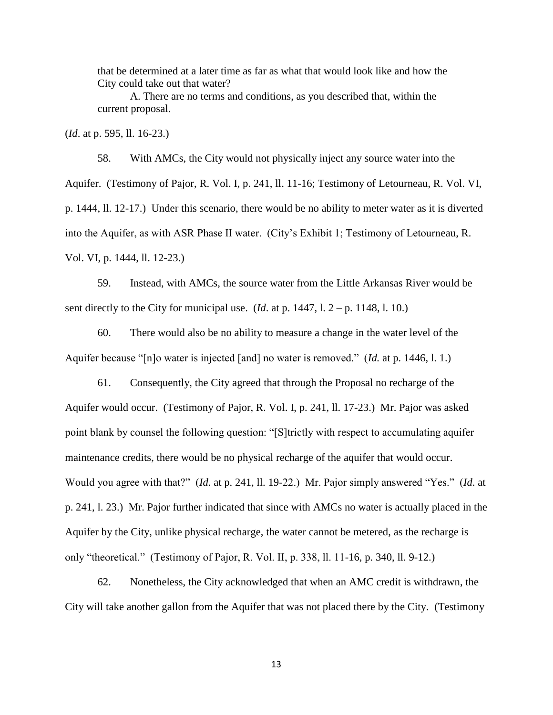that be determined at a later time as far as what that would look like and how the City could take out that water?

A. There are no terms and conditions, as you described that, within the current proposal.

(*Id*. at p. 595, ll. 16-23.)

58. With AMCs, the City would not physically inject any source water into the Aquifer. (Testimony of Pajor, R. Vol. I, p. 241, ll. 11-16; Testimony of Letourneau, R. Vol. VI, p. 1444, ll. 12-17.) Under this scenario, there would be no ability to meter water as it is diverted into the Aquifer, as with ASR Phase II water. (City's Exhibit 1; Testimony of Letourneau, R. Vol. VI, p. 1444, ll. 12-23.)

59. Instead, with AMCs, the source water from the Little Arkansas River would be sent directly to the City for municipal use. (*Id.* at p. 1447,  $1. 2 - p. 1148$ ,  $1. 10$ .)

60. There would also be no ability to measure a change in the water level of the Aquifer because "[n]o water is injected [and] no water is removed." (*Id.* at p. 1446, l. 1.)

61. Consequently, the City agreed that through the Proposal no recharge of the Aquifer would occur. (Testimony of Pajor, R. Vol. I, p. 241, ll. 17-23.) Mr. Pajor was asked point blank by counsel the following question: "[S]trictly with respect to accumulating aquifer maintenance credits, there would be no physical recharge of the aquifer that would occur. Would you agree with that?" (*Id*. at p. 241, ll. 19-22.) Mr. Pajor simply answered "Yes." (*Id*. at p. 241, l. 23.) Mr. Pajor further indicated that since with AMCs no water is actually placed in the Aquifer by the City, unlike physical recharge, the water cannot be metered, as the recharge is only "theoretical." (Testimony of Pajor, R. Vol. II, p. 338, ll. 11-16, p. 340, ll. 9-12.)

62. Nonetheless, the City acknowledged that when an AMC credit is withdrawn, the City will take another gallon from the Aquifer that was not placed there by the City. (Testimony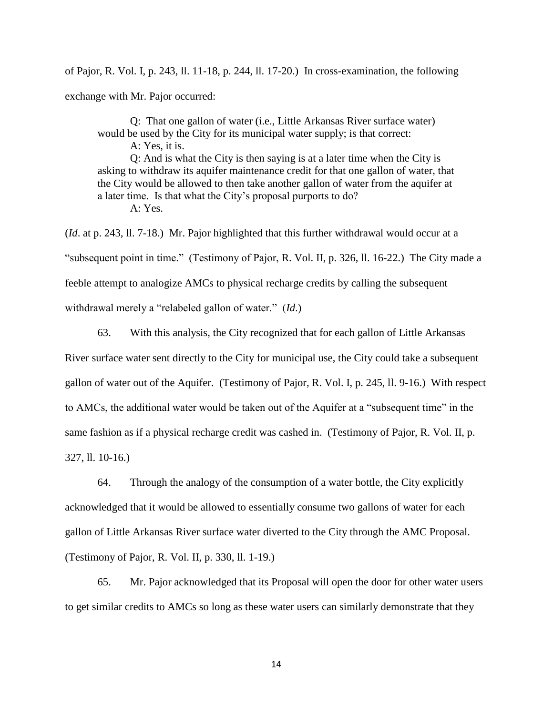of Pajor, R. Vol. I, p. 243, ll. 11-18, p. 244, ll. 17-20.) In cross-examination, the following exchange with Mr. Pajor occurred:

Q: That one gallon of water (i.e., Little Arkansas River surface water) would be used by the City for its municipal water supply; is that correct: A: Yes, it is. Q: And is what the City is then saying is at a later time when the City is asking to withdraw its aquifer maintenance credit for that one gallon of water, that the City would be allowed to then take another gallon of water from the aquifer at a later time. Is that what the City's proposal purports to do? A: Yes.

(*Id*. at p. 243, ll. 7-18.) Mr. Pajor highlighted that this further withdrawal would occur at a "subsequent point in time." (Testimony of Pajor, R. Vol. II, p. 326, ll. 16-22.) The City made a feeble attempt to analogize AMCs to physical recharge credits by calling the subsequent withdrawal merely a "relabeled gallon of water." (*Id*.)

63. With this analysis, the City recognized that for each gallon of Little Arkansas River surface water sent directly to the City for municipal use, the City could take a subsequent gallon of water out of the Aquifer. (Testimony of Pajor, R. Vol. I, p. 245, ll. 9-16.) With respect to AMCs, the additional water would be taken out of the Aquifer at a "subsequent time" in the same fashion as if a physical recharge credit was cashed in. (Testimony of Pajor, R. Vol. II, p. 327, ll. 10-16.)

64. Through the analogy of the consumption of a water bottle, the City explicitly acknowledged that it would be allowed to essentially consume two gallons of water for each gallon of Little Arkansas River surface water diverted to the City through the AMC Proposal. (Testimony of Pajor, R. Vol. II, p. 330, ll. 1-19.)

65. Mr. Pajor acknowledged that its Proposal will open the door for other water users to get similar credits to AMCs so long as these water users can similarly demonstrate that they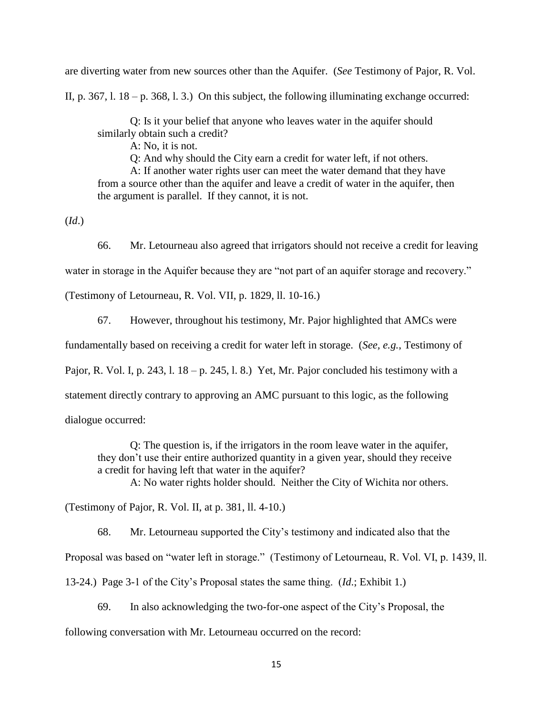are diverting water from new sources other than the Aquifer. (*See* Testimony of Pajor, R. Vol.

II, p. 367, l.  $18 - p$ . 368, l. 3.) On this subject, the following illuminating exchange occurred:

Q: Is it your belief that anyone who leaves water in the aquifer should similarly obtain such a credit?

A: No, it is not.

Q: And why should the City earn a credit for water left, if not others.

A: If another water rights user can meet the water demand that they have from a source other than the aquifer and leave a credit of water in the aquifer, then the argument is parallel. If they cannot, it is not.

(*Id*.)

66. Mr. Letourneau also agreed that irrigators should not receive a credit for leaving

water in storage in the Aquifer because they are "not part of an aquifer storage and recovery."

(Testimony of Letourneau, R. Vol. VII, p. 1829, ll. 10-16.)

67. However, throughout his testimony, Mr. Pajor highlighted that AMCs were

fundamentally based on receiving a credit for water left in storage. (*See, e.g.*, Testimony of

Pajor, R. Vol. I, p. 243, l.  $18 - p$ . 245, l. 8.) Yet, Mr. Pajor concluded his testimony with a

statement directly contrary to approving an AMC pursuant to this logic, as the following

dialogue occurred:

Q: The question is, if the irrigators in the room leave water in the aquifer, they don't use their entire authorized quantity in a given year, should they receive a credit for having left that water in the aquifer?

A: No water rights holder should. Neither the City of Wichita nor others.

(Testimony of Pajor, R. Vol. II, at p. 381, ll. 4-10.)

68. Mr. Letourneau supported the City's testimony and indicated also that the

Proposal was based on "water left in storage." (Testimony of Letourneau, R. Vol. VI, p. 1439, ll.

13-24.) Page 3-1 of the City's Proposal states the same thing. (*Id*.; Exhibit 1.)

69. In also acknowledging the two-for-one aspect of the City's Proposal, the

following conversation with Mr. Letourneau occurred on the record: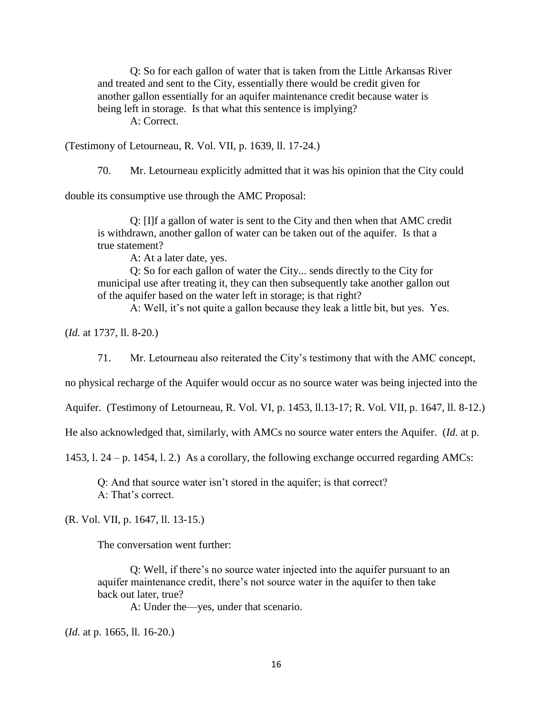Q: So for each gallon of water that is taken from the Little Arkansas River and treated and sent to the City, essentially there would be credit given for another gallon essentially for an aquifer maintenance credit because water is being left in storage. Is that what this sentence is implying? A: Correct.

(Testimony of Letourneau, R. Vol. VII, p. 1639, ll. 17-24.)

70. Mr. Letourneau explicitly admitted that it was his opinion that the City could

double its consumptive use through the AMC Proposal:

Q: [I]f a gallon of water is sent to the City and then when that AMC credit is withdrawn, another gallon of water can be taken out of the aquifer. Is that a true statement?

A: At a later date, yes.

Q: So for each gallon of water the City... sends directly to the City for municipal use after treating it, they can then subsequently take another gallon out of the aquifer based on the water left in storage; is that right?

A: Well, it's not quite a gallon because they leak a little bit, but yes. Yes.

(*Id.* at 1737, ll. 8-20.)

71. Mr. Letourneau also reiterated the City's testimony that with the AMC concept,

no physical recharge of the Aquifer would occur as no source water was being injected into the

Aquifer. (Testimony of Letourneau, R. Vol. VI, p. 1453, ll.13-17; R. Vol. VII, p. 1647, ll. 8-12.)

He also acknowledged that, similarly, with AMCs no source water enters the Aquifer. (*Id.* at p.

1453, l. 24 – p. 1454, l. 2.) As a corollary, the following exchange occurred regarding AMCs:

Q: And that source water isn't stored in the aquifer; is that correct? A: That's correct.

(R. Vol. VII, p. 1647, ll. 13-15.)

The conversation went further:

Q: Well, if there's no source water injected into the aquifer pursuant to an aquifer maintenance credit, there's not source water in the aquifer to then take back out later, true?

A: Under the—yes, under that scenario.

(*Id.* at p. 1665, ll. 16-20.)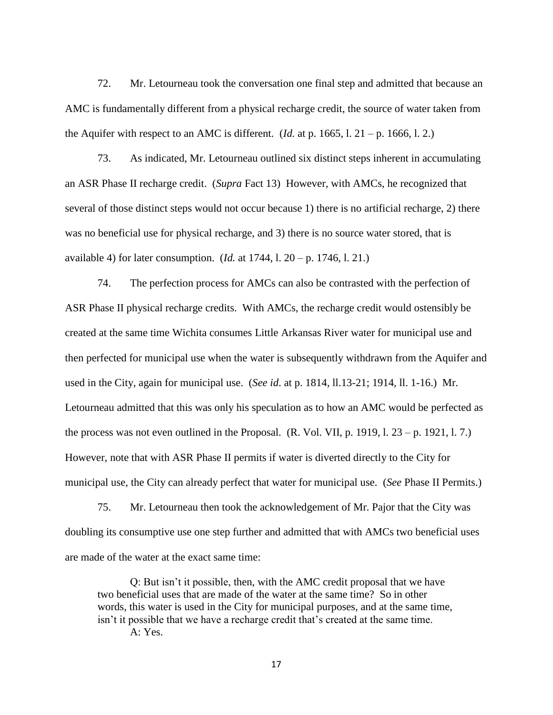72. Mr. Letourneau took the conversation one final step and admitted that because an AMC is fundamentally different from a physical recharge credit, the source of water taken from the Aquifer with respect to an AMC is different. (*Id.* at p. 1665, l.  $21 - p$ . 1666, l. 2.)

73. As indicated, Mr. Letourneau outlined six distinct steps inherent in accumulating an ASR Phase II recharge credit. (*Supra* Fact 13) However, with AMCs, he recognized that several of those distinct steps would not occur because 1) there is no artificial recharge, 2) there was no beneficial use for physical recharge, and 3) there is no source water stored, that is available 4) for later consumption. (*Id.* at 1744, l. 20 – p. 1746, l. 21.)

74. The perfection process for AMCs can also be contrasted with the perfection of ASR Phase II physical recharge credits. With AMCs, the recharge credit would ostensibly be created at the same time Wichita consumes Little Arkansas River water for municipal use and then perfected for municipal use when the water is subsequently withdrawn from the Aquifer and used in the City, again for municipal use. (*See id*. at p. 1814, ll.13-21; 1914, ll. 1-16.) Mr. Letourneau admitted that this was only his speculation as to how an AMC would be perfected as the process was not even outlined in the Proposal. (R. Vol. VII, p. 1919, l.  $23 - p$ . 1921, l. 7.) However, note that with ASR Phase II permits if water is diverted directly to the City for municipal use, the City can already perfect that water for municipal use. (*See* Phase II Permits.)

75. Mr. Letourneau then took the acknowledgement of Mr. Pajor that the City was doubling its consumptive use one step further and admitted that with AMCs two beneficial uses are made of the water at the exact same time:

Q: But isn't it possible, then, with the AMC credit proposal that we have two beneficial uses that are made of the water at the same time? So in other words, this water is used in the City for municipal purposes, and at the same time, isn't it possible that we have a recharge credit that's created at the same time. A: Yes.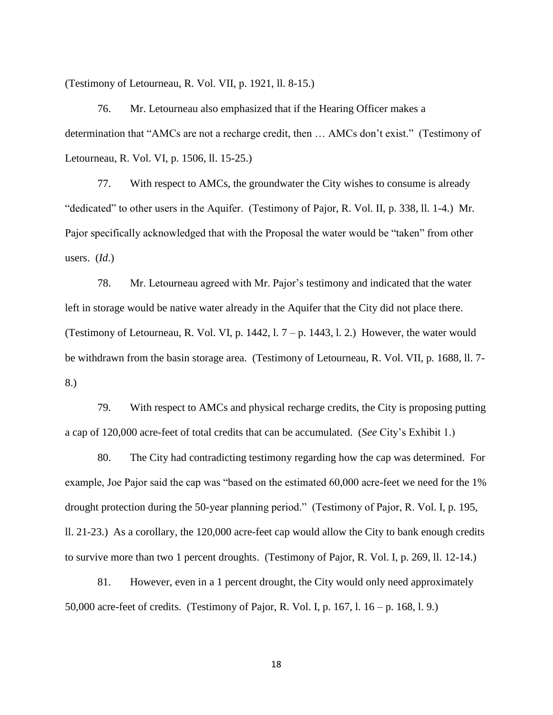(Testimony of Letourneau, R. Vol. VII, p. 1921, ll. 8-15.)

76. Mr. Letourneau also emphasized that if the Hearing Officer makes a determination that "AMCs are not a recharge credit, then … AMCs don't exist." (Testimony of Letourneau, R. Vol. VI, p. 1506, ll. 15-25.)

77. With respect to AMCs, the groundwater the City wishes to consume is already "dedicated" to other users in the Aquifer. (Testimony of Pajor, R. Vol. II, p. 338, ll. 1-4.) Mr. Pajor specifically acknowledged that with the Proposal the water would be "taken" from other users. (*Id*.)

78. Mr. Letourneau agreed with Mr. Pajor's testimony and indicated that the water left in storage would be native water already in the Aquifer that the City did not place there. (Testimony of Letourneau, R. Vol. VI, p. 1442,  $1.7 - p.$  1443,  $1.2$ .) However, the water would be withdrawn from the basin storage area. (Testimony of Letourneau, R. Vol. VII, p. 1688, ll. 7- 8.)

79. With respect to AMCs and physical recharge credits, the City is proposing putting a cap of 120,000 acre-feet of total credits that can be accumulated. (*See* City's Exhibit 1.)

80. The City had contradicting testimony regarding how the cap was determined. For example, Joe Pajor said the cap was "based on the estimated 60,000 acre-feet we need for the 1% drought protection during the 50-year planning period." (Testimony of Pajor, R. Vol. I, p. 195, ll. 21-23.) As a corollary, the 120,000 acre-feet cap would allow the City to bank enough credits to survive more than two 1 percent droughts. (Testimony of Pajor, R. Vol. I, p. 269, ll. 12-14.)

81. However, even in a 1 percent drought, the City would only need approximately 50,000 acre-feet of credits. (Testimony of Pajor, R. Vol. I, p. 167, l. 16 – p. 168, l. 9.)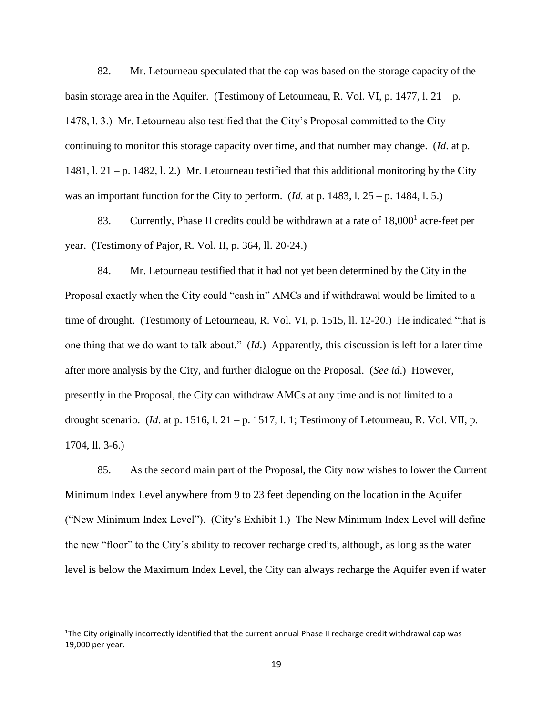82. Mr. Letourneau speculated that the cap was based on the storage capacity of the basin storage area in the Aquifer. (Testimony of Letourneau, R. Vol. VI, p. 1477, l.  $21 - p$ . 1478, l. 3.) Mr. Letourneau also testified that the City's Proposal committed to the City continuing to monitor this storage capacity over time, and that number may change. (*Id*. at p. 1481, l. 21 – p. 1482, l. 2.) Mr. Letourneau testified that this additional monitoring by the City was an important function for the City to perform. (*Id.* at p. 1483, l. 25 – p. 1484, l. 5.)

83. Currently, Phase II credits could be withdrawn at a rate of 18,000<sup>1</sup> acre-feet per year. (Testimony of Pajor, R. Vol. II, p. 364, ll. 20-24.)

84. Mr. Letourneau testified that it had not yet been determined by the City in the Proposal exactly when the City could "cash in" AMCs and if withdrawal would be limited to a time of drought. (Testimony of Letourneau, R. Vol. VI, p. 1515, ll. 12-20.) He indicated "that is one thing that we do want to talk about." (*Id*.) Apparently, this discussion is left for a later time after more analysis by the City, and further dialogue on the Proposal. (*See id*.) However, presently in the Proposal, the City can withdraw AMCs at any time and is not limited to a drought scenario. (*Id*. at p. 1516, l. 21 – p. 1517, l. 1; Testimony of Letourneau, R. Vol. VII, p. 1704, ll. 3-6.)

85. As the second main part of the Proposal, the City now wishes to lower the Current Minimum Index Level anywhere from 9 to 23 feet depending on the location in the Aquifer ("New Minimum Index Level"). (City's Exhibit 1.) The New Minimum Index Level will define the new "floor" to the City's ability to recover recharge credits, although, as long as the water level is below the Maximum Index Level, the City can always recharge the Aquifer even if water

l

<sup>&</sup>lt;sup>1</sup>The City originally incorrectly identified that the current annual Phase II recharge credit withdrawal cap was 19,000 per year.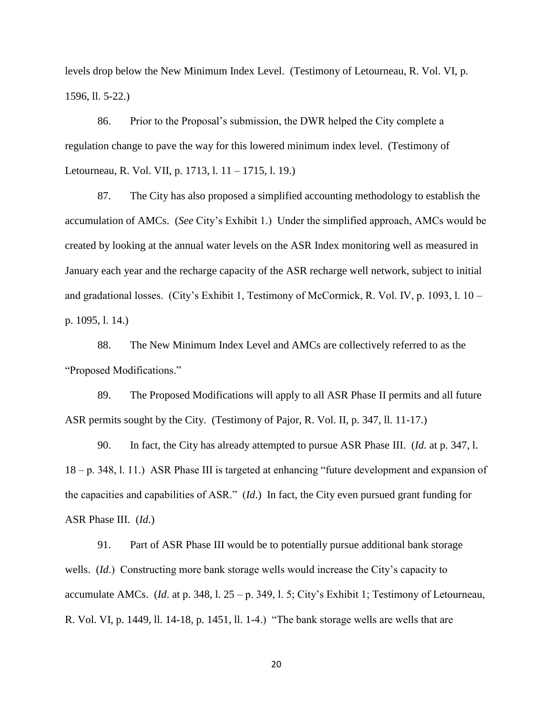levels drop below the New Minimum Index Level. (Testimony of Letourneau, R. Vol. VI, p. 1596, ll. 5-22.)

86. Prior to the Proposal's submission, the DWR helped the City complete a regulation change to pave the way for this lowered minimum index level. (Testimony of Letourneau, R. Vol. VII, p. 1713, l. 11 – 1715, l. 19.)

87. The City has also proposed a simplified accounting methodology to establish the accumulation of AMCs. (*See* City's Exhibit 1.) Under the simplified approach, AMCs would be created by looking at the annual water levels on the ASR Index monitoring well as measured in January each year and the recharge capacity of the ASR recharge well network, subject to initial and gradational losses. (City's Exhibit 1, Testimony of McCormick, R. Vol. IV, p. 1093, l. 10 – p. 1095, l. 14.)

88. The New Minimum Index Level and AMCs are collectively referred to as the "Proposed Modifications."

89. The Proposed Modifications will apply to all ASR Phase II permits and all future ASR permits sought by the City. (Testimony of Pajor, R. Vol. II, p. 347, ll. 11-17.)

90. In fact, the City has already attempted to pursue ASR Phase III. (*Id*. at p. 347, l. 18 – p. 348, l. 11.) ASR Phase III is targeted at enhancing "future development and expansion of the capacities and capabilities of ASR." (*Id*.) In fact, the City even pursued grant funding for ASR Phase III. (*Id*.)

91. Part of ASR Phase III would be to potentially pursue additional bank storage wells. (*Id*.) Constructing more bank storage wells would increase the City's capacity to accumulate AMCs. (*Id*. at p. 348, l. 25 – p. 349, l. 5; City's Exhibit 1; Testimony of Letourneau, R. Vol. VI, p. 1449, ll. 14-18, p. 1451, ll. 1-4.) "The bank storage wells are wells that are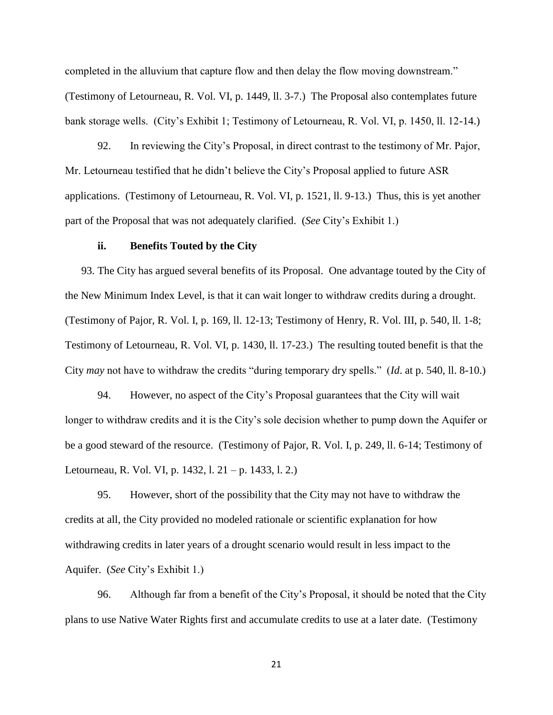completed in the alluvium that capture flow and then delay the flow moving downstream." (Testimony of Letourneau, R. Vol. VI, p. 1449, ll. 3-7.) The Proposal also contemplates future bank storage wells. (City's Exhibit 1; Testimony of Letourneau, R. Vol. VI, p. 1450, ll. 12-14.)

92. In reviewing the City's Proposal, in direct contrast to the testimony of Mr. Pajor, Mr. Letourneau testified that he didn't believe the City's Proposal applied to future ASR applications. (Testimony of Letourneau, R. Vol. VI, p. 1521, ll. 9-13.) Thus, this is yet another part of the Proposal that was not adequately clarified. (*See* City's Exhibit 1.)

#### **ii. Benefits Touted by the City**

93. The City has argued several benefits of its Proposal. One advantage touted by the City of the New Minimum Index Level, is that it can wait longer to withdraw credits during a drought. (Testimony of Pajor, R. Vol. I, p. 169, ll. 12-13; Testimony of Henry, R. Vol. III, p. 540, ll. 1-8; Testimony of Letourneau, R. Vol. VI, p. 1430, ll. 17-23.) The resulting touted benefit is that the City *may* not have to withdraw the credits "during temporary dry spells." (*Id*. at p. 540, ll. 8-10.)

94. However, no aspect of the City's Proposal guarantees that the City will wait longer to withdraw credits and it is the City's sole decision whether to pump down the Aquifer or be a good steward of the resource. (Testimony of Pajor, R. Vol. I, p. 249, ll. 6-14; Testimony of Letourneau, R. Vol. VI, p. 1432, l. 21 – p. 1433, l. 2.)

95. However, short of the possibility that the City may not have to withdraw the credits at all, the City provided no modeled rationale or scientific explanation for how withdrawing credits in later years of a drought scenario would result in less impact to the Aquifer. (*See* City's Exhibit 1.)

96. Although far from a benefit of the City's Proposal, it should be noted that the City plans to use Native Water Rights first and accumulate credits to use at a later date. (Testimony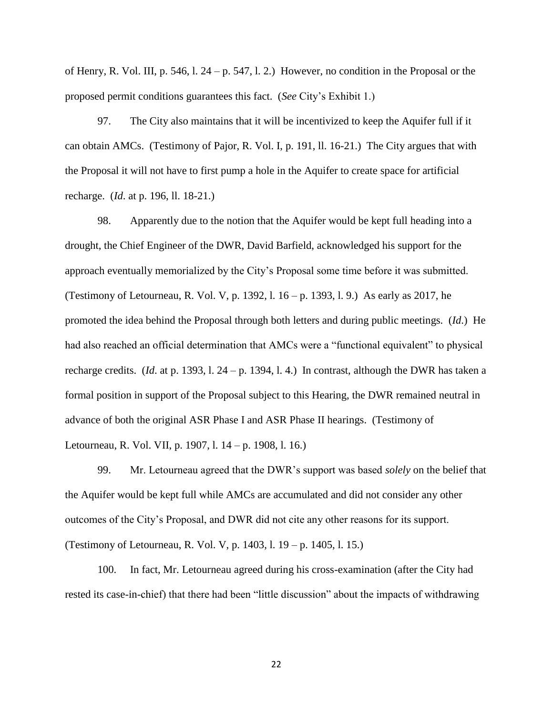of Henry, R. Vol. III, p. 546, l. 24 – p. 547, l. 2.) However, no condition in the Proposal or the proposed permit conditions guarantees this fact. (*See* City's Exhibit 1.)

97. The City also maintains that it will be incentivized to keep the Aquifer full if it can obtain AMCs. (Testimony of Pajor, R. Vol. I, p. 191, ll. 16-21.) The City argues that with the Proposal it will not have to first pump a hole in the Aquifer to create space for artificial recharge. (*Id*. at p. 196, ll. 18-21.)

98. Apparently due to the notion that the Aquifer would be kept full heading into a drought, the Chief Engineer of the DWR, David Barfield, acknowledged his support for the approach eventually memorialized by the City's Proposal some time before it was submitted. (Testimony of Letourneau, R. Vol. V, p. 1392, l. 16 – p. 1393, l. 9.) As early as 2017, he promoted the idea behind the Proposal through both letters and during public meetings. (*Id*.) He had also reached an official determination that AMCs were a "functional equivalent" to physical recharge credits. (*Id*. at p. 1393, l. 24 – p. 1394, l. 4.) In contrast, although the DWR has taken a formal position in support of the Proposal subject to this Hearing, the DWR remained neutral in advance of both the original ASR Phase I and ASR Phase II hearings. (Testimony of Letourneau, R. Vol. VII, p. 1907, l. 14 – p. 1908, l. 16.)

99. Mr. Letourneau agreed that the DWR's support was based *solely* on the belief that the Aquifer would be kept full while AMCs are accumulated and did not consider any other outcomes of the City's Proposal, and DWR did not cite any other reasons for its support. (Testimony of Letourneau, R. Vol. V, p. 1403, l. 19 – p. 1405, l. 15.)

100. In fact, Mr. Letourneau agreed during his cross-examination (after the City had rested its case-in-chief) that there had been "little discussion" about the impacts of withdrawing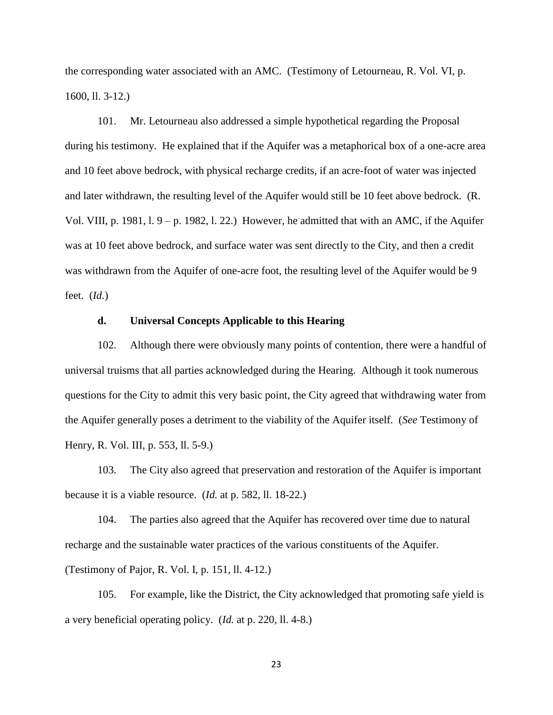the corresponding water associated with an AMC. (Testimony of Letourneau, R. Vol. VI, p. 1600, ll. 3-12.)

101. Mr. Letourneau also addressed a simple hypothetical regarding the Proposal during his testimony. He explained that if the Aquifer was a metaphorical box of a one-acre area and 10 feet above bedrock, with physical recharge credits, if an acre-foot of water was injected and later withdrawn, the resulting level of the Aquifer would still be 10 feet above bedrock. (R. Vol. VIII, p. 1981, l. 9 – p. 1982, l. 22.) However, he admitted that with an AMC, if the Aquifer was at 10 feet above bedrock, and surface water was sent directly to the City, and then a credit was withdrawn from the Aquifer of one-acre foot, the resulting level of the Aquifer would be 9 feet. (*Id*.)

## **d. Universal Concepts Applicable to this Hearing**

102. Although there were obviously many points of contention, there were a handful of universal truisms that all parties acknowledged during the Hearing. Although it took numerous questions for the City to admit this very basic point, the City agreed that withdrawing water from the Aquifer generally poses a detriment to the viability of the Aquifer itself. (*See* Testimony of Henry, R. Vol. III, p. 553, ll. 5-9.)

103. The City also agreed that preservation and restoration of the Aquifer is important because it is a viable resource. (*Id.* at p. 582, ll. 18-22.)

104. The parties also agreed that the Aquifer has recovered over time due to natural recharge and the sustainable water practices of the various constituents of the Aquifer. (Testimony of Pajor, R. Vol. I, p. 151, ll. 4-12.)

105. For example, like the District, the City acknowledged that promoting safe yield is a very beneficial operating policy. (*Id.* at p. 220, ll. 4-8.)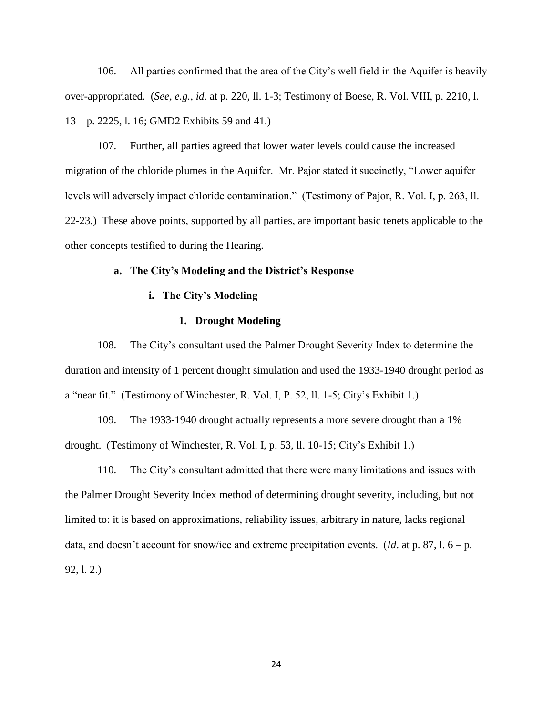106. All parties confirmed that the area of the City's well field in the Aquifer is heavily over-appropriated. (*See, e.g., id.* at p. 220, ll. 1-3; Testimony of Boese, R. Vol. VIII, p. 2210, l. 13 – p. 2225, l. 16; GMD2 Exhibits 59 and 41.)

107. Further, all parties agreed that lower water levels could cause the increased migration of the chloride plumes in the Aquifer. Mr. Pajor stated it succinctly, "Lower aquifer levels will adversely impact chloride contamination." (Testimony of Pajor, R. Vol. I, p. 263, ll. 22-23.) These above points, supported by all parties, are important basic tenets applicable to the other concepts testified to during the Hearing.

## **a. The City's Modeling and the District's Response**

## **i. The City's Modeling**

### **1. Drought Modeling**

108. The City's consultant used the Palmer Drought Severity Index to determine the duration and intensity of 1 percent drought simulation and used the 1933-1940 drought period as a "near fit." (Testimony of Winchester, R. Vol. I, P. 52, ll. 1-5; City's Exhibit 1.)

109. The 1933-1940 drought actually represents a more severe drought than a 1% drought. (Testimony of Winchester, R. Vol. I, p. 53, ll. 10-15; City's Exhibit 1.)

110. The City's consultant admitted that there were many limitations and issues with the Palmer Drought Severity Index method of determining drought severity, including, but not limited to: it is based on approximations, reliability issues, arbitrary in nature, lacks regional data, and doesn't account for snow/ice and extreme precipitation events. (*Id*. at p. 87, l. 6 – p. 92, l. 2.)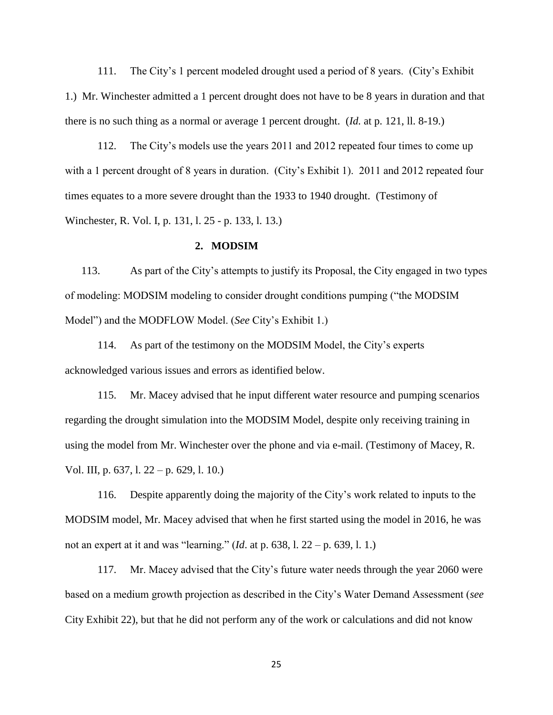111. The City's 1 percent modeled drought used a period of 8 years. (City's Exhibit 1.) Mr. Winchester admitted a 1 percent drought does not have to be 8 years in duration and that there is no such thing as a normal or average 1 percent drought. (*Id.* at p. 121, ll. 8-19.)

112. The City's models use the years 2011 and 2012 repeated four times to come up with a 1 percent drought of 8 years in duration. (City's Exhibit 1). 2011 and 2012 repeated four times equates to a more severe drought than the 1933 to 1940 drought. (Testimony of Winchester, R. Vol. I, p. 131, l. 25 - p. 133, l. 13.)

#### **2. MODSIM**

113. As part of the City's attempts to justify its Proposal, the City engaged in two types of modeling: MODSIM modeling to consider drought conditions pumping ("the MODSIM Model") and the MODFLOW Model. (*See* City's Exhibit 1.)

114. As part of the testimony on the MODSIM Model, the City's experts acknowledged various issues and errors as identified below.

115. Mr. Macey advised that he input different water resource and pumping scenarios regarding the drought simulation into the MODSIM Model, despite only receiving training in using the model from Mr. Winchester over the phone and via e-mail. (Testimony of Macey, R. Vol. III, p. 637, l. 22 – p. 629, l. 10.)

116. Despite apparently doing the majority of the City's work related to inputs to the MODSIM model, Mr. Macey advised that when he first started using the model in 2016, he was not an expert at it and was "learning." (*Id*. at p. 638, l. 22 – p. 639, l. 1.)

117. Mr. Macey advised that the City's future water needs through the year 2060 were based on a medium growth projection as described in the City's Water Demand Assessment (*see* City Exhibit 22), but that he did not perform any of the work or calculations and did not know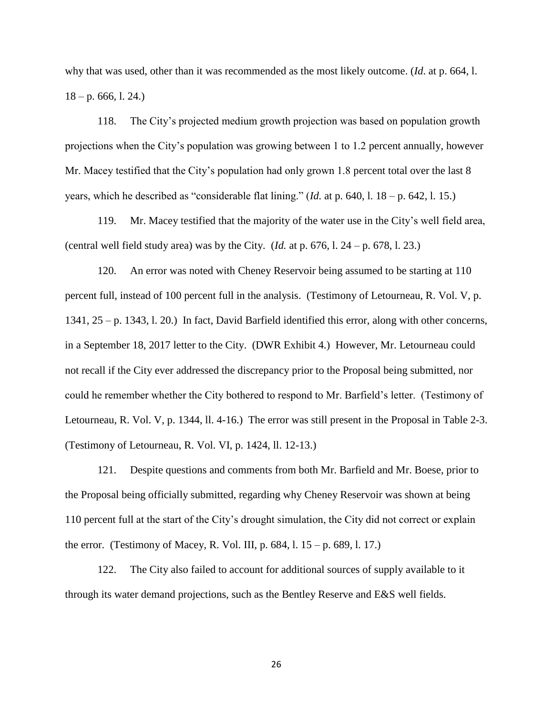why that was used, other than it was recommended as the most likely outcome. (*Id*. at p. 664, l.  $18 - p. 666, 1.24.$ 

118. The City's projected medium growth projection was based on population growth projections when the City's population was growing between 1 to 1.2 percent annually, however Mr. Macey testified that the City's population had only grown 1.8 percent total over the last 8 years, which he described as "considerable flat lining." (*Id.* at p. 640, l. 18 – p. 642, l. 15.)

119. Mr. Macey testified that the majority of the water use in the City's well field area, (central well field study area) was by the City.  $(Id.$  at p. 676, l. 24 – p. 678, l. 23.)

120. An error was noted with Cheney Reservoir being assumed to be starting at 110 percent full, instead of 100 percent full in the analysis. (Testimony of Letourneau, R. Vol. V, p. 1341, 25 – p. 1343, l. 20.) In fact, David Barfield identified this error, along with other concerns, in a September 18, 2017 letter to the City. (DWR Exhibit 4.) However, Mr. Letourneau could not recall if the City ever addressed the discrepancy prior to the Proposal being submitted, nor could he remember whether the City bothered to respond to Mr. Barfield's letter. (Testimony of Letourneau, R. Vol. V, p. 1344, ll. 4-16.) The error was still present in the Proposal in Table 2-3. (Testimony of Letourneau, R. Vol. VI, p. 1424, ll. 12-13.)

121. Despite questions and comments from both Mr. Barfield and Mr. Boese, prior to the Proposal being officially submitted, regarding why Cheney Reservoir was shown at being 110 percent full at the start of the City's drought simulation, the City did not correct or explain the error. (Testimony of Macey, R. Vol. III, p. 684, l. 15 – p. 689, l. 17.)

122. The City also failed to account for additional sources of supply available to it through its water demand projections, such as the Bentley Reserve and E&S well fields.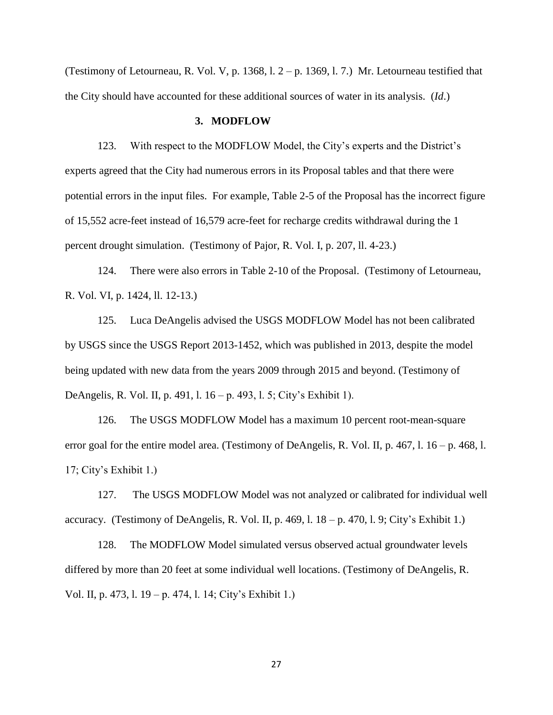(Testimony of Letourneau, R. Vol. V, p. 1368, l. 2 – p. 1369, l. 7.) Mr. Letourneau testified that the City should have accounted for these additional sources of water in its analysis. (*Id*.)

#### **3. MODFLOW**

123. With respect to the MODFLOW Model, the City's experts and the District's experts agreed that the City had numerous errors in its Proposal tables and that there were potential errors in the input files. For example, Table 2-5 of the Proposal has the incorrect figure of 15,552 acre-feet instead of 16,579 acre-feet for recharge credits withdrawal during the 1 percent drought simulation. (Testimony of Pajor, R. Vol. I, p. 207, ll. 4-23.)

124. There were also errors in Table 2-10 of the Proposal. (Testimony of Letourneau, R. Vol. VI, p. 1424, ll. 12-13.)

125. Luca DeAngelis advised the USGS MODFLOW Model has not been calibrated by USGS since the USGS Report 2013-1452, which was published in 2013, despite the model being updated with new data from the years 2009 through 2015 and beyond. (Testimony of DeAngelis, R. Vol. II, p. 491, l. 16 – p. 493, l. 5; City's Exhibit 1).

126. The USGS MODFLOW Model has a maximum 10 percent root-mean-square error goal for the entire model area. (Testimony of DeAngelis, R. Vol. II, p. 467, l. 16 – p. 468, l. 17; City's Exhibit 1.)

127. The USGS MODFLOW Model was not analyzed or calibrated for individual well accuracy. (Testimony of DeAngelis, R. Vol. II, p. 469, l.  $18 - p$ . 470, l. 9; City's Exhibit 1.)

128. The MODFLOW Model simulated versus observed actual groundwater levels differed by more than 20 feet at some individual well locations. (Testimony of DeAngelis, R. Vol. II, p. 473, l. 19 – p. 474, l. 14; City's Exhibit 1.)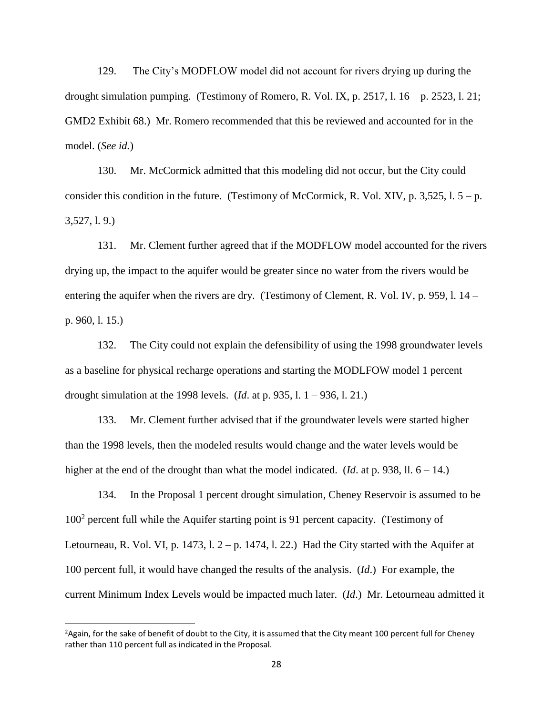129. The City's MODFLOW model did not account for rivers drying up during the drought simulation pumping. (Testimony of Romero, R. Vol. IX, p. 2517, l.  $16 - p$ . 2523, l. 21; GMD2 Exhibit 68.) Mr. Romero recommended that this be reviewed and accounted for in the model. (*See id.*)

130. Mr. McCormick admitted that this modeling did not occur, but the City could consider this condition in the future. (Testimony of McCormick, R. Vol. XIV, p. 3,525, l.  $5 - p$ . 3,527, l. 9.)

131. Mr. Clement further agreed that if the MODFLOW model accounted for the rivers drying up, the impact to the aquifer would be greater since no water from the rivers would be entering the aquifer when the rivers are dry. (Testimony of Clement, R. Vol. IV, p. 959, l. 14 – p. 960, l. 15.)

132. The City could not explain the defensibility of using the 1998 groundwater levels as a baseline for physical recharge operations and starting the MODLFOW model 1 percent drought simulation at the 1998 levels. (*Id*. at p. 935, l. 1 – 936, l. 21.)

133. Mr. Clement further advised that if the groundwater levels were started higher than the 1998 levels, then the modeled results would change and the water levels would be higher at the end of the drought than what the model indicated. (*Id.* at p. 938, ll.  $6 - 14$ .)

134. In the Proposal 1 percent drought simulation, Cheney Reservoir is assumed to be 100<sup>2</sup> percent full while the Aquifer starting point is 91 percent capacity. (Testimony of Letourneau, R. Vol. VI, p. 1473, l.  $2-p$ . 1474, l. 22.) Had the City started with the Aquifer at 100 percent full, it would have changed the results of the analysis. (*Id*.) For example, the current Minimum Index Levels would be impacted much later. (*Id*.) Mr. Letourneau admitted it

l

<sup>&</sup>lt;sup>2</sup> Again, for the sake of benefit of doubt to the City, it is assumed that the City meant 100 percent full for Cheney rather than 110 percent full as indicated in the Proposal.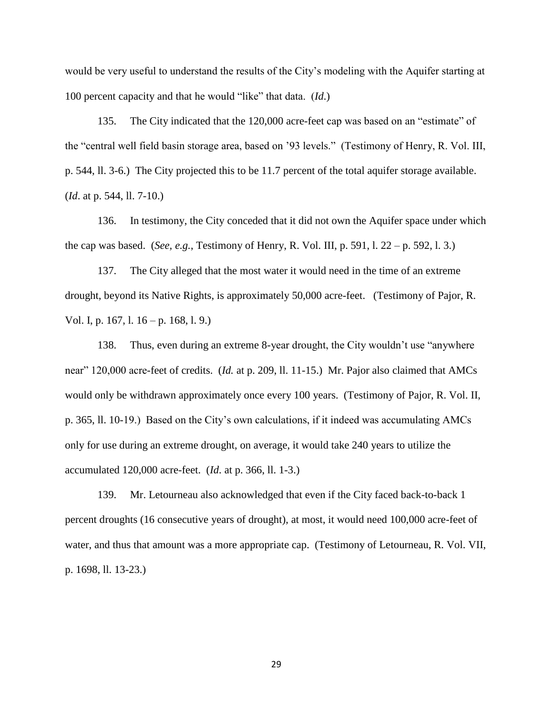would be very useful to understand the results of the City's modeling with the Aquifer starting at 100 percent capacity and that he would "like" that data. (*Id*.)

135. The City indicated that the 120,000 acre-feet cap was based on an "estimate" of the "central well field basin storage area, based on '93 levels." (Testimony of Henry, R. Vol. III, p. 544, ll. 3-6.) The City projected this to be 11.7 percent of the total aquifer storage available. (*Id*. at p. 544, ll. 7-10.)

136. In testimony, the City conceded that it did not own the Aquifer space under which the cap was based. (*See, e.g.*, Testimony of Henry, R. Vol. III, p. 591, l. 22 – p. 592, l. 3.)

137. The City alleged that the most water it would need in the time of an extreme drought, beyond its Native Rights, is approximately 50,000 acre-feet. (Testimony of Pajor, R. Vol. I, p. 167, l. 16 – p. 168, l. 9.)

138. Thus, even during an extreme 8-year drought, the City wouldn't use "anywhere near" 120,000 acre-feet of credits. (*Id.* at p. 209, ll. 11-15.) Mr. Pajor also claimed that AMCs would only be withdrawn approximately once every 100 years. (Testimony of Pajor, R. Vol. II, p. 365, ll. 10-19.) Based on the City's own calculations, if it indeed was accumulating AMCs only for use during an extreme drought, on average, it would take 240 years to utilize the accumulated 120,000 acre-feet. (*Id*. at p. 366, ll. 1-3.)

139. Mr. Letourneau also acknowledged that even if the City faced back-to-back 1 percent droughts (16 consecutive years of drought), at most, it would need 100,000 acre-feet of water, and thus that amount was a more appropriate cap. (Testimony of Letourneau, R. Vol. VII, p. 1698, ll. 13-23.)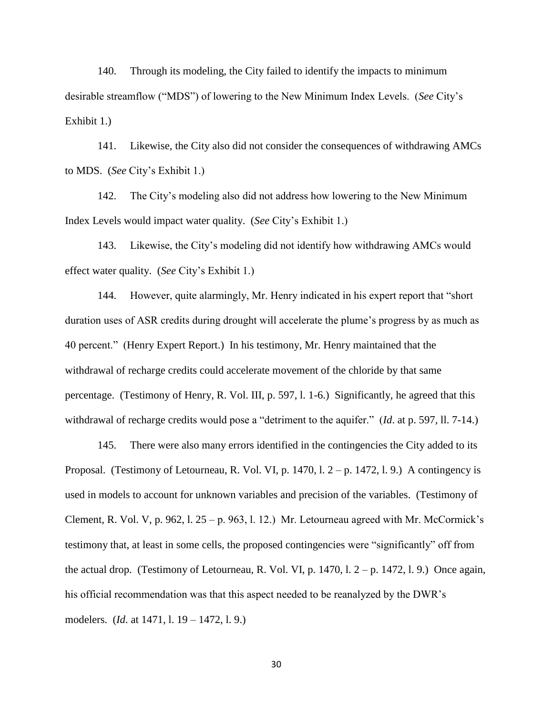140. Through its modeling, the City failed to identify the impacts to minimum desirable streamflow ("MDS") of lowering to the New Minimum Index Levels. (*See* City's Exhibit 1.)

141. Likewise, the City also did not consider the consequences of withdrawing AMCs to MDS. (*See* City's Exhibit 1.)

142. The City's modeling also did not address how lowering to the New Minimum Index Levels would impact water quality. (*See* City's Exhibit 1.)

143. Likewise, the City's modeling did not identify how withdrawing AMCs would effect water quality. (*See* City's Exhibit 1.)

144. However, quite alarmingly, Mr. Henry indicated in his expert report that "short duration uses of ASR credits during drought will accelerate the plume's progress by as much as 40 percent." (Henry Expert Report.) In his testimony, Mr. Henry maintained that the withdrawal of recharge credits could accelerate movement of the chloride by that same percentage. (Testimony of Henry, R. Vol. III, p. 597, l. 1-6.) Significantly, he agreed that this withdrawal of recharge credits would pose a "detriment to the aquifer." (*Id*. at p. 597, ll. 7-14.)

145. There were also many errors identified in the contingencies the City added to its Proposal. (Testimony of Letourneau, R. Vol. VI, p. 1470, l.  $2 - p$ . 1472, l. 9.) A contingency is used in models to account for unknown variables and precision of the variables. (Testimony of Clement, R. Vol. V, p. 962, l.  $25 - p.$  963, l. 12.) Mr. Letourneau agreed with Mr. McCormick's testimony that, at least in some cells, the proposed contingencies were "significantly" off from the actual drop. (Testimony of Letourneau, R. Vol. VI, p. 1470, l. 2 – p. 1472, l. 9.) Once again, his official recommendation was that this aspect needed to be reanalyzed by the DWR's modelers. (*Id*. at 1471, l. 19 – 1472, l. 9.)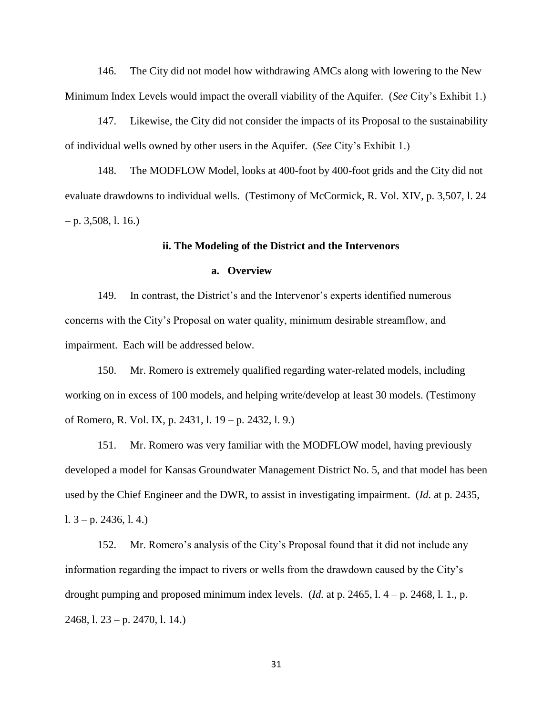146. The City did not model how withdrawing AMCs along with lowering to the New Minimum Index Levels would impact the overall viability of the Aquifer. (*See* City's Exhibit 1.)

147. Likewise, the City did not consider the impacts of its Proposal to the sustainability of individual wells owned by other users in the Aquifer. (*See* City's Exhibit 1.)

148. The MODFLOW Model, looks at 400-foot by 400-foot grids and the City did not evaluate drawdowns to individual wells. (Testimony of McCormick, R. Vol. XIV, p. 3,507, l. 24  $-$  p. 3,508, l. 16.)

## **ii. The Modeling of the District and the Intervenors**

## **a. Overview**

149. In contrast, the District's and the Intervenor's experts identified numerous concerns with the City's Proposal on water quality, minimum desirable streamflow, and impairment. Each will be addressed below.

150. Mr. Romero is extremely qualified regarding water-related models, including working on in excess of 100 models, and helping write/develop at least 30 models. (Testimony of Romero, R. Vol. IX, p. 2431, l. 19 – p. 2432, l. 9.)

151. Mr. Romero was very familiar with the MODFLOW model, having previously developed a model for Kansas Groundwater Management District No. 5, and that model has been used by the Chief Engineer and the DWR, to assist in investigating impairment. (*Id.* at p. 2435, l.  $3 - p$ . 2436, l. 4.)

152. Mr. Romero's analysis of the City's Proposal found that it did not include any information regarding the impact to rivers or wells from the drawdown caused by the City's drought pumping and proposed minimum index levels. (*Id.* at p. 2465, l. 4 – p. 2468, l. 1., p. 2468, l. 23 – p. 2470, l. 14.)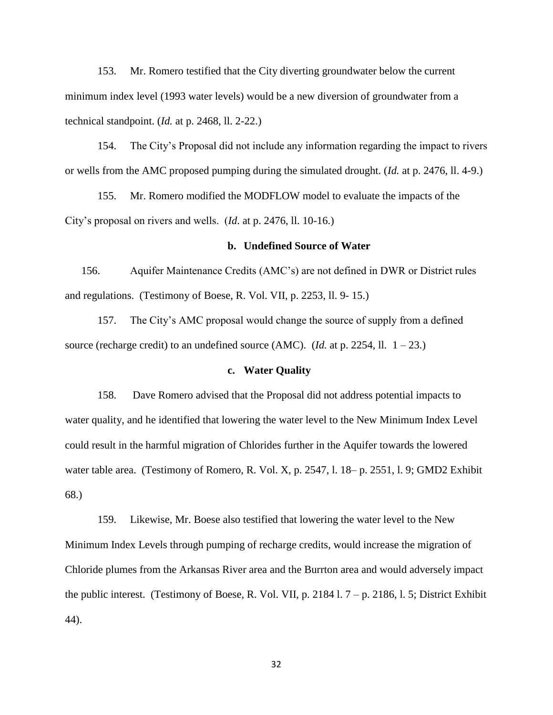153. Mr. Romero testified that the City diverting groundwater below the current minimum index level (1993 water levels) would be a new diversion of groundwater from a technical standpoint. (*Id.* at p. 2468, ll. 2-22.)

154. The City's Proposal did not include any information regarding the impact to rivers or wells from the AMC proposed pumping during the simulated drought. (*Id.* at p. 2476, ll. 4-9.)

155. Mr. Romero modified the MODFLOW model to evaluate the impacts of the City's proposal on rivers and wells. (*Id*. at p. 2476, ll. 10-16.)

#### **b. Undefined Source of Water**

156. Aquifer Maintenance Credits (AMC's) are not defined in DWR or District rules and regulations. (Testimony of Boese, R. Vol. VII, p. 2253, ll. 9- 15.)

157. The City's AMC proposal would change the source of supply from a defined source (recharge credit) to an undefined source (AMC). (*Id.* at p. 2254, ll.  $1 - 23$ .)

## **c. Water Quality**

158. Dave Romero advised that the Proposal did not address potential impacts to water quality, and he identified that lowering the water level to the New Minimum Index Level could result in the harmful migration of Chlorides further in the Aquifer towards the lowered water table area. (Testimony of Romero, R. Vol. X, p. 2547, l. 18– p. 2551, l. 9; GMD2 Exhibit 68.)

159. Likewise, Mr. Boese also testified that lowering the water level to the New Minimum Index Levels through pumping of recharge credits, would increase the migration of Chloride plumes from the Arkansas River area and the Burrton area and would adversely impact the public interest. (Testimony of Boese, R. Vol. VII, p. 2184 l.  $7 - p$ . 2186, l. 5; District Exhibit 44).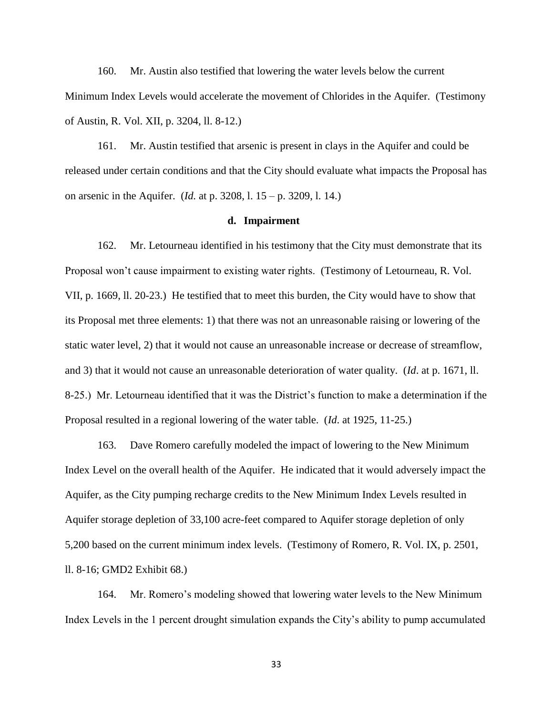160. Mr. Austin also testified that lowering the water levels below the current Minimum Index Levels would accelerate the movement of Chlorides in the Aquifer. (Testimony of Austin, R. Vol. XII, p. 3204, ll. 8-12.)

161. Mr. Austin testified that arsenic is present in clays in the Aquifer and could be released under certain conditions and that the City should evaluate what impacts the Proposal has on arsenic in the Aquifer. (*Id.* at p. 3208, l. 15 – p. 3209, l. 14.)

#### **d. Impairment**

162. Mr. Letourneau identified in his testimony that the City must demonstrate that its Proposal won't cause impairment to existing water rights. (Testimony of Letourneau, R. Vol. VII, p. 1669, ll. 20-23.) He testified that to meet this burden, the City would have to show that its Proposal met three elements: 1) that there was not an unreasonable raising or lowering of the static water level, 2) that it would not cause an unreasonable increase or decrease of streamflow, and 3) that it would not cause an unreasonable deterioration of water quality. (*Id*. at p. 1671, ll. 8-25.) Mr. Letourneau identified that it was the District's function to make a determination if the Proposal resulted in a regional lowering of the water table. (*Id*. at 1925, 11-25.)

163. Dave Romero carefully modeled the impact of lowering to the New Minimum Index Level on the overall health of the Aquifer. He indicated that it would adversely impact the Aquifer, as the City pumping recharge credits to the New Minimum Index Levels resulted in Aquifer storage depletion of 33,100 acre-feet compared to Aquifer storage depletion of only 5,200 based on the current minimum index levels. (Testimony of Romero, R. Vol. IX, p. 2501, ll. 8-16; GMD2 Exhibit 68.)

164. Mr. Romero's modeling showed that lowering water levels to the New Minimum Index Levels in the 1 percent drought simulation expands the City's ability to pump accumulated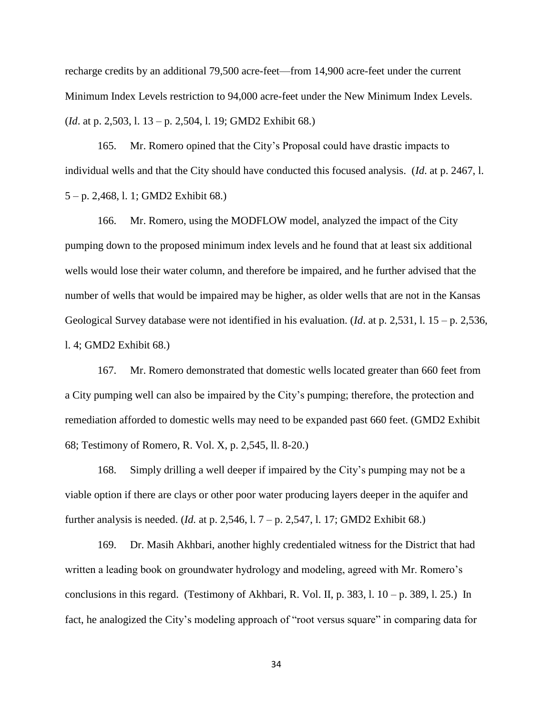recharge credits by an additional 79,500 acre-feet—from 14,900 acre-feet under the current Minimum Index Levels restriction to 94,000 acre-feet under the New Minimum Index Levels. (*Id*. at p. 2,503, l. 13 – p. 2,504, l. 19; GMD2 Exhibit 68.)

165. Mr. Romero opined that the City's Proposal could have drastic impacts to individual wells and that the City should have conducted this focused analysis. (*Id*. at p. 2467, l. 5 – p. 2,468, l. 1; GMD2 Exhibit 68.)

166. Mr. Romero, using the MODFLOW model, analyzed the impact of the City pumping down to the proposed minimum index levels and he found that at least six additional wells would lose their water column, and therefore be impaired, and he further advised that the number of wells that would be impaired may be higher, as older wells that are not in the Kansas Geological Survey database were not identified in his evaluation. (*Id*. at p. 2,531, l. 15 – p. 2,536, l. 4; GMD2 Exhibit 68.)

167. Mr. Romero demonstrated that domestic wells located greater than 660 feet from a City pumping well can also be impaired by the City's pumping; therefore, the protection and remediation afforded to domestic wells may need to be expanded past 660 feet. (GMD2 Exhibit 68; Testimony of Romero, R. Vol. X, p. 2,545, ll. 8-20.)

168. Simply drilling a well deeper if impaired by the City's pumping may not be a viable option if there are clays or other poor water producing layers deeper in the aquifer and further analysis is needed. (*Id.* at p. 2,546, l. 7 – p. 2,547, l. 17; GMD2 Exhibit 68.)

169. Dr. Masih Akhbari, another highly credentialed witness for the District that had written a leading book on groundwater hydrology and modeling, agreed with Mr. Romero's conclusions in this regard. (Testimony of Akhbari, R. Vol. II, p. 383, l.  $10 - p$ . 389, l. 25.) In fact, he analogized the City's modeling approach of "root versus square" in comparing data for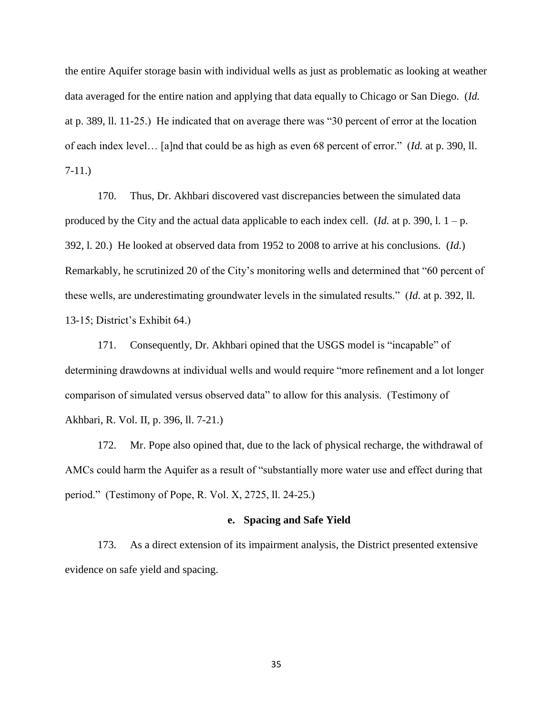the entire Aquifer storage basin with individual wells as just as problematic as looking at weather data averaged for the entire nation and applying that data equally to Chicago or San Diego. (*Id.*  at p. 389, ll. 11-25.) He indicated that on average there was "30 percent of error at the location of each index level… [a]nd that could be as high as even 68 percent of error." (*Id.* at p. 390, ll. 7-11.)

170. Thus, Dr. Akhbari discovered vast discrepancies between the simulated data produced by the City and the actual data applicable to each index cell. (*Id.* at p. 390, l. 1 – p. 392, l. 20.) He looked at observed data from 1952 to 2008 to arrive at his conclusions. (*Id.*) Remarkably, he scrutinized 20 of the City's monitoring wells and determined that "60 percent of these wells, are underestimating groundwater levels in the simulated results." (*Id*. at p. 392, ll. 13-15; District's Exhibit 64.)

171. Consequently, Dr. Akhbari opined that the USGS model is "incapable" of determining drawdowns at individual wells and would require "more refinement and a lot longer comparison of simulated versus observed data" to allow for this analysis. (Testimony of Akhbari, R. Vol. II, p. 396, ll. 7-21.)

172. Mr. Pope also opined that, due to the lack of physical recharge, the withdrawal of AMCs could harm the Aquifer as a result of "substantially more water use and effect during that period." (Testimony of Pope, R. Vol. X, 2725, ll. 24-25.)

#### **e. Spacing and Safe Yield**

173. As a direct extension of its impairment analysis, the District presented extensive evidence on safe yield and spacing.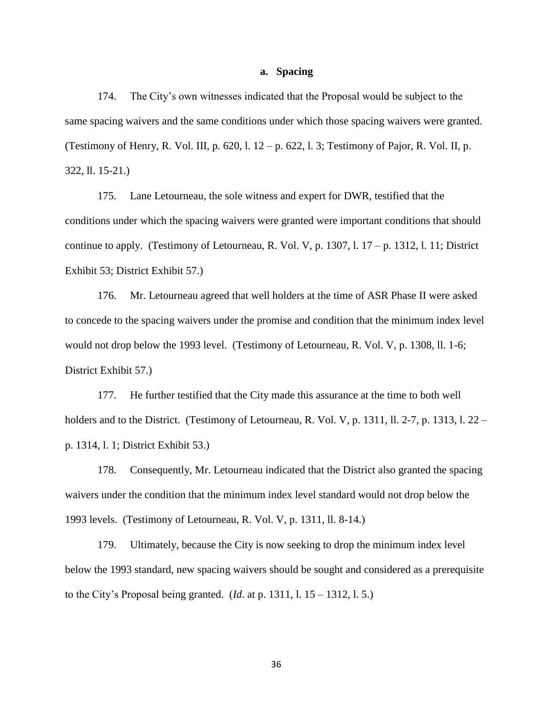#### **a. Spacing**

174. The City's own witnesses indicated that the Proposal would be subject to the same spacing waivers and the same conditions under which those spacing waivers were granted. (Testimony of Henry, R. Vol. III, p. 620, l.  $12 - p$ . 622, l. 3; Testimony of Pajor, R. Vol. II, p. 322, ll. 15-21.)

175. Lane Letourneau, the sole witness and expert for DWR, testified that the conditions under which the spacing waivers were granted were important conditions that should continue to apply. (Testimony of Letourneau, R. Vol. V, p. 1307, l.  $17 - p$ . 1312, l. 11; District Exhibit 53; District Exhibit 57.)

176. Mr. Letourneau agreed that well holders at the time of ASR Phase II were asked to concede to the spacing waivers under the promise and condition that the minimum index level would not drop below the 1993 level. (Testimony of Letourneau, R. Vol. V, p. 1308, ll. 1-6; District Exhibit 57.)

177. He further testified that the City made this assurance at the time to both well holders and to the District. (Testimony of Letourneau, R. Vol. V, p. 1311, ll. 2-7, p. 1313, l. 22 – p. 1314, l. 1; District Exhibit 53.)

178. Consequently, Mr. Letourneau indicated that the District also granted the spacing waivers under the condition that the minimum index level standard would not drop below the 1993 levels. (Testimony of Letourneau, R. Vol. V, p. 1311, ll. 8-14.)

179. Ultimately, because the City is now seeking to drop the minimum index level below the 1993 standard, new spacing waivers should be sought and considered as a prerequisite to the City's Proposal being granted. (*Id*. at p. 1311, l. 15 – 1312, l. 5.)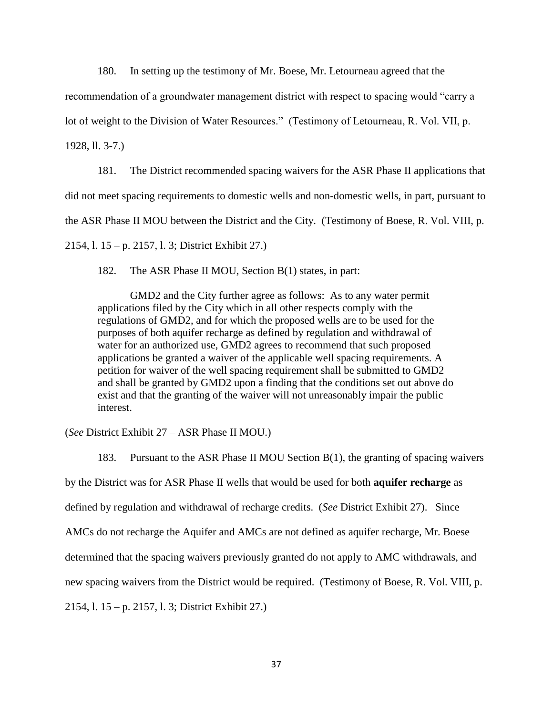180. In setting up the testimony of Mr. Boese, Mr. Letourneau agreed that the

recommendation of a groundwater management district with respect to spacing would "carry a

lot of weight to the Division of Water Resources." (Testimony of Letourneau, R. Vol. VII, p.

1928, ll. 3-7.)

181. The District recommended spacing waivers for the ASR Phase II applications that did not meet spacing requirements to domestic wells and non-domestic wells, in part, pursuant to the ASR Phase II MOU between the District and the City. (Testimony of Boese, R. Vol. VIII, p. 2154, l. 15 – p. 2157, l. 3; District Exhibit 27.)

182. The ASR Phase II MOU, Section B(1) states, in part:

GMD2 and the City further agree as follows: As to any water permit applications filed by the City which in all other respects comply with the regulations of GMD2, and for which the proposed wells are to be used for the purposes of both aquifer recharge as defined by regulation and withdrawal of water for an authorized use, GMD2 agrees to recommend that such proposed applications be granted a waiver of the applicable well spacing requirements. A petition for waiver of the well spacing requirement shall be submitted to GMD2 and shall be granted by GMD2 upon a finding that the conditions set out above do exist and that the granting of the waiver will not unreasonably impair the public interest.

(*See* District Exhibit 27 – ASR Phase II MOU.)

183. Pursuant to the ASR Phase II MOU Section B(1), the granting of spacing waivers by the District was for ASR Phase II wells that would be used for both **aquifer recharge** as defined by regulation and withdrawal of recharge credits. (*See* District Exhibit 27). Since AMCs do not recharge the Aquifer and AMCs are not defined as aquifer recharge, Mr. Boese determined that the spacing waivers previously granted do not apply to AMC withdrawals, and new spacing waivers from the District would be required. (Testimony of Boese, R. Vol. VIII, p. 2154, l. 15 – p. 2157, l. 3; District Exhibit 27.)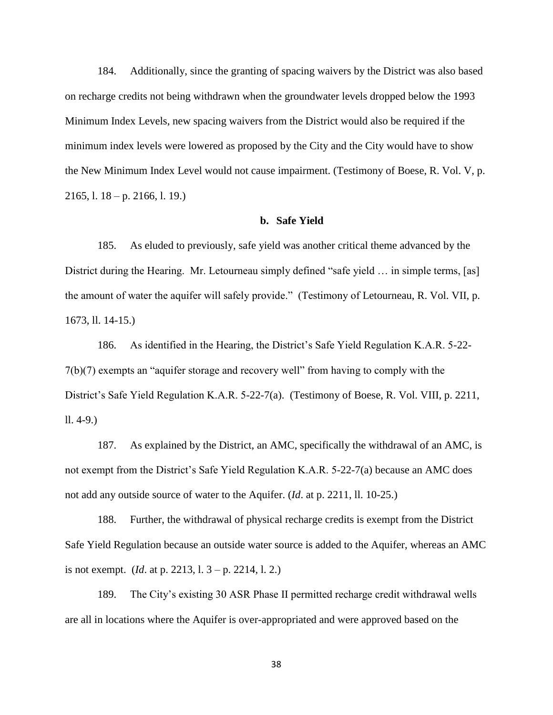184. Additionally, since the granting of spacing waivers by the District was also based on recharge credits not being withdrawn when the groundwater levels dropped below the 1993 Minimum Index Levels, new spacing waivers from the District would also be required if the minimum index levels were lowered as proposed by the City and the City would have to show the New Minimum Index Level would not cause impairment. (Testimony of Boese, R. Vol. V, p. 2165, l. 18 – p. 2166, l. 19.)

### **b. Safe Yield**

185. As eluded to previously, safe yield was another critical theme advanced by the District during the Hearing. Mr. Letourneau simply defined "safe yield ... in simple terms, [as] the amount of water the aquifer will safely provide." (Testimony of Letourneau, R. Vol. VII, p. 1673, ll. 14-15.)

186. As identified in the Hearing, the District's Safe Yield Regulation K.A.R. 5-22- 7(b)(7) exempts an "aquifer storage and recovery well" from having to comply with the District's Safe Yield Regulation K.A.R. 5-22-7(a). (Testimony of Boese, R. Vol. VIII, p. 2211, ll. 4-9.)

187. As explained by the District, an AMC, specifically the withdrawal of an AMC, is not exempt from the District's Safe Yield Regulation K.A.R. 5-22-7(a) because an AMC does not add any outside source of water to the Aquifer. (*Id*. at p. 2211, ll. 10-25.)

188. Further, the withdrawal of physical recharge credits is exempt from the District Safe Yield Regulation because an outside water source is added to the Aquifer, whereas an AMC is not exempt. (*Id*. at p. 2213, l. 3 – p. 2214, l. 2.)

189. The City's existing 30 ASR Phase II permitted recharge credit withdrawal wells are all in locations where the Aquifer is over-appropriated and were approved based on the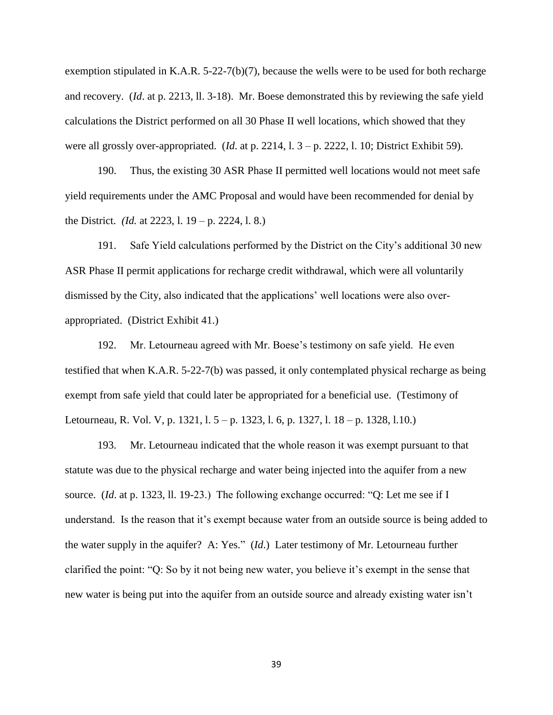exemption stipulated in K.A.R. 5-22-7(b)(7), because the wells were to be used for both recharge and recovery. (*Id*. at p. 2213, ll. 3-18). Mr. Boese demonstrated this by reviewing the safe yield calculations the District performed on all 30 Phase II well locations, which showed that they were all grossly over-appropriated. (*Id*. at p. 2214, l. 3 – p. 2222, l. 10; District Exhibit 59).

190. Thus, the existing 30 ASR Phase II permitted well locations would not meet safe yield requirements under the AMC Proposal and would have been recommended for denial by the District. *(Id.* at 2223, l. 19 – p. 2224, l. 8.)

191. Safe Yield calculations performed by the District on the City's additional 30 new ASR Phase II permit applications for recharge credit withdrawal, which were all voluntarily dismissed by the City, also indicated that the applications' well locations were also overappropriated. (District Exhibit 41.)

192. Mr. Letourneau agreed with Mr. Boese's testimony on safe yield. He even testified that when K.A.R. 5-22-7(b) was passed, it only contemplated physical recharge as being exempt from safe yield that could later be appropriated for a beneficial use. (Testimony of Letourneau, R. Vol. V, p. 1321, l. 5 – p. 1323, l. 6, p. 1327, l. 18 – p. 1328, l.10.)

193. Mr. Letourneau indicated that the whole reason it was exempt pursuant to that statute was due to the physical recharge and water being injected into the aquifer from a new source. (*Id*. at p. 1323, ll. 19-23.) The following exchange occurred: "Q: Let me see if I understand. Is the reason that it's exempt because water from an outside source is being added to the water supply in the aquifer? A: Yes." (*Id*.) Later testimony of Mr. Letourneau further clarified the point: "Q: So by it not being new water, you believe it's exempt in the sense that new water is being put into the aquifer from an outside source and already existing water isn't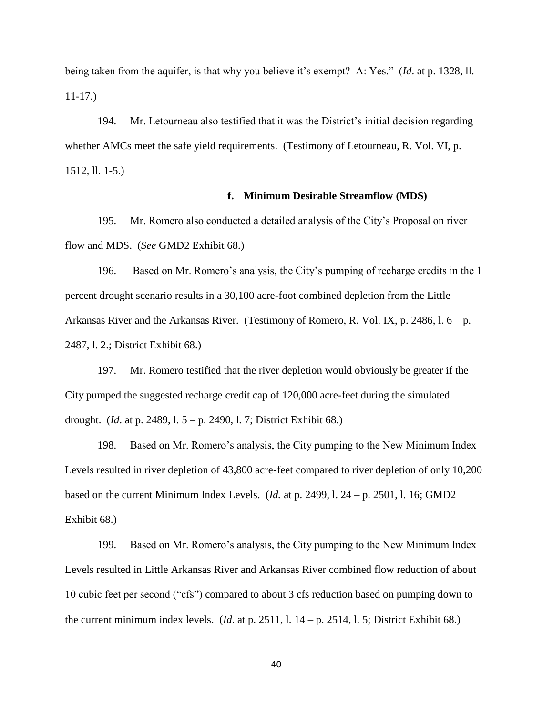being taken from the aquifer, is that why you believe it's exempt? A: Yes." (*Id*. at p. 1328, ll. 11-17.)

194. Mr. Letourneau also testified that it was the District's initial decision regarding whether AMCs meet the safe yield requirements. (Testimony of Letourneau, R. Vol. VI, p. 1512, ll. 1-5.)

## **f. Minimum Desirable Streamflow (MDS)**

195. Mr. Romero also conducted a detailed analysis of the City's Proposal on river flow and MDS. (*See* GMD2 Exhibit 68.)

196. Based on Mr. Romero's analysis, the City's pumping of recharge credits in the 1 percent drought scenario results in a 30,100 acre-foot combined depletion from the Little Arkansas River and the Arkansas River. (Testimony of Romero, R. Vol. IX, p. 2486, l.  $6 - p$ . 2487, l. 2.; District Exhibit 68.)

197. Mr. Romero testified that the river depletion would obviously be greater if the City pumped the suggested recharge credit cap of 120,000 acre-feet during the simulated drought. (*Id*. at p. 2489, l. 5 – p. 2490, l. 7; District Exhibit 68.)

198. Based on Mr. Romero's analysis, the City pumping to the New Minimum Index Levels resulted in river depletion of 43,800 acre-feet compared to river depletion of only 10,200 based on the current Minimum Index Levels. (*Id.* at p. 2499, l. 24 – p. 2501, l. 16; GMD2 Exhibit 68.)

199. Based on Mr. Romero's analysis, the City pumping to the New Minimum Index Levels resulted in Little Arkansas River and Arkansas River combined flow reduction of about 10 cubic feet per second ("cfs") compared to about 3 cfs reduction based on pumping down to the current minimum index levels. (*Id.* at p. 2511, 1.  $14 - p$ . 2514, 1. 5; District Exhibit 68.)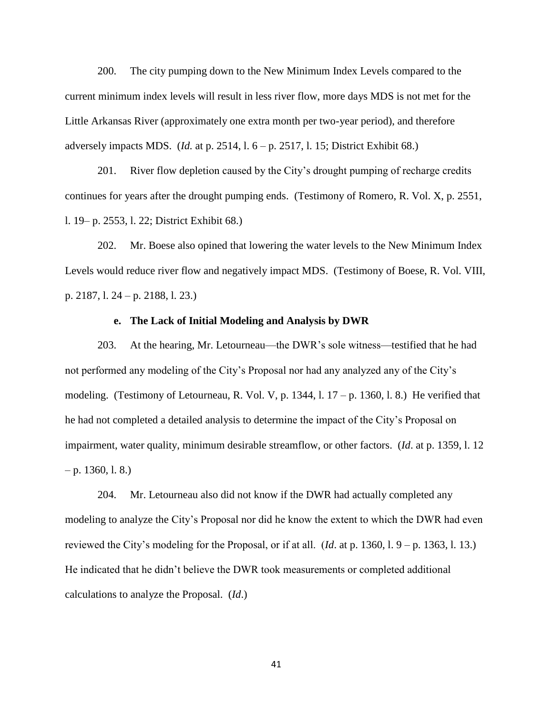200. The city pumping down to the New Minimum Index Levels compared to the current minimum index levels will result in less river flow, more days MDS is not met for the Little Arkansas River (approximately one extra month per two-year period), and therefore adversely impacts MDS. (*Id.* at p. 2514, l. 6 – p. 2517, l. 15; District Exhibit 68.)

201. River flow depletion caused by the City's drought pumping of recharge credits continues for years after the drought pumping ends. (Testimony of Romero, R. Vol. X, p. 2551, l. 19– p. 2553, l. 22; District Exhibit 68.)

202. Mr. Boese also opined that lowering the water levels to the New Minimum Index Levels would reduce river flow and negatively impact MDS. (Testimony of Boese, R. Vol. VIII, p. 2187, l. 24 – p. 2188, l. 23.)

## **e. The Lack of Initial Modeling and Analysis by DWR**

203. At the hearing, Mr. Letourneau—the DWR's sole witness—testified that he had not performed any modeling of the City's Proposal nor had any analyzed any of the City's modeling. (Testimony of Letourneau, R. Vol. V, p.  $1344$ , l.  $17 - p$ . 1360, l. 8.) He verified that he had not completed a detailed analysis to determine the impact of the City's Proposal on impairment, water quality, minimum desirable streamflow, or other factors. (*Id*. at p. 1359, l. 12  $-$  p. 1360, l. 8.)

204. Mr. Letourneau also did not know if the DWR had actually completed any modeling to analyze the City's Proposal nor did he know the extent to which the DWR had even reviewed the City's modeling for the Proposal, or if at all. (*Id*. at p. 1360, l. 9 – p. 1363, l. 13.) He indicated that he didn't believe the DWR took measurements or completed additional calculations to analyze the Proposal. (*Id*.)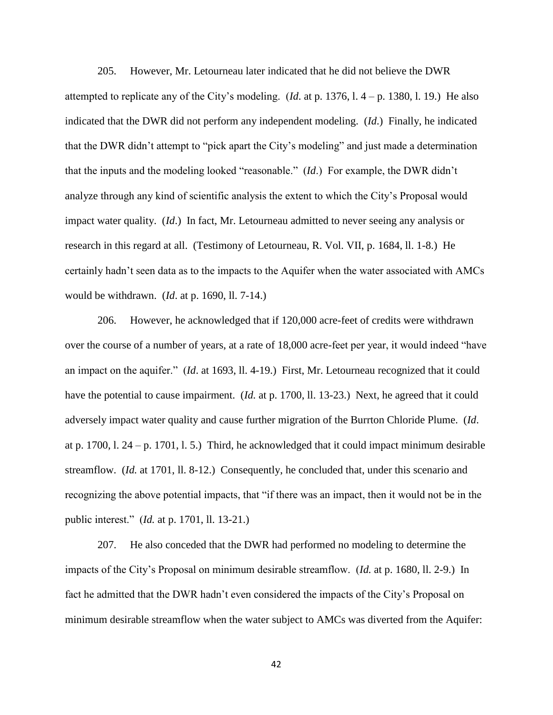205. However, Mr. Letourneau later indicated that he did not believe the DWR attempted to replicate any of the City's modeling. (*Id*. at p. 1376, l. 4 – p. 1380, l. 19.) He also indicated that the DWR did not perform any independent modeling. (*Id*.) Finally, he indicated that the DWR didn't attempt to "pick apart the City's modeling" and just made a determination that the inputs and the modeling looked "reasonable." (*Id*.) For example, the DWR didn't analyze through any kind of scientific analysis the extent to which the City's Proposal would impact water quality. (*Id*.) In fact, Mr. Letourneau admitted to never seeing any analysis or research in this regard at all. (Testimony of Letourneau, R. Vol. VII, p. 1684, ll. 1-8.) He certainly hadn't seen data as to the impacts to the Aquifer when the water associated with AMCs would be withdrawn. (*Id*. at p. 1690, ll. 7-14.)

206. However, he acknowledged that if 120,000 acre-feet of credits were withdrawn over the course of a number of years, at a rate of 18,000 acre-feet per year, it would indeed "have an impact on the aquifer." (*Id*. at 1693, ll. 4-19.) First, Mr. Letourneau recognized that it could have the potential to cause impairment. *(Id. at p. 1700, ll. 13-23.)* Next, he agreed that it could adversely impact water quality and cause further migration of the Burrton Chloride Plume. (*Id*. at p. 1700, l. 24 – p. 1701, l. 5.) Third, he acknowledged that it could impact minimum desirable streamflow. (*Id.* at 1701, ll. 8-12.) Consequently, he concluded that, under this scenario and recognizing the above potential impacts, that "if there was an impact, then it would not be in the public interest." (*Id.* at p. 1701, ll. 13-21.)

207. He also conceded that the DWR had performed no modeling to determine the impacts of the City's Proposal on minimum desirable streamflow. (*Id.* at p. 1680, ll. 2-9.) In fact he admitted that the DWR hadn't even considered the impacts of the City's Proposal on minimum desirable streamflow when the water subject to AMCs was diverted from the Aquifer: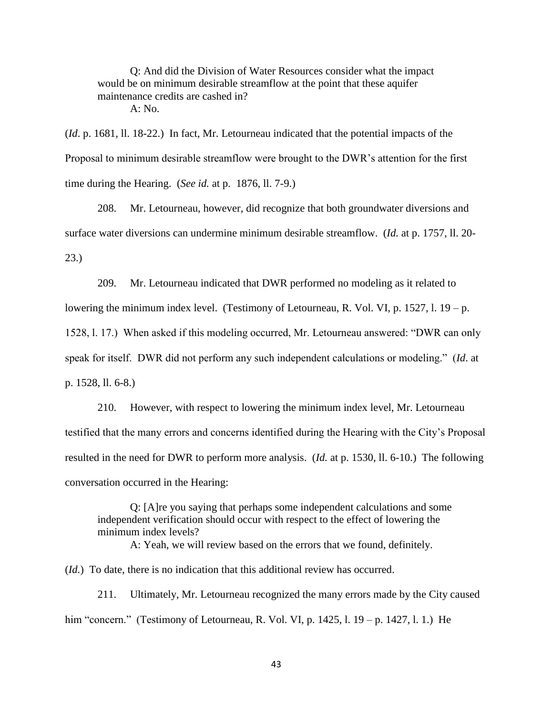Q: And did the Division of Water Resources consider what the impact would be on minimum desirable streamflow at the point that these aquifer maintenance credits are cashed in? A: No.

(*Id*. p. 1681, ll. 18-22.) In fact, Mr. Letourneau indicated that the potential impacts of the Proposal to minimum desirable streamflow were brought to the DWR's attention for the first time during the Hearing. (*See id.* at p. 1876, ll. 7-9.)

208. Mr. Letourneau, however, did recognize that both groundwater diversions and surface water diversions can undermine minimum desirable streamflow. (*Id.* at p. 1757, ll. 20- 23.)

209. Mr. Letourneau indicated that DWR performed no modeling as it related to lowering the minimum index level. (Testimony of Letourneau, R. Vol. VI, p. 1527, l. 19 – p. 1528, l. 17.) When asked if this modeling occurred, Mr. Letourneau answered: "DWR can only speak for itself. DWR did not perform any such independent calculations or modeling." (*Id*. at p. 1528, ll. 6-8.)

210. However, with respect to lowering the minimum index level, Mr. Letourneau testified that the many errors and concerns identified during the Hearing with the City's Proposal resulted in the need for DWR to perform more analysis. (*Id.* at p. 1530, ll. 6-10.) The following conversation occurred in the Hearing:

Q: [A]re you saying that perhaps some independent calculations and some independent verification should occur with respect to the effect of lowering the minimum index levels?

A: Yeah, we will review based on the errors that we found, definitely.

(*Id.*) To date, there is no indication that this additional review has occurred.

211. Ultimately, Mr. Letourneau recognized the many errors made by the City caused him "concern." (Testimony of Letourneau, R. Vol. VI, p. 1425, l. 19 – p. 1427, l. 1.) He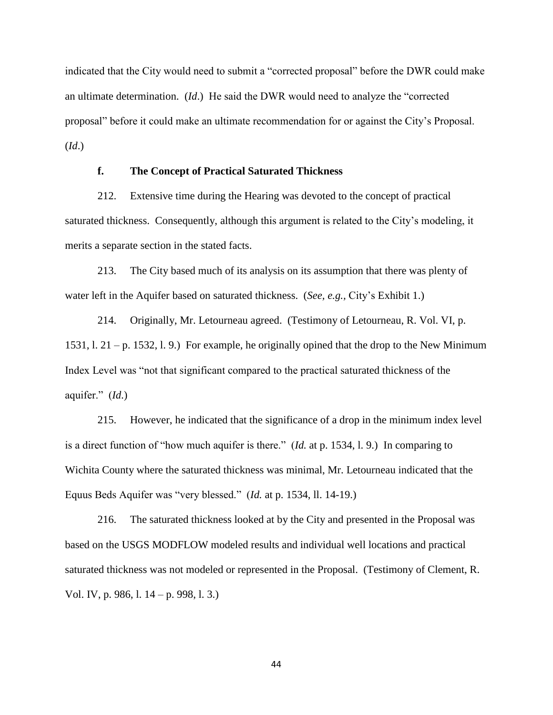indicated that the City would need to submit a "corrected proposal" before the DWR could make an ultimate determination. (*Id*.) He said the DWR would need to analyze the "corrected proposal" before it could make an ultimate recommendation for or against the City's Proposal. (*Id*.)

# **f. The Concept of Practical Saturated Thickness**

212. Extensive time during the Hearing was devoted to the concept of practical saturated thickness. Consequently, although this argument is related to the City's modeling, it merits a separate section in the stated facts.

213. The City based much of its analysis on its assumption that there was plenty of water left in the Aquifer based on saturated thickness. (*See, e.g.,* City's Exhibit 1.)

214. Originally, Mr. Letourneau agreed. (Testimony of Letourneau, R. Vol. VI, p. 1531, l. 21 – p. 1532, l. 9.) For example, he originally opined that the drop to the New Minimum Index Level was "not that significant compared to the practical saturated thickness of the aquifer." (*Id*.)

215. However, he indicated that the significance of a drop in the minimum index level is a direct function of "how much aquifer is there." (*Id.* at p. 1534, l. 9.) In comparing to Wichita County where the saturated thickness was minimal, Mr. Letourneau indicated that the Equus Beds Aquifer was "very blessed." (*Id.* at p. 1534, ll. 14-19.)

216. The saturated thickness looked at by the City and presented in the Proposal was based on the USGS MODFLOW modeled results and individual well locations and practical saturated thickness was not modeled or represented in the Proposal. (Testimony of Clement, R. Vol. IV, p. 986, l. 14 – p. 998, l. 3.)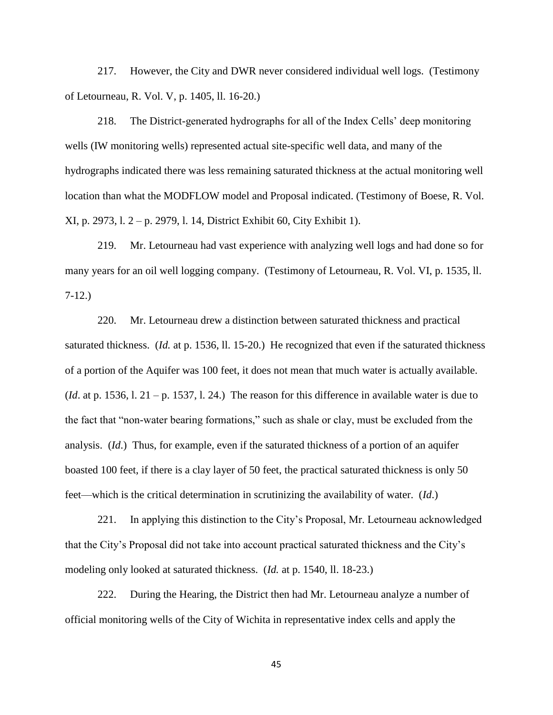217. However, the City and DWR never considered individual well logs. (Testimony of Letourneau, R. Vol. V, p. 1405, ll. 16-20.)

218. The District-generated hydrographs for all of the Index Cells' deep monitoring wells (IW monitoring wells) represented actual site-specific well data, and many of the hydrographs indicated there was less remaining saturated thickness at the actual monitoring well location than what the MODFLOW model and Proposal indicated. (Testimony of Boese, R. Vol. XI, p. 2973, l. 2 – p. 2979, l. 14, District Exhibit 60, City Exhibit 1).

219. Mr. Letourneau had vast experience with analyzing well logs and had done so for many years for an oil well logging company. (Testimony of Letourneau, R. Vol. VI, p. 1535, ll. 7-12.)

220. Mr. Letourneau drew a distinction between saturated thickness and practical saturated thickness. (*Id.* at p. 1536, ll. 15-20.) He recognized that even if the saturated thickness of a portion of the Aquifer was 100 feet, it does not mean that much water is actually available.  $(Id.$ at p. 1536, l.  $21 - p$ . 1537, l.  $24$ .) The reason for this difference in available water is due to the fact that "non-water bearing formations," such as shale or clay, must be excluded from the analysis. (*Id*.) Thus, for example, even if the saturated thickness of a portion of an aquifer boasted 100 feet, if there is a clay layer of 50 feet, the practical saturated thickness is only 50 feet—which is the critical determination in scrutinizing the availability of water. (*Id*.)

221. In applying this distinction to the City's Proposal, Mr. Letourneau acknowledged that the City's Proposal did not take into account practical saturated thickness and the City's modeling only looked at saturated thickness. (*Id.* at p. 1540, ll. 18-23.)

222. During the Hearing, the District then had Mr. Letourneau analyze a number of official monitoring wells of the City of Wichita in representative index cells and apply the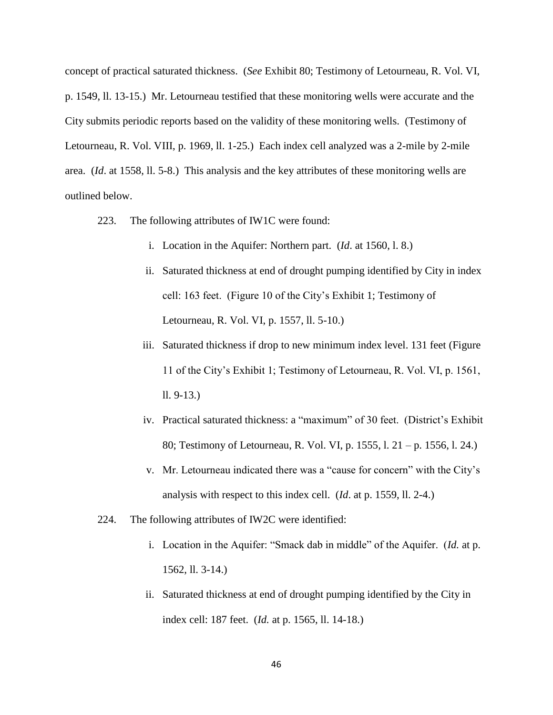concept of practical saturated thickness. (*See* Exhibit 80; Testimony of Letourneau, R. Vol. VI, p. 1549, ll. 13-15.) Mr. Letourneau testified that these monitoring wells were accurate and the City submits periodic reports based on the validity of these monitoring wells. (Testimony of Letourneau, R. Vol. VIII, p. 1969, ll. 1-25.) Each index cell analyzed was a 2-mile by 2-mile area. (*Id*. at 1558, ll. 5-8.) This analysis and the key attributes of these monitoring wells are outlined below.

- 223. The following attributes of IW1C were found:
	- i. Location in the Aquifer: Northern part. (*Id*. at 1560, l. 8.)
	- ii. Saturated thickness at end of drought pumping identified by City in index cell: 163 feet. (Figure 10 of the City's Exhibit 1; Testimony of Letourneau, R. Vol. VI, p. 1557, ll. 5-10.)
	- iii. Saturated thickness if drop to new minimum index level. 131 feet (Figure 11 of the City's Exhibit 1; Testimony of Letourneau, R. Vol. VI, p. 1561, ll. 9-13.)
	- iv. Practical saturated thickness: a "maximum" of 30 feet. (District's Exhibit 80; Testimony of Letourneau, R. Vol. VI, p. 1555, l. 21 – p. 1556, l. 24.)
	- v. Mr. Letourneau indicated there was a "cause for concern" with the City's analysis with respect to this index cell. (*Id*. at p. 1559, ll. 2-4.)
- 224. The following attributes of IW2C were identified:
	- i. Location in the Aquifer: "Smack dab in middle" of the Aquifer. (*Id.* at p. 1562, ll. 3-14.)
	- ii. Saturated thickness at end of drought pumping identified by the City in index cell: 187 feet. (*Id.* at p. 1565, ll. 14-18.)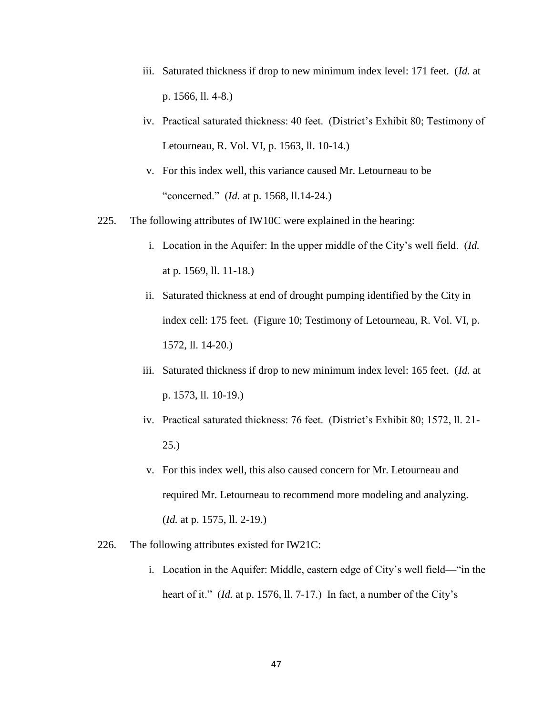- iii. Saturated thickness if drop to new minimum index level: 171 feet. (*Id.* at p. 1566, ll. 4-8.)
- iv. Practical saturated thickness: 40 feet. (District's Exhibit 80; Testimony of Letourneau, R. Vol. VI, p. 1563, ll. 10-14.)
- v. For this index well, this variance caused Mr. Letourneau to be "concerned." (*Id.* at p. 1568, ll.14-24.)
- 225. The following attributes of IW10C were explained in the hearing:
	- i. Location in the Aquifer: In the upper middle of the City's well field. (*Id.*  at p. 1569, ll. 11-18.)
	- ii. Saturated thickness at end of drought pumping identified by the City in index cell: 175 feet. (Figure 10; Testimony of Letourneau, R. Vol. VI, p. 1572, ll. 14-20.)
	- iii. Saturated thickness if drop to new minimum index level: 165 feet. (*Id.* at p. 1573, ll. 10-19.)
	- iv. Practical saturated thickness: 76 feet. (District's Exhibit 80; 1572, ll. 21- 25.)
	- v. For this index well, this also caused concern for Mr. Letourneau and required Mr. Letourneau to recommend more modeling and analyzing. (*Id.* at p. 1575, ll. 2-19.)
- 226. The following attributes existed for IW21C:
	- i. Location in the Aquifer: Middle, eastern edge of City's well field—"in the heart of it." *(Id. at p. 1576, ll. 7-17.)* In fact, a number of the City's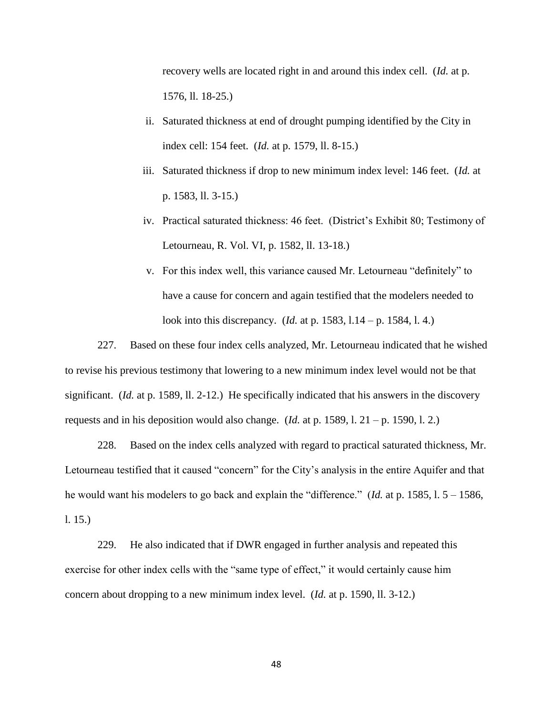recovery wells are located right in and around this index cell. (*Id.* at p. 1576, ll. 18-25.)

- ii. Saturated thickness at end of drought pumping identified by the City in index cell: 154 feet. (*Id.* at p. 1579, ll. 8-15.)
- iii. Saturated thickness if drop to new minimum index level: 146 feet. (*Id.* at p. 1583, ll. 3-15.)
- iv. Practical saturated thickness: 46 feet. (District's Exhibit 80; Testimony of Letourneau, R. Vol. VI, p. 1582, ll. 13-18.)
- v. For this index well, this variance caused Mr. Letourneau "definitely" to have a cause for concern and again testified that the modelers needed to look into this discrepancy. (*Id.* at p. 1583, l.14 – p. 1584, l. 4.)

227. Based on these four index cells analyzed, Mr. Letourneau indicated that he wished to revise his previous testimony that lowering to a new minimum index level would not be that significant. (*Id.* at p. 1589, ll. 2-12.) He specifically indicated that his answers in the discovery requests and in his deposition would also change. (*Id.* at p. 1589, l. 21 – p. 1590, l. 2.)

228. Based on the index cells analyzed with regard to practical saturated thickness, Mr. Letourneau testified that it caused "concern" for the City's analysis in the entire Aquifer and that he would want his modelers to go back and explain the "difference." (*Id.* at p. 1585, l. 5 – 1586, l. 15.)

229. He also indicated that if DWR engaged in further analysis and repeated this exercise for other index cells with the "same type of effect," it would certainly cause him concern about dropping to a new minimum index level. (*Id.* at p. 1590, ll. 3-12.)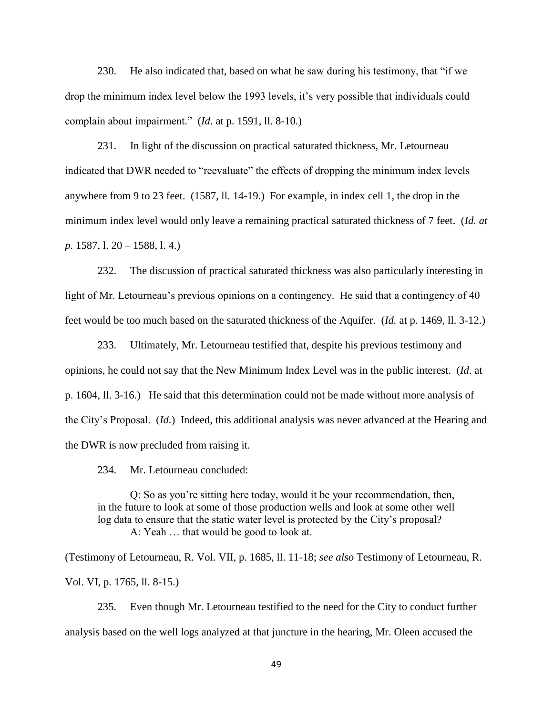230. He also indicated that, based on what he saw during his testimony, that "if we drop the minimum index level below the 1993 levels, it's very possible that individuals could complain about impairment." (*Id.* at p. 1591, ll. 8-10.)

231. In light of the discussion on practical saturated thickness, Mr. Letourneau indicated that DWR needed to "reevaluate" the effects of dropping the minimum index levels anywhere from 9 to 23 feet. (1587, ll. 14-19.) For example, in index cell 1, the drop in the minimum index level would only leave a remaining practical saturated thickness of 7 feet. (*Id. at p.* 1587, l. 20 – 1588, l. 4.)

232. The discussion of practical saturated thickness was also particularly interesting in light of Mr. Letourneau's previous opinions on a contingency. He said that a contingency of 40 feet would be too much based on the saturated thickness of the Aquifer. (*Id.* at p. 1469, ll. 3-12.)

233. Ultimately, Mr. Letourneau testified that, despite his previous testimony and opinions, he could not say that the New Minimum Index Level was in the public interest. (*Id*. at p. 1604, ll. 3-16.) He said that this determination could not be made without more analysis of the City's Proposal. (*Id*.) Indeed, this additional analysis was never advanced at the Hearing and the DWR is now precluded from raising it.

234. Mr. Letourneau concluded:

Q: So as you're sitting here today, would it be your recommendation, then, in the future to look at some of those production wells and look at some other well log data to ensure that the static water level is protected by the City's proposal? A: Yeah … that would be good to look at.

(Testimony of Letourneau, R. Vol. VII, p. 1685, ll. 11-18; *see also* Testimony of Letourneau, R. Vol. VI, p. 1765, ll. 8-15.)

235. Even though Mr. Letourneau testified to the need for the City to conduct further analysis based on the well logs analyzed at that juncture in the hearing, Mr. Oleen accused the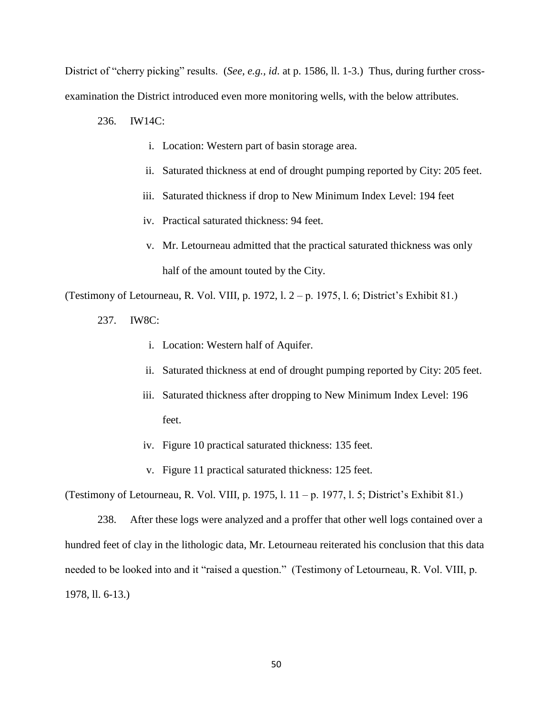District of "cherry picking" results. (*See, e.g., id*. at p. 1586, ll. 1-3.) Thus, during further crossexamination the District introduced even more monitoring wells, with the below attributes.

236. IW14C:

- i. Location: Western part of basin storage area.
- ii. Saturated thickness at end of drought pumping reported by City: 205 feet.
- iii. Saturated thickness if drop to New Minimum Index Level: 194 feet
- iv. Practical saturated thickness: 94 feet.
- v. Mr. Letourneau admitted that the practical saturated thickness was only half of the amount touted by the City.

(Testimony of Letourneau, R. Vol. VIII, p. 1972, l. 2 – p. 1975, l. 6; District's Exhibit 81.)

- 237. IW8C:
	- i. Location: Western half of Aquifer.
	- ii. Saturated thickness at end of drought pumping reported by City: 205 feet.
	- iii. Saturated thickness after dropping to New Minimum Index Level: 196 feet.
	- iv. Figure 10 practical saturated thickness: 135 feet.
	- v. Figure 11 practical saturated thickness: 125 feet.

(Testimony of Letourneau, R. Vol. VIII, p. 1975, l. 11 – p. 1977, l. 5; District's Exhibit 81.)

238. After these logs were analyzed and a proffer that other well logs contained over a hundred feet of clay in the lithologic data, Mr. Letourneau reiterated his conclusion that this data needed to be looked into and it "raised a question." (Testimony of Letourneau, R. Vol. VIII, p. 1978, ll. 6-13.)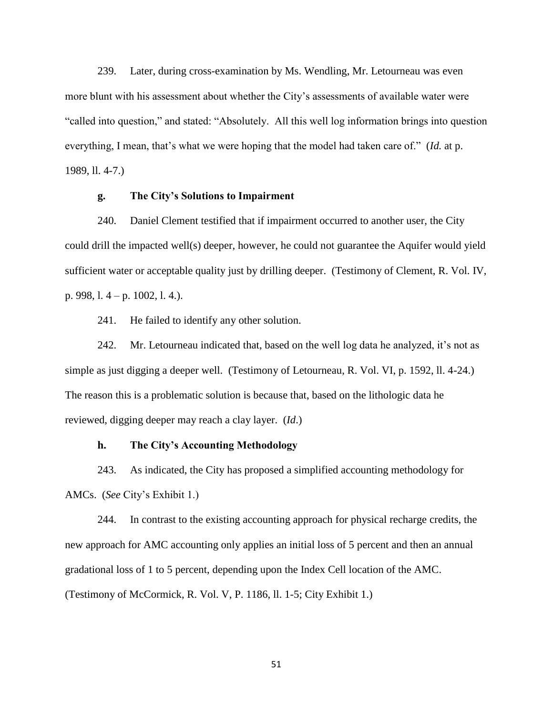239. Later, during cross-examination by Ms. Wendling, Mr. Letourneau was even more blunt with his assessment about whether the City's assessments of available water were "called into question," and stated: "Absolutely. All this well log information brings into question everything, I mean, that's what we were hoping that the model had taken care of." (*Id.* at p. 1989, ll. 4-7.)

## **g. The City's Solutions to Impairment**

240. Daniel Clement testified that if impairment occurred to another user, the City could drill the impacted well(s) deeper, however, he could not guarantee the Aquifer would yield sufficient water or acceptable quality just by drilling deeper. (Testimony of Clement, R. Vol. IV, p. 998, l. 4 – p. 1002, l. 4.).

241. He failed to identify any other solution.

242. Mr. Letourneau indicated that, based on the well log data he analyzed, it's not as simple as just digging a deeper well. (Testimony of Letourneau, R. Vol. VI, p. 1592, ll. 4-24.) The reason this is a problematic solution is because that, based on the lithologic data he reviewed, digging deeper may reach a clay layer. (*Id*.)

## **h. The City's Accounting Methodology**

243. As indicated, the City has proposed a simplified accounting methodology for AMCs. (*See* City's Exhibit 1.)

244. In contrast to the existing accounting approach for physical recharge credits, the new approach for AMC accounting only applies an initial loss of 5 percent and then an annual gradational loss of 1 to 5 percent, depending upon the Index Cell location of the AMC. (Testimony of McCormick, R. Vol. V, P. 1186, ll. 1-5; City Exhibit 1.)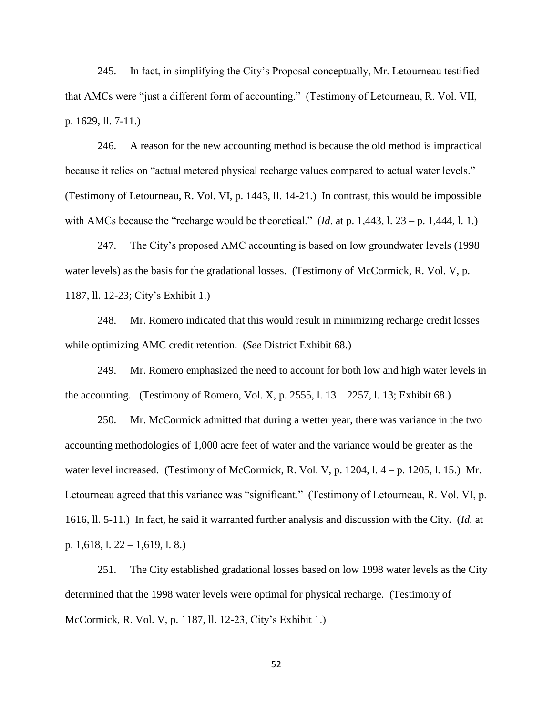245. In fact, in simplifying the City's Proposal conceptually, Mr. Letourneau testified that AMCs were "just a different form of accounting." (Testimony of Letourneau, R. Vol. VII, p. 1629, ll. 7-11.)

246. A reason for the new accounting method is because the old method is impractical because it relies on "actual metered physical recharge values compared to actual water levels." (Testimony of Letourneau, R. Vol. VI, p. 1443, ll. 14-21.) In contrast, this would be impossible with AMCs because the "recharge would be theoretical." (*Id.* at p. 1,443, 1. 23 – p. 1,444, 1. 1.)

247. The City's proposed AMC accounting is based on low groundwater levels (1998 water levels) as the basis for the gradational losses. (Testimony of McCormick, R. Vol. V, p. 1187, ll. 12-23; City's Exhibit 1.)

248. Mr. Romero indicated that this would result in minimizing recharge credit losses while optimizing AMC credit retention. (*See* District Exhibit 68.)

249. Mr. Romero emphasized the need to account for both low and high water levels in the accounting. (Testimony of Romero, Vol. X, p. 2555, l.  $13 - 2257$ , l.  $13$ ; Exhibit 68.)

250. Mr. McCormick admitted that during a wetter year, there was variance in the two accounting methodologies of 1,000 acre feet of water and the variance would be greater as the water level increased. (Testimony of McCormick, R. Vol. V, p. 1204, l.  $4-p$ . 1205, l. 15.) Mr. Letourneau agreed that this variance was "significant." (Testimony of Letourneau, R. Vol. VI, p. 1616, ll. 5-11.) In fact, he said it warranted further analysis and discussion with the City. (*Id.* at p. 1,618, l. 22 – 1,619, l. 8.)

251. The City established gradational losses based on low 1998 water levels as the City determined that the 1998 water levels were optimal for physical recharge. (Testimony of McCormick, R. Vol. V, p. 1187, ll. 12-23, City's Exhibit 1.)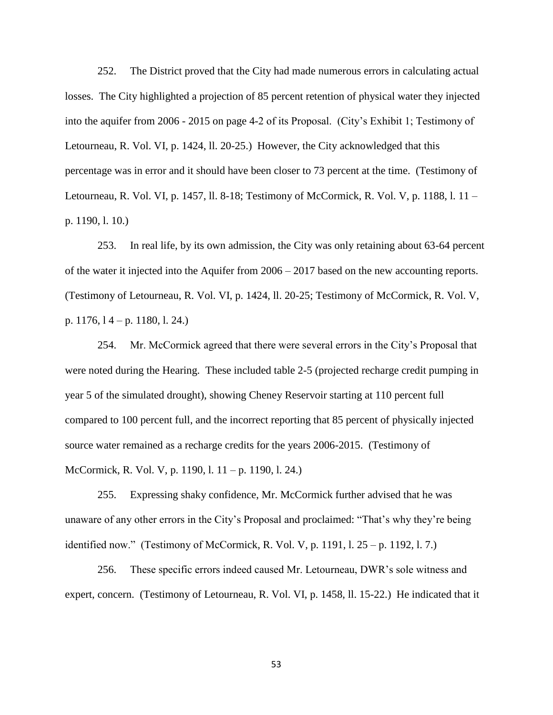252. The District proved that the City had made numerous errors in calculating actual losses. The City highlighted a projection of 85 percent retention of physical water they injected into the aquifer from 2006 - 2015 on page 4-2 of its Proposal. (City's Exhibit 1; Testimony of Letourneau, R. Vol. VI, p. 1424, ll. 20-25.) However, the City acknowledged that this percentage was in error and it should have been closer to 73 percent at the time. (Testimony of Letourneau, R. Vol. VI, p. 1457, ll. 8-18; Testimony of McCormick, R. Vol. V, p. 1188, l. 11 – p. 1190, l. 10.)

253. In real life, by its own admission, the City was only retaining about 63-64 percent of the water it injected into the Aquifer from 2006 – 2017 based on the new accounting reports. (Testimony of Letourneau, R. Vol. VI, p. 1424, ll. 20-25; Testimony of McCormick, R. Vol. V, p. 1176, l 4 – p. 1180, l. 24.)

254. Mr. McCormick agreed that there were several errors in the City's Proposal that were noted during the Hearing. These included table 2-5 (projected recharge credit pumping in year 5 of the simulated drought), showing Cheney Reservoir starting at 110 percent full compared to 100 percent full, and the incorrect reporting that 85 percent of physically injected source water remained as a recharge credits for the years 2006-2015. (Testimony of McCormick, R. Vol. V, p. 1190, l. 11 – p. 1190, l. 24.)

255. Expressing shaky confidence, Mr. McCormick further advised that he was unaware of any other errors in the City's Proposal and proclaimed: "That's why they're being identified now." (Testimony of McCormick, R. Vol. V, p. 1191, l. 25 – p. 1192, l. 7.)

256. These specific errors indeed caused Mr. Letourneau, DWR's sole witness and expert, concern. (Testimony of Letourneau, R. Vol. VI, p. 1458, ll. 15-22.) He indicated that it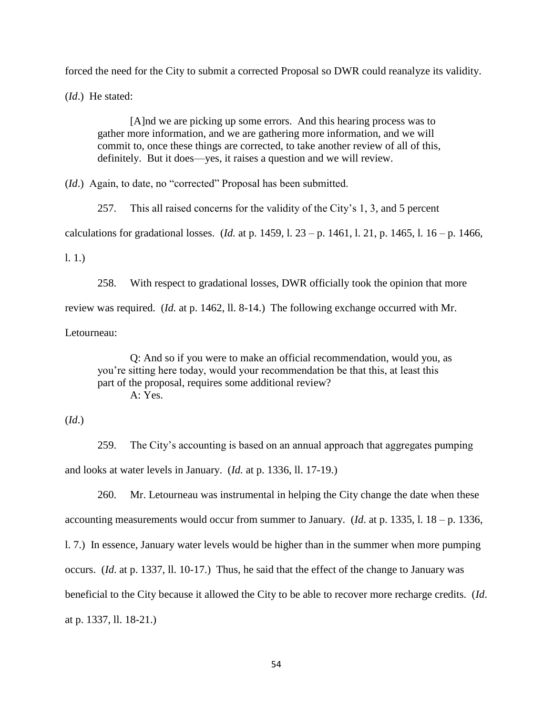forced the need for the City to submit a corrected Proposal so DWR could reanalyze its validity.

(*Id*.) He stated:

[A]nd we are picking up some errors. And this hearing process was to gather more information, and we are gathering more information, and we will commit to, once these things are corrected, to take another review of all of this, definitely. But it does—yes, it raises a question and we will review.

(*Id*.) Again, to date, no "corrected" Proposal has been submitted.

257. This all raised concerns for the validity of the City's 1, 3, and 5 percent calculations for gradational losses. (*Id.* at p. 1459, l. 23 – p. 1461, l. 21, p. 1465, l. 16 – p. 1466,

l. 1.)

258. With respect to gradational losses, DWR officially took the opinion that more review was required. (*Id.* at p. 1462, ll. 8-14.) The following exchange occurred with Mr. Letourneau:

Q: And so if you were to make an official recommendation, would you, as you're sitting here today, would your recommendation be that this, at least this part of the proposal, requires some additional review? A: Yes.

# (*Id*.)

259. The City's accounting is based on an annual approach that aggregates pumping and looks at water levels in January. (*Id.* at p. 1336, ll. 17-19.)

260. Mr. Letourneau was instrumental in helping the City change the date when these accounting measurements would occur from summer to January. (*Id*. at p. 1335, l. 18 – p. 1336, l. 7.) In essence, January water levels would be higher than in the summer when more pumping occurs. (*Id*. at p. 1337, ll. 10-17.) Thus, he said that the effect of the change to January was beneficial to the City because it allowed the City to be able to recover more recharge credits. (*Id*. at p. 1337, ll. 18-21.)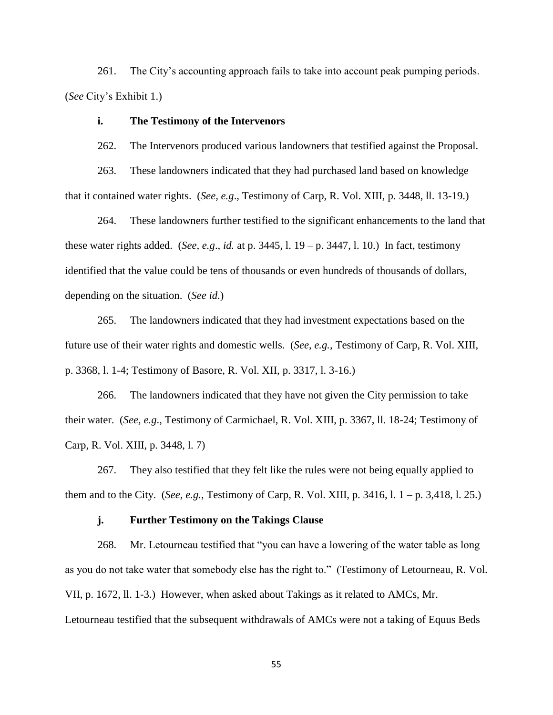261. The City's accounting approach fails to take into account peak pumping periods. (*See* City's Exhibit 1.)

## **i. The Testimony of the Intervenors**

262. The Intervenors produced various landowners that testified against the Proposal.

263. These landowners indicated that they had purchased land based on knowledge that it contained water rights. (*See, e.g*., Testimony of Carp, R. Vol. XIII, p. 3448, ll. 13-19.)

264. These landowners further testified to the significant enhancements to the land that these water rights added. (*See, e.g*., *id.* at p. 3445, l. 19 – p. 3447, l. 10.) In fact, testimony identified that the value could be tens of thousands or even hundreds of thousands of dollars, depending on the situation. (*See id*.)

265. The landowners indicated that they had investment expectations based on the future use of their water rights and domestic wells. (*See, e.g.,* Testimony of Carp, R. Vol. XIII, p. 3368, l. 1-4; Testimony of Basore, R. Vol. XII, p. 3317, l. 3-16.)

266. The landowners indicated that they have not given the City permission to take their water. (*See, e.g*., Testimony of Carmichael, R. Vol. XIII, p. 3367, ll. 18-24; Testimony of Carp, R. Vol. XIII, p. 3448, l. 7)

267. They also testified that they felt like the rules were not being equally applied to them and to the City. (*See, e.g.*, Testimony of Carp, R. Vol. XIII, p. 3416, l. 1 – p. 3,418, l. 25.)

### **j. Further Testimony on the Takings Clause**

268. Mr. Letourneau testified that "you can have a lowering of the water table as long as you do not take water that somebody else has the right to." (Testimony of Letourneau, R. Vol. VII, p. 1672, ll. 1-3.) However, when asked about Takings as it related to AMCs, Mr. Letourneau testified that the subsequent withdrawals of AMCs were not a taking of Equus Beds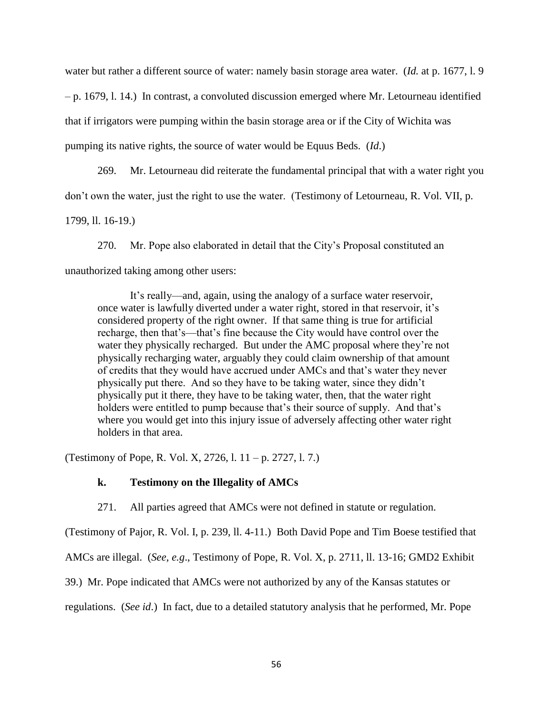water but rather a different source of water: namely basin storage area water. (*Id.* at p. 1677, l. 9 – p. 1679, l. 14.) In contrast, a convoluted discussion emerged where Mr. Letourneau identified that if irrigators were pumping within the basin storage area or if the City of Wichita was pumping its native rights, the source of water would be Equus Beds. (*Id*.)

269. Mr. Letourneau did reiterate the fundamental principal that with a water right you don't own the water, just the right to use the water. (Testimony of Letourneau, R. Vol. VII, p.

1799, ll. 16-19.)

270. Mr. Pope also elaborated in detail that the City's Proposal constituted an unauthorized taking among other users:

It's really—and, again, using the analogy of a surface water reservoir, once water is lawfully diverted under a water right, stored in that reservoir, it's considered property of the right owner. If that same thing is true for artificial recharge, then that's—that's fine because the City would have control over the water they physically recharged. But under the AMC proposal where they're not physically recharging water, arguably they could claim ownership of that amount of credits that they would have accrued under AMCs and that's water they never physically put there. And so they have to be taking water, since they didn't physically put it there, they have to be taking water, then, that the water right holders were entitled to pump because that's their source of supply. And that's where you would get into this injury issue of adversely affecting other water right holders in that area.

(Testimony of Pope, R. Vol. X, 2726, l. 11 – p. 2727, l. 7.)

## **k. Testimony on the Illegality of AMCs**

271. All parties agreed that AMCs were not defined in statute or regulation.

(Testimony of Pajor, R. Vol. I, p. 239, ll. 4-11.) Both David Pope and Tim Boese testified that

AMCs are illegal. (*See, e.g*., Testimony of Pope, R. Vol. X, p. 2711, ll. 13-16; GMD2 Exhibit

39.) Mr. Pope indicated that AMCs were not authorized by any of the Kansas statutes or

regulations. (*See id*.) In fact, due to a detailed statutory analysis that he performed, Mr. Pope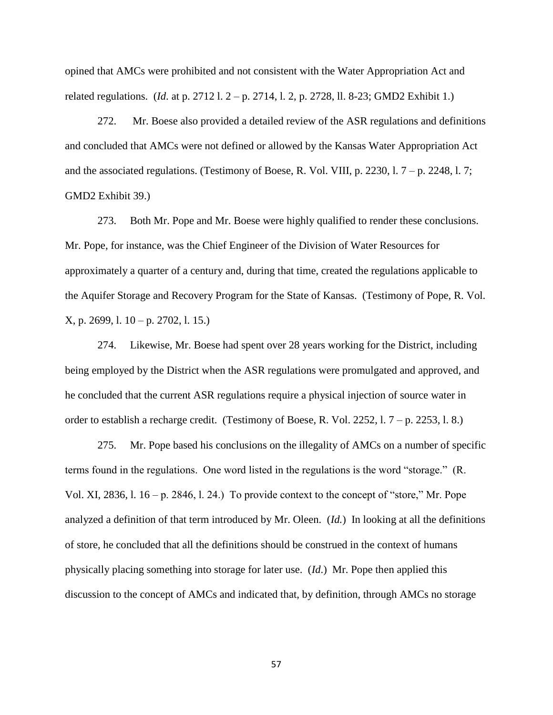opined that AMCs were prohibited and not consistent with the Water Appropriation Act and related regulations. (*Id*. at p. 2712 l. 2 – p. 2714, l. 2, p. 2728, ll. 8-23; GMD2 Exhibit 1.)

272. Mr. Boese also provided a detailed review of the ASR regulations and definitions and concluded that AMCs were not defined or allowed by the Kansas Water Appropriation Act and the associated regulations. (Testimony of Boese, R. Vol. VIII, p. 2230, l.  $7 - p$ . 2248, l. 7; GMD2 Exhibit 39.)

273. Both Mr. Pope and Mr. Boese were highly qualified to render these conclusions. Mr. Pope, for instance, was the Chief Engineer of the Division of Water Resources for approximately a quarter of a century and, during that time, created the regulations applicable to the Aquifer Storage and Recovery Program for the State of Kansas. (Testimony of Pope, R. Vol. X, p. 2699, l. 10 – p. 2702, l. 15.)

274. Likewise, Mr. Boese had spent over 28 years working for the District, including being employed by the District when the ASR regulations were promulgated and approved, and he concluded that the current ASR regulations require a physical injection of source water in order to establish a recharge credit. (Testimony of Boese, R. Vol. 2252, l. 7 – p. 2253, l. 8.)

275. Mr. Pope based his conclusions on the illegality of AMCs on a number of specific terms found in the regulations. One word listed in the regulations is the word "storage." (R. Vol. XI, 2836, l.  $16 - p$ . 2846, l. 24.) To provide context to the concept of "store," Mr. Pope analyzed a definition of that term introduced by Mr. Oleen. (*Id.*) In looking at all the definitions of store, he concluded that all the definitions should be construed in the context of humans physically placing something into storage for later use. (*Id*.) Mr. Pope then applied this discussion to the concept of AMCs and indicated that, by definition, through AMCs no storage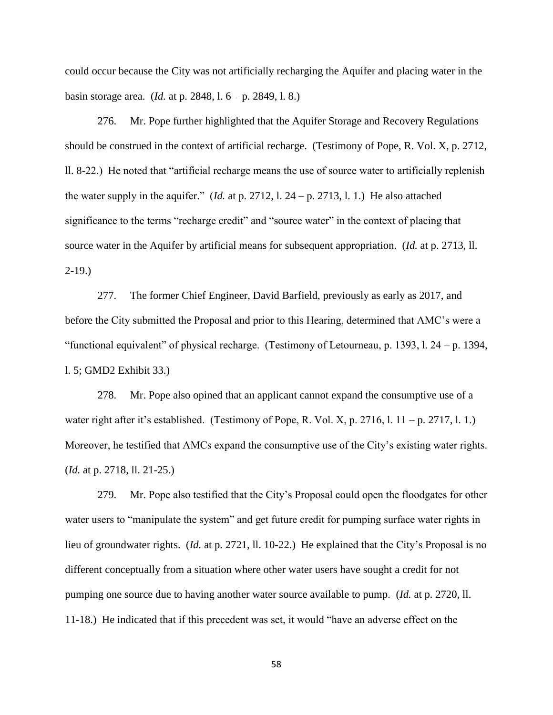could occur because the City was not artificially recharging the Aquifer and placing water in the basin storage area. (*Id.* at p. 2848, l. 6 – p. 2849, l. 8.)

276. Mr. Pope further highlighted that the Aquifer Storage and Recovery Regulations should be construed in the context of artificial recharge. (Testimony of Pope, R. Vol. X, p. 2712, ll. 8-22.) He noted that "artificial recharge means the use of source water to artificially replenish the water supply in the aquifer." (*Id.* at p. 2712, 1. 24 – p. 2713, 1. 1.) He also attached significance to the terms "recharge credit" and "source water" in the context of placing that source water in the Aquifer by artificial means for subsequent appropriation. (*Id.* at p. 2713, ll. 2-19.)

277. The former Chief Engineer, David Barfield, previously as early as 2017, and before the City submitted the Proposal and prior to this Hearing, determined that AMC's were a "functional equivalent" of physical recharge. (Testimony of Letourneau, p. 1393, l. 24 – p. 1394, l. 5; GMD2 Exhibit 33.)

278. Mr. Pope also opined that an applicant cannot expand the consumptive use of a water right after it's established. (Testimony of Pope, R. Vol. X, p. 2716, l.  $11 - p$ . 2717, l. 1.) Moreover, he testified that AMCs expand the consumptive use of the City's existing water rights. (*Id.* at p. 2718, ll. 21-25.)

279. Mr. Pope also testified that the City's Proposal could open the floodgates for other water users to "manipulate the system" and get future credit for pumping surface water rights in lieu of groundwater rights. (*Id.* at p. 2721, ll. 10-22.) He explained that the City's Proposal is no different conceptually from a situation where other water users have sought a credit for not pumping one source due to having another water source available to pump. (*Id.* at p. 2720, ll. 11-18.) He indicated that if this precedent was set, it would "have an adverse effect on the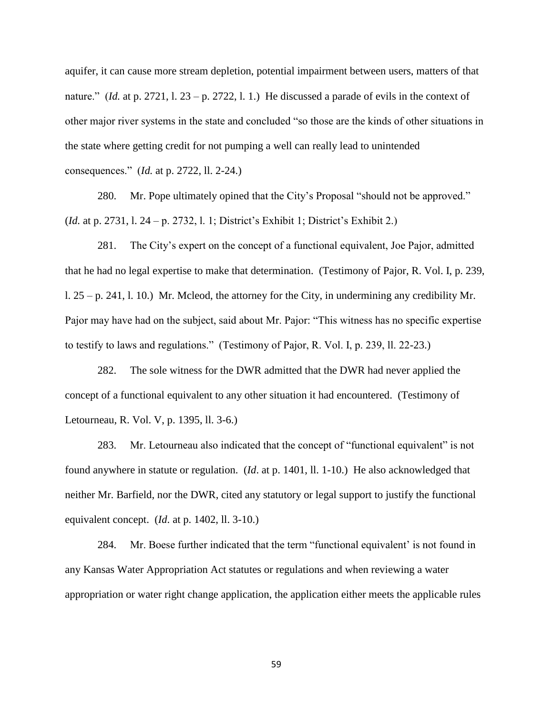aquifer, it can cause more stream depletion, potential impairment between users, matters of that nature." (*Id.* at p. 2721, 1. 23 – p. 2722, 1. 1.) He discussed a parade of evils in the context of other major river systems in the state and concluded "so those are the kinds of other situations in the state where getting credit for not pumping a well can really lead to unintended consequences." (*Id.* at p. 2722, ll. 2-24.)

280. Mr. Pope ultimately opined that the City's Proposal "should not be approved." (*Id.* at p. 2731, l. 24 – p. 2732, l. 1; District's Exhibit 1; District's Exhibit 2.)

281. The City's expert on the concept of a functional equivalent, Joe Pajor, admitted that he had no legal expertise to make that determination. (Testimony of Pajor, R. Vol. I, p. 239, l. 25 – p. 241, l. 10.) Mr. Mcleod, the attorney for the City, in undermining any credibility Mr. Pajor may have had on the subject, said about Mr. Pajor: "This witness has no specific expertise to testify to laws and regulations." (Testimony of Pajor, R. Vol. I, p. 239, ll. 22-23.)

282. The sole witness for the DWR admitted that the DWR had never applied the concept of a functional equivalent to any other situation it had encountered. (Testimony of Letourneau, R. Vol. V, p. 1395, ll. 3-6.)

283. Mr. Letourneau also indicated that the concept of "functional equivalent" is not found anywhere in statute or regulation. (*Id*. at p. 1401, ll. 1-10.) He also acknowledged that neither Mr. Barfield, nor the DWR, cited any statutory or legal support to justify the functional equivalent concept. (*Id*. at p. 1402, ll. 3-10.)

284. Mr. Boese further indicated that the term "functional equivalent' is not found in any Kansas Water Appropriation Act statutes or regulations and when reviewing a water appropriation or water right change application, the application either meets the applicable rules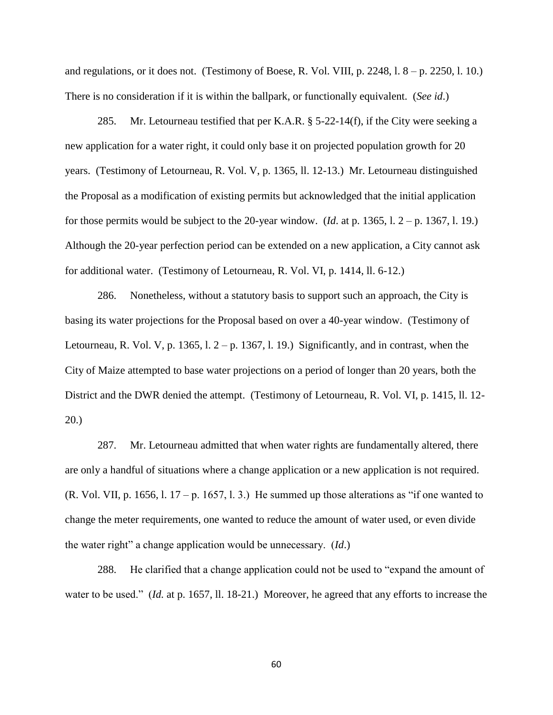and regulations, or it does not. (Testimony of Boese, R. Vol. VIII, p. 2248,  $1.8 - p.$  2250,  $1.10$ .) There is no consideration if it is within the ballpark, or functionally equivalent. (*See id*.)

285. Mr. Letourneau testified that per K.A.R.  $\S$  5-22-14(f), if the City were seeking a new application for a water right, it could only base it on projected population growth for 20 years. (Testimony of Letourneau, R. Vol. V, p. 1365, ll. 12-13.) Mr. Letourneau distinguished the Proposal as a modification of existing permits but acknowledged that the initial application for those permits would be subject to the 20-year window. (*Id*. at p. 1365, l. 2 – p. 1367, l. 19.) Although the 20-year perfection period can be extended on a new application, a City cannot ask for additional water. (Testimony of Letourneau, R. Vol. VI, p. 1414, ll. 6-12.)

286. Nonetheless, without a statutory basis to support such an approach, the City is basing its water projections for the Proposal based on over a 40-year window. (Testimony of Letourneau, R. Vol. V, p. 1365, l.  $2-p$ . 1367, l. 19.) Significantly, and in contrast, when the City of Maize attempted to base water projections on a period of longer than 20 years, both the District and the DWR denied the attempt. (Testimony of Letourneau, R. Vol. VI, p. 1415, ll. 12- 20.)

287. Mr. Letourneau admitted that when water rights are fundamentally altered, there are only a handful of situations where a change application or a new application is not required. (R. Vol. VII, p. 1656, l. 17 – p. 1657, l. 3.) He summed up those alterations as "if one wanted to change the meter requirements, one wanted to reduce the amount of water used, or even divide the water right" a change application would be unnecessary. (*Id*.)

288. He clarified that a change application could not be used to "expand the amount of water to be used." (*Id.* at p. 1657, ll. 18-21.) Moreover, he agreed that any efforts to increase the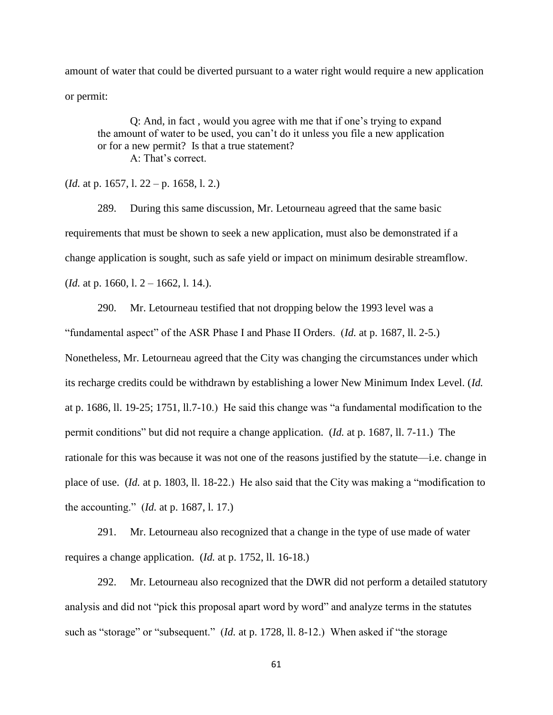amount of water that could be diverted pursuant to a water right would require a new application or permit:

Q: And, in fact , would you agree with me that if one's trying to expand the amount of water to be used, you can't do it unless you file a new application or for a new permit? Is that a true statement? A: That's correct.

(*Id.* at p. 1657, l. 22 – p. 1658, l. 2.)

289. During this same discussion, Mr. Letourneau agreed that the same basic requirements that must be shown to seek a new application, must also be demonstrated if a change application is sought, such as safe yield or impact on minimum desirable streamflow. (*Id.* at p. 1660, l. 2 – 1662, l. 14.).

290. Mr. Letourneau testified that not dropping below the 1993 level was a "fundamental aspect" of the ASR Phase I and Phase II Orders. (*Id.* at p. 1687, ll. 2-5.) Nonetheless, Mr. Letourneau agreed that the City was changing the circumstances under which its recharge credits could be withdrawn by establishing a lower New Minimum Index Level. (*Id.*  at p. 1686, ll. 19-25; 1751, ll.7-10.) He said this change was "a fundamental modification to the permit conditions" but did not require a change application. (*Id.* at p. 1687, ll. 7-11.) The rationale for this was because it was not one of the reasons justified by the statute—i.e. change in place of use. (*Id.* at p. 1803, ll. 18-22.) He also said that the City was making a "modification to the accounting." (*Id.* at p. 1687, l. 17.)

291. Mr. Letourneau also recognized that a change in the type of use made of water requires a change application. (*Id.* at p. 1752, ll. 16-18.)

292. Mr. Letourneau also recognized that the DWR did not perform a detailed statutory analysis and did not "pick this proposal apart word by word" and analyze terms in the statutes such as "storage" or "subsequent." (*Id.* at p. 1728, ll. 8-12.) When asked if "the storage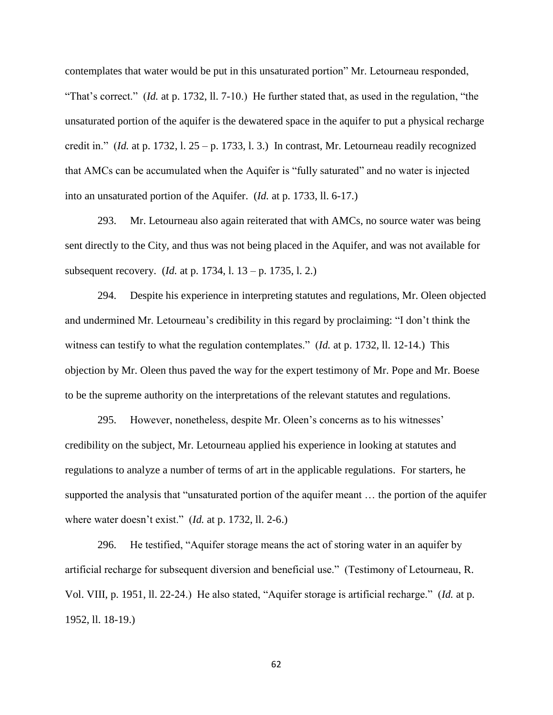contemplates that water would be put in this unsaturated portion" Mr. Letourneau responded, "That's correct." (*Id.* at p. 1732, ll. 7-10.) He further stated that, as used in the regulation, "the unsaturated portion of the aquifer is the dewatered space in the aquifer to put a physical recharge credit in." (*Id.* at p. 1732, l.  $25 - p$ , 1733, l. 3.) In contrast, Mr. Letourneau readily recognized that AMCs can be accumulated when the Aquifer is "fully saturated" and no water is injected into an unsaturated portion of the Aquifer. (*Id.* at p. 1733, ll. 6-17.)

293. Mr. Letourneau also again reiterated that with AMCs, no source water was being sent directly to the City, and thus was not being placed in the Aquifer, and was not available for subsequent recovery. (*Id.* at p. 1734, l. 13 – p. 1735, l. 2.)

294. Despite his experience in interpreting statutes and regulations, Mr. Oleen objected and undermined Mr. Letourneau's credibility in this regard by proclaiming: "I don't think the witness can testify to what the regulation contemplates." (*Id.* at p. 1732, ll. 12-14.) This objection by Mr. Oleen thus paved the way for the expert testimony of Mr. Pope and Mr. Boese to be the supreme authority on the interpretations of the relevant statutes and regulations.

295. However, nonetheless, despite Mr. Oleen's concerns as to his witnesses' credibility on the subject, Mr. Letourneau applied his experience in looking at statutes and regulations to analyze a number of terms of art in the applicable regulations. For starters, he supported the analysis that "unsaturated portion of the aquifer meant … the portion of the aquifer where water doesn't exist." (*Id.* at p. 1732, ll. 2-6.)

296. He testified, "Aquifer storage means the act of storing water in an aquifer by artificial recharge for subsequent diversion and beneficial use." (Testimony of Letourneau, R. Vol. VIII, p. 1951, ll. 22-24.) He also stated, "Aquifer storage is artificial recharge." (*Id.* at p. 1952, ll. 18-19.)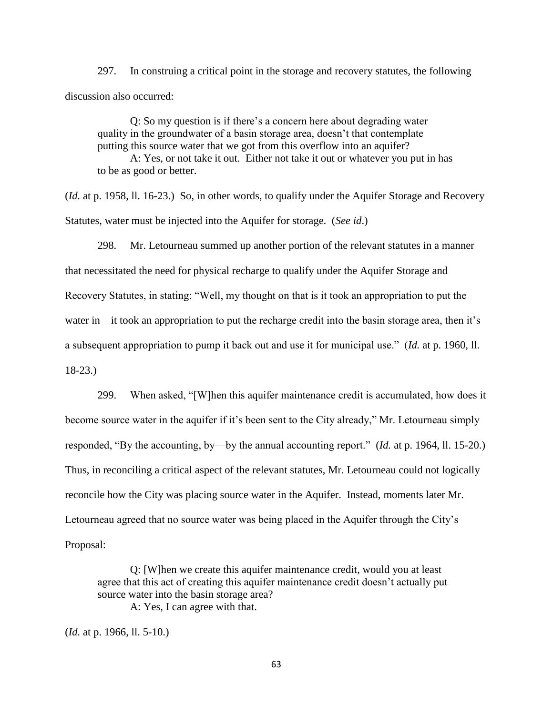297. In construing a critical point in the storage and recovery statutes, the following discussion also occurred:

Q: So my question is if there's a concern here about degrading water quality in the groundwater of a basin storage area, doesn't that contemplate putting this source water that we got from this overflow into an aquifer?

A: Yes, or not take it out. Either not take it out or whatever you put in has to be as good or better.

(*Id.* at p. 1958, ll. 16-23.) So, in other words, to qualify under the Aquifer Storage and Recovery Statutes, water must be injected into the Aquifer for storage. (*See id*.)

298. Mr. Letourneau summed up another portion of the relevant statutes in a manner that necessitated the need for physical recharge to qualify under the Aquifer Storage and Recovery Statutes, in stating: "Well, my thought on that is it took an appropriation to put the water in—it took an appropriation to put the recharge credit into the basin storage area, then it's a subsequent appropriation to pump it back out and use it for municipal use." (*Id.* at p. 1960, ll. 18-23.)

299. When asked, "[W]hen this aquifer maintenance credit is accumulated, how does it become source water in the aquifer if it's been sent to the City already," Mr. Letourneau simply responded, "By the accounting, by—by the annual accounting report." (*Id.* at p. 1964, ll. 15-20.) Thus, in reconciling a critical aspect of the relevant statutes, Mr. Letourneau could not logically reconcile how the City was placing source water in the Aquifer. Instead, moments later Mr. Letourneau agreed that no source water was being placed in the Aquifer through the City's Proposal:

Q: [W]hen we create this aquifer maintenance credit, would you at least agree that this act of creating this aquifer maintenance credit doesn't actually put source water into the basin storage area? A: Yes, I can agree with that.

(*Id.* at p. 1966, ll. 5-10.)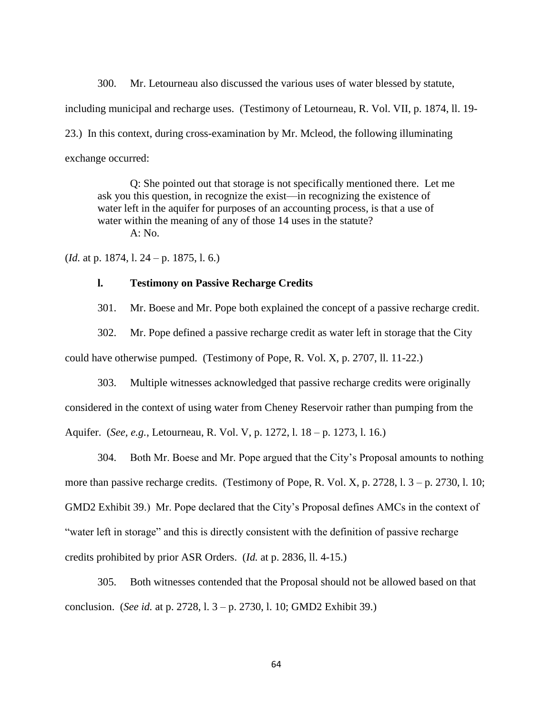300. Mr. Letourneau also discussed the various uses of water blessed by statute, including municipal and recharge uses. (Testimony of Letourneau, R. Vol. VII, p. 1874, ll. 19- 23.) In this context, during cross-examination by Mr. Mcleod, the following illuminating exchange occurred:

Q: She pointed out that storage is not specifically mentioned there. Let me ask you this question, in recognize the exist—in recognizing the existence of water left in the aquifer for purposes of an accounting process, is that a use of water within the meaning of any of those 14 uses in the statute? A: No.

(*Id.* at p. 1874, l. 24 – p. 1875, l. 6.)

## **l. Testimony on Passive Recharge Credits**

301. Mr. Boese and Mr. Pope both explained the concept of a passive recharge credit.

302. Mr. Pope defined a passive recharge credit as water left in storage that the City

could have otherwise pumped. (Testimony of Pope, R. Vol. X, p. 2707, ll. 11-22.)

303. Multiple witnesses acknowledged that passive recharge credits were originally considered in the context of using water from Cheney Reservoir rather than pumping from the Aquifer. (*See, e.g.*, Letourneau, R. Vol. V, p. 1272, l. 18 – p. 1273, l. 16.)

304. Both Mr. Boese and Mr. Pope argued that the City's Proposal amounts to nothing more than passive recharge credits. (Testimony of Pope, R. Vol. X, p. 2728, l.  $3 - p$ . 2730, l. 10; GMD2 Exhibit 39.) Mr. Pope declared that the City's Proposal defines AMCs in the context of "water left in storage" and this is directly consistent with the definition of passive recharge credits prohibited by prior ASR Orders. (*Id.* at p. 2836, ll. 4-15.)

305. Both witnesses contended that the Proposal should not be allowed based on that conclusion. (*See id.* at p. 2728, l. 3 – p. 2730, l. 10; GMD2 Exhibit 39.)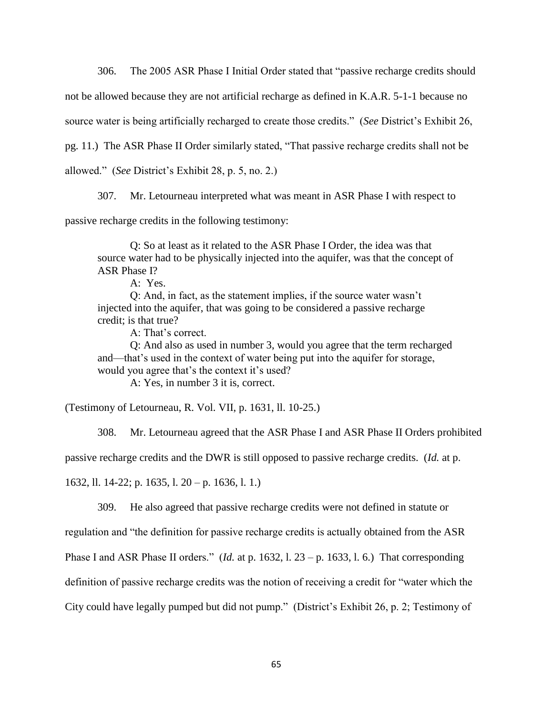306. The 2005 ASR Phase I Initial Order stated that "passive recharge credits should

not be allowed because they are not artificial recharge as defined in K.A.R. 5-1-1 because no

source water is being artificially recharged to create those credits." (*See* District's Exhibit 26,

pg. 11.) The ASR Phase II Order similarly stated, "That passive recharge credits shall not be

allowed." (*See* District's Exhibit 28, p. 5, no. 2.)

307. Mr. Letourneau interpreted what was meant in ASR Phase I with respect to

passive recharge credits in the following testimony:

Q: So at least as it related to the ASR Phase I Order, the idea was that source water had to be physically injected into the aquifer, was that the concept of ASR Phase I?

A: Yes.

Q: And, in fact, as the statement implies, if the source water wasn't injected into the aquifer, that was going to be considered a passive recharge credit; is that true?

A: That's correct.

Q: And also as used in number 3, would you agree that the term recharged and—that's used in the context of water being put into the aquifer for storage, would you agree that's the context it's used?

A: Yes, in number 3 it is, correct.

(Testimony of Letourneau, R. Vol. VII, p. 1631, ll. 10-25.)

308. Mr. Letourneau agreed that the ASR Phase I and ASR Phase II Orders prohibited

passive recharge credits and the DWR is still opposed to passive recharge credits. (*Id.* at p.

1632, ll. 14-22; p. 1635, l. 20 – p. 1636, l. 1.)

309. He also agreed that passive recharge credits were not defined in statute or

regulation and "the definition for passive recharge credits is actually obtained from the ASR

Phase I and ASR Phase II orders." (*Id.* at p. 1632, l. 23 – p. 1633, l. 6.) That corresponding

definition of passive recharge credits was the notion of receiving a credit for "water which the

City could have legally pumped but did not pump." (District's Exhibit 26, p. 2; Testimony of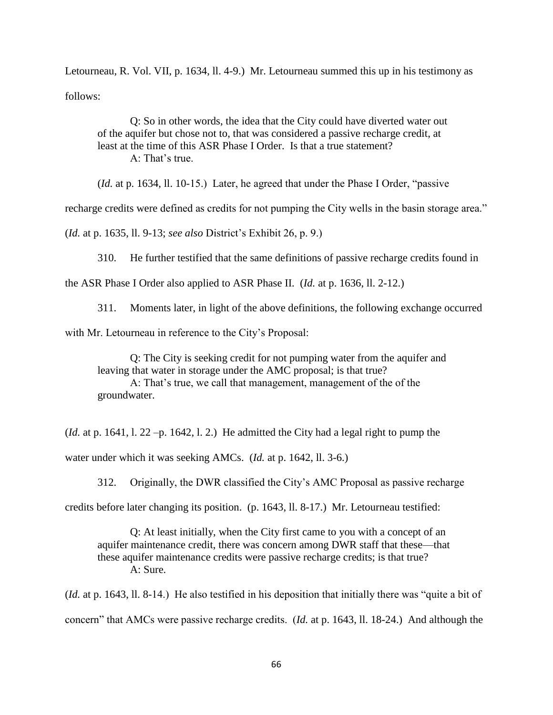Letourneau, R. Vol. VII, p. 1634, ll. 4-9.) Mr. Letourneau summed this up in his testimony as follows:

Q: So in other words, the idea that the City could have diverted water out of the aquifer but chose not to, that was considered a passive recharge credit, at least at the time of this ASR Phase I Order. Is that a true statement?  $A \cdot$  That's true.

(*Id.* at p. 1634, ll. 10-15.) Later, he agreed that under the Phase I Order, "passive

recharge credits were defined as credits for not pumping the City wells in the basin storage area."

(*Id.* at p. 1635, ll. 9-13; *see also* District's Exhibit 26, p. 9.)

310. He further testified that the same definitions of passive recharge credits found in

the ASR Phase I Order also applied to ASR Phase II. (*Id.* at p. 1636, ll. 2-12.)

311. Moments later, in light of the above definitions, the following exchange occurred

with Mr. Letourneau in reference to the City's Proposal:

Q: The City is seeking credit for not pumping water from the aquifer and leaving that water in storage under the AMC proposal; is that true? A: That's true, we call that management, management of the of the groundwater.

(*Id.* at p. 1641, l. 22 –p. 1642, l. 2.) He admitted the City had a legal right to pump the water under which it was seeking AMCs. (*Id.* at p. 1642, ll. 3-6.)

312. Originally, the DWR classified the City's AMC Proposal as passive recharge

credits before later changing its position. (p. 1643, ll. 8-17.) Mr. Letourneau testified:

Q: At least initially, when the City first came to you with a concept of an aquifer maintenance credit, there was concern among DWR staff that these—that these aquifer maintenance credits were passive recharge credits; is that true? A: Sure.

(*Id.* at p. 1643, ll. 8-14.) He also testified in his deposition that initially there was "quite a bit of concern" that AMCs were passive recharge credits. (*Id.* at p. 1643, ll. 18-24.) And although the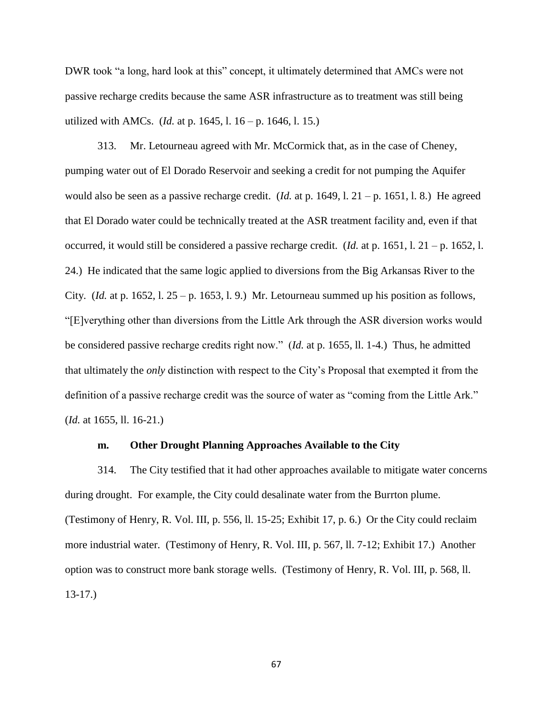DWR took "a long, hard look at this" concept, it ultimately determined that AMCs were not passive recharge credits because the same ASR infrastructure as to treatment was still being utilized with AMCs. (*Id.* at p. 1645, l. 16 – p. 1646, l. 15.)

313. Mr. Letourneau agreed with Mr. McCormick that, as in the case of Cheney, pumping water out of El Dorado Reservoir and seeking a credit for not pumping the Aquifer would also be seen as a passive recharge credit. (*Id.* at p. 1649, l. 21 – p. 1651, l. 8.) He agreed that El Dorado water could be technically treated at the ASR treatment facility and, even if that occurred, it would still be considered a passive recharge credit. (*Id.* at p. 1651, l. 21 – p. 1652, l. 24.) He indicated that the same logic applied to diversions from the Big Arkansas River to the City. (*Id.* at p. 1652, 1. 25 – p. 1653, 1. 9.) Mr. Letourneau summed up his position as follows, "[E]verything other than diversions from the Little Ark through the ASR diversion works would be considered passive recharge credits right now." (*Id.* at p. 1655, ll. 1-4.) Thus, he admitted that ultimately the *only* distinction with respect to the City's Proposal that exempted it from the definition of a passive recharge credit was the source of water as "coming from the Little Ark." (*Id.* at 1655, ll. 16-21.)

### **m. Other Drought Planning Approaches Available to the City**

314. The City testified that it had other approaches available to mitigate water concerns during drought. For example, the City could desalinate water from the Burrton plume. (Testimony of Henry, R. Vol. III, p. 556, ll. 15-25; Exhibit 17, p. 6.) Or the City could reclaim more industrial water. (Testimony of Henry, R. Vol. III, p. 567, ll. 7-12; Exhibit 17.) Another option was to construct more bank storage wells. (Testimony of Henry, R. Vol. III, p. 568, ll. 13-17.)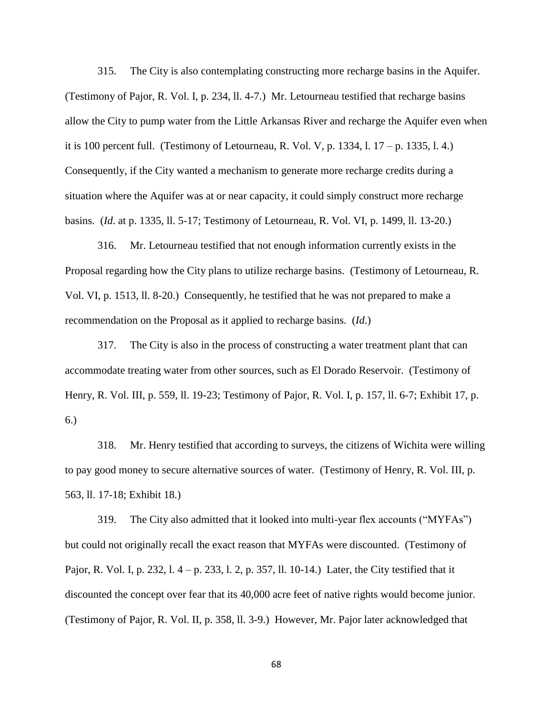315. The City is also contemplating constructing more recharge basins in the Aquifer. (Testimony of Pajor, R. Vol. I, p. 234, ll. 4-7.) Mr. Letourneau testified that recharge basins allow the City to pump water from the Little Arkansas River and recharge the Aquifer even when it is 100 percent full. (Testimony of Letourneau, R. Vol. V, p. 1334, l. 17 – p. 1335, l. 4.) Consequently, if the City wanted a mechanism to generate more recharge credits during a situation where the Aquifer was at or near capacity, it could simply construct more recharge basins. (*Id*. at p. 1335, ll. 5-17; Testimony of Letourneau, R. Vol. VI, p. 1499, ll. 13-20.)

316. Mr. Letourneau testified that not enough information currently exists in the Proposal regarding how the City plans to utilize recharge basins. (Testimony of Letourneau, R. Vol. VI, p. 1513, ll. 8-20.) Consequently, he testified that he was not prepared to make a recommendation on the Proposal as it applied to recharge basins. (*Id*.)

317. The City is also in the process of constructing a water treatment plant that can accommodate treating water from other sources, such as El Dorado Reservoir. (Testimony of Henry, R. Vol. III, p. 559, ll. 19-23; Testimony of Pajor, R. Vol. I, p. 157, ll. 6-7; Exhibit 17, p. 6.)

318. Mr. Henry testified that according to surveys, the citizens of Wichita were willing to pay good money to secure alternative sources of water. (Testimony of Henry, R. Vol. III, p. 563, ll. 17-18; Exhibit 18.)

319. The City also admitted that it looked into multi-year flex accounts ("MYFAs") but could not originally recall the exact reason that MYFAs were discounted. (Testimony of Pajor, R. Vol. I, p. 232, l. 4 – p. 233, l. 2, p. 357, ll. 10-14.) Later, the City testified that it discounted the concept over fear that its 40,000 acre feet of native rights would become junior. (Testimony of Pajor, R. Vol. II, p. 358, ll. 3-9.) However, Mr. Pajor later acknowledged that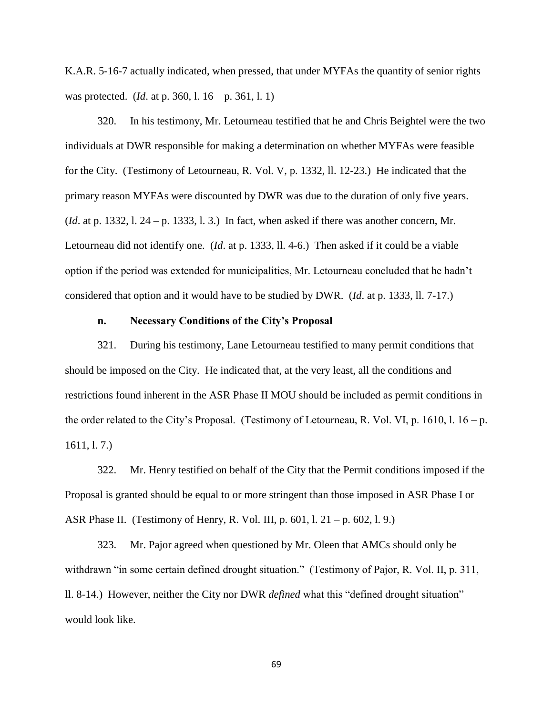K.A.R. 5-16-7 actually indicated, when pressed, that under MYFAs the quantity of senior rights was protected. (*Id*. at p. 360, l. 16 – p. 361, l. 1)

320. In his testimony, Mr. Letourneau testified that he and Chris Beightel were the two individuals at DWR responsible for making a determination on whether MYFAs were feasible for the City. (Testimony of Letourneau, R. Vol. V, p. 1332, ll. 12-23.) He indicated that the primary reason MYFAs were discounted by DWR was due to the duration of only five years. (*Id*. at p. 1332, l. 24 – p. 1333, l. 3.) In fact, when asked if there was another concern, Mr. Letourneau did not identify one. (*Id*. at p. 1333, ll. 4-6.) Then asked if it could be a viable option if the period was extended for municipalities, Mr. Letourneau concluded that he hadn't considered that option and it would have to be studied by DWR. (*Id*. at p. 1333, ll. 7-17.)

### **n. Necessary Conditions of the City's Proposal**

321. During his testimony, Lane Letourneau testified to many permit conditions that should be imposed on the City. He indicated that, at the very least, all the conditions and restrictions found inherent in the ASR Phase II MOU should be included as permit conditions in the order related to the City's Proposal. (Testimony of Letourneau, R. Vol. VI, p. 1610, l.  $16 - p$ . 1611, l. 7.)

322. Mr. Henry testified on behalf of the City that the Permit conditions imposed if the Proposal is granted should be equal to or more stringent than those imposed in ASR Phase I or ASR Phase II. (Testimony of Henry, R. Vol. III, p. 601, l. 21 – p. 602, l. 9.)

323. Mr. Pajor agreed when questioned by Mr. Oleen that AMCs should only be withdrawn "in some certain defined drought situation." (Testimony of Pajor, R. Vol. II, p. 311, ll. 8-14.) However, neither the City nor DWR *defined* what this "defined drought situation" would look like.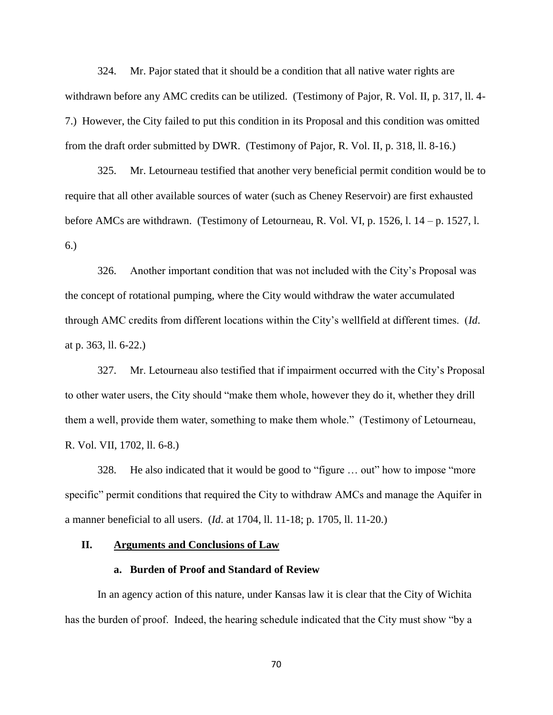324. Mr. Pajor stated that it should be a condition that all native water rights are withdrawn before any AMC credits can be utilized. (Testimony of Pajor, R. Vol. II, p. 317, ll. 4- 7.) However, the City failed to put this condition in its Proposal and this condition was omitted from the draft order submitted by DWR. (Testimony of Pajor, R. Vol. II, p. 318, ll. 8-16.)

325. Mr. Letourneau testified that another very beneficial permit condition would be to require that all other available sources of water (such as Cheney Reservoir) are first exhausted before AMCs are withdrawn. (Testimony of Letourneau, R. Vol. VI, p. 1526, l. 14 – p. 1527, l. 6.)

326. Another important condition that was not included with the City's Proposal was the concept of rotational pumping, where the City would withdraw the water accumulated through AMC credits from different locations within the City's wellfield at different times. (*Id*. at p. 363, ll. 6-22.)

327. Mr. Letourneau also testified that if impairment occurred with the City's Proposal to other water users, the City should "make them whole, however they do it, whether they drill them a well, provide them water, something to make them whole." (Testimony of Letourneau, R. Vol. VII, 1702, ll. 6-8.)

328. He also indicated that it would be good to "figure … out" how to impose "more specific" permit conditions that required the City to withdraw AMCs and manage the Aquifer in a manner beneficial to all users. (*Id*. at 1704, ll. 11-18; p. 1705, ll. 11-20.)

## **II. Arguments and Conclusions of Law**

### **a. Burden of Proof and Standard of Review**

In an agency action of this nature, under Kansas law it is clear that the City of Wichita has the burden of proof. Indeed, the hearing schedule indicated that the City must show "by a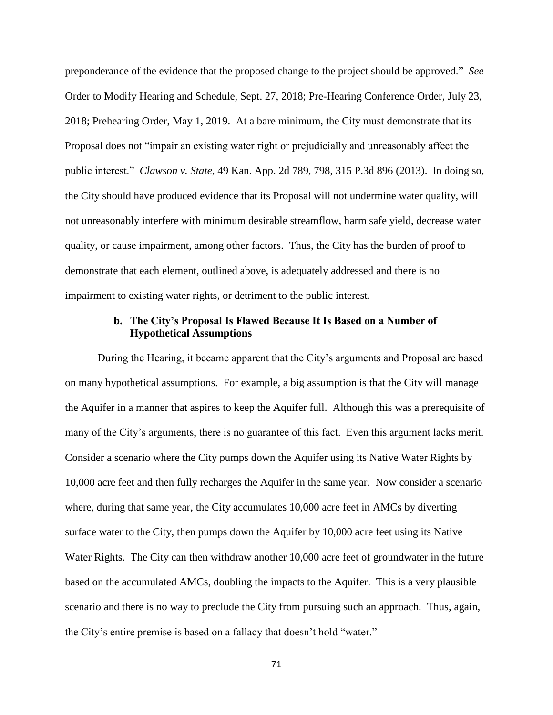preponderance of the evidence that the proposed change to the project should be approved." *See*  Order to Modify Hearing and Schedule, Sept. 27, 2018; Pre-Hearing Conference Order, July 23, 2018; Prehearing Order, May 1, 2019. At a bare minimum, the City must demonstrate that its Proposal does not "impair an existing water right or prejudicially and unreasonably affect the public interest." *Clawson v. State*[, 49 Kan. App. 2d 789, 798, 315 P.3d 896 \(2013\).](https://advance.lexis.com/api/document/collection/cases/id/5B3J-RTX1-F04G-C02D-00000-00?page=798&reporter=3164&context=1000516) In doing so, the City should have produced evidence that its Proposal will not undermine water quality, will not unreasonably interfere with minimum desirable streamflow, harm safe yield, decrease water quality, or cause impairment, among other factors. Thus, the City has the burden of proof to demonstrate that each element, outlined above, is adequately addressed and there is no impairment to existing water rights, or detriment to the public interest.

## **b. The City's Proposal Is Flawed Because It Is Based on a Number of Hypothetical Assumptions**

During the Hearing, it became apparent that the City's arguments and Proposal are based on many hypothetical assumptions. For example, a big assumption is that the City will manage the Aquifer in a manner that aspires to keep the Aquifer full. Although this was a prerequisite of many of the City's arguments, there is no guarantee of this fact. Even this argument lacks merit. Consider a scenario where the City pumps down the Aquifer using its Native Water Rights by 10,000 acre feet and then fully recharges the Aquifer in the same year. Now consider a scenario where, during that same year, the City accumulates 10,000 acre feet in AMCs by diverting surface water to the City, then pumps down the Aquifer by 10,000 acre feet using its Native Water Rights. The City can then withdraw another 10,000 acre feet of groundwater in the future based on the accumulated AMCs, doubling the impacts to the Aquifer. This is a very plausible scenario and there is no way to preclude the City from pursuing such an approach. Thus, again, the City's entire premise is based on a fallacy that doesn't hold "water."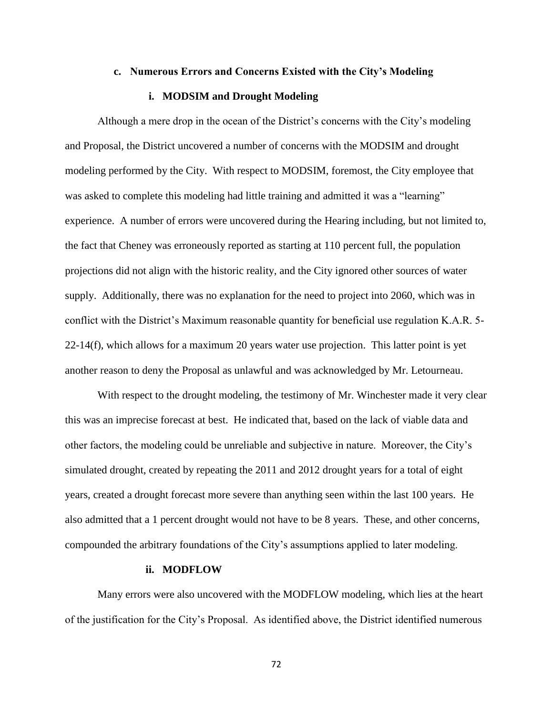### **c. Numerous Errors and Concerns Existed with the City's Modeling**

### **i. MODSIM and Drought Modeling**

Although a mere drop in the ocean of the District's concerns with the City's modeling and Proposal, the District uncovered a number of concerns with the MODSIM and drought modeling performed by the City. With respect to MODSIM, foremost, the City employee that was asked to complete this modeling had little training and admitted it was a "learning" experience. A number of errors were uncovered during the Hearing including, but not limited to, the fact that Cheney was erroneously reported as starting at 110 percent full, the population projections did not align with the historic reality, and the City ignored other sources of water supply. Additionally, there was no explanation for the need to project into 2060, which was in conflict with the District's Maximum reasonable quantity for beneficial use regulation K.A.R. 5- 22-14(f), which allows for a maximum 20 years water use projection. This latter point is yet another reason to deny the Proposal as unlawful and was acknowledged by Mr. Letourneau.

With respect to the drought modeling, the testimony of Mr. Winchester made it very clear this was an imprecise forecast at best. He indicated that, based on the lack of viable data and other factors, the modeling could be unreliable and subjective in nature. Moreover, the City's simulated drought, created by repeating the 2011 and 2012 drought years for a total of eight years, created a drought forecast more severe than anything seen within the last 100 years. He also admitted that a 1 percent drought would not have to be 8 years. These, and other concerns, compounded the arbitrary foundations of the City's assumptions applied to later modeling.

### **ii. MODFLOW**

Many errors were also uncovered with the MODFLOW modeling, which lies at the heart of the justification for the City's Proposal. As identified above, the District identified numerous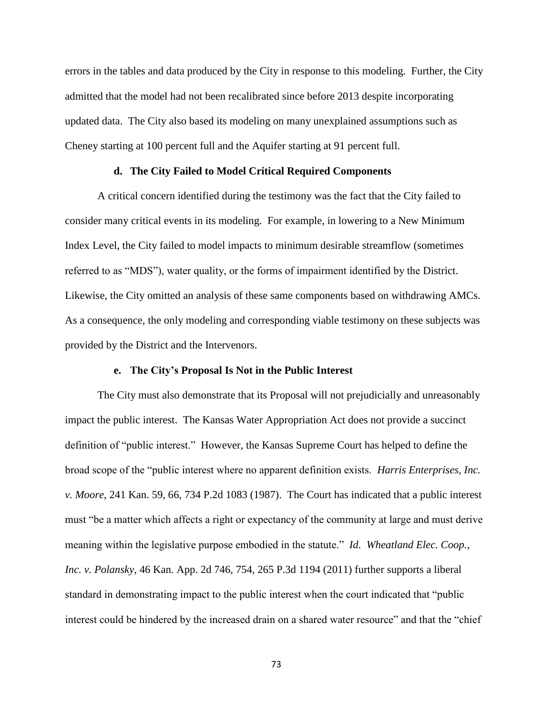errors in the tables and data produced by the City in response to this modeling. Further, the City admitted that the model had not been recalibrated since before 2013 despite incorporating updated data. The City also based its modeling on many unexplained assumptions such as Cheney starting at 100 percent full and the Aquifer starting at 91 percent full.

## **d. The City Failed to Model Critical Required Components**

A critical concern identified during the testimony was the fact that the City failed to consider many critical events in its modeling. For example, in lowering to a New Minimum Index Level, the City failed to model impacts to minimum desirable streamflow (sometimes referred to as "MDS"), water quality, or the forms of impairment identified by the District. Likewise, the City omitted an analysis of these same components based on withdrawing AMCs. As a consequence, the only modeling and corresponding viable testimony on these subjects was provided by the District and the Intervenors.

## **e. The City's Proposal Is Not in the Public Interest**

The City must also demonstrate that its Proposal will not prejudicially and unreasonably impact the public interest. The Kansas Water Appropriation Act does not provide a succinct definition of "public interest." However, the Kansas Supreme Court has helped to define the broad scope of the "public interest where no apparent definition exists. *Harris Enterprises, Inc. v. Moore*, 241 Kan. 59, 66, 734 P.2d 1083 (1987). The Court has indicated that a public interest must "be a matter which affects a right or expectancy of the community at large and must derive meaning within the legislative purpose embodied in the statute." *Id*. *Wheatland Elec. Coop., Inc. v. Polansky*, 46 Kan. App. 2d 746, 754, 265 P.3d 1194 (2011) further supports a liberal standard in demonstrating impact to the public interest when the court indicated that "public interest could be hindered by the increased drain on a shared water resource" and that the "chief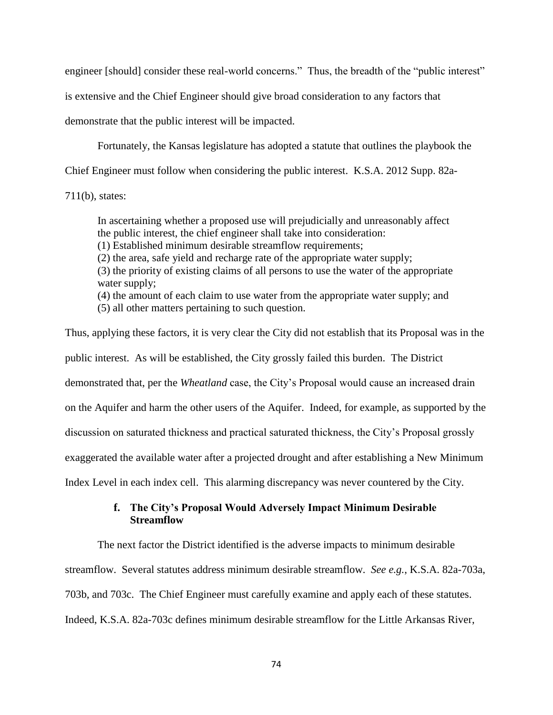engineer [should] consider these real-world concerns." Thus, the breadth of the "public interest"

is extensive and the Chief Engineer should give broad consideration to any factors that

demonstrate that the public interest will be impacted.

Fortunately, the Kansas legislature has adopted a statute that outlines the playbook the

Chief Engineer must follow when considering the public interest. [K.S.A.](https://advance.lexis.com/document/?pdmfid=1000516&crid=36782161-964f-4ff7-a0d4-a443af57fd52&pddocfullpath=%2Fshared%2Fdocument%2Fcases%2Furn%3AcontentItem%3A5B3J-RTX1-F04G-C02D-00000-00&pddocid=urn%3AcontentItem%3A5B3J-RTX1-F04G-C02D-00000-00&pdcontentcomponentid=6804&pdshepid=urn%3AcontentItem%3A5B33-F301-DXC8-71D0-00000-00&pdteaserkey=sr1&pditab=allpods&ecomp=1yrLk&earg=sr1&prid=2801a1ca-26a2-4491-a027-bd35ded60875) 2012 Supp. 82a-

[711\(b\),](https://advance.lexis.com/document/?pdmfid=1000516&crid=36782161-964f-4ff7-a0d4-a443af57fd52&pddocfullpath=%2Fshared%2Fdocument%2Fcases%2Furn%3AcontentItem%3A5B3J-RTX1-F04G-C02D-00000-00&pddocid=urn%3AcontentItem%3A5B3J-RTX1-F04G-C02D-00000-00&pdcontentcomponentid=6804&pdshepid=urn%3AcontentItem%3A5B33-F301-DXC8-71D0-00000-00&pdteaserkey=sr1&pditab=allpods&ecomp=1yrLk&earg=sr1&prid=2801a1ca-26a2-4491-a027-bd35ded60875) states:

In ascertaining whether a proposed use will prejudicially and unreasonably affect the public interest, the chief engineer shall take into consideration:

(1) Established minimum desirable streamflow requirements;

(2) the area, safe yield and recharge rate of the appropriate water supply;

(3) the priority of existing claims of all persons to use the water of the appropriate water supply;

(4) the amount of each claim to use water from the appropriate water supply; and

(5) all other matters pertaining to such question.

Thus, applying these factors, it is very clear the City did not establish that its Proposal was in the public interest. As will be established, the City grossly failed this burden. The District demonstrated that, per the *Wheatland* case, the City's Proposal would cause an increased drain on the Aquifer and harm the other users of the Aquifer. Indeed, for example, as supported by the discussion on saturated thickness and practical saturated thickness, the City's Proposal grossly exaggerated the available water after a projected drought and after establishing a New Minimum Index Level in each index cell. This alarming discrepancy was never countered by the City.

# **f. The City's Proposal Would Adversely Impact Minimum Desirable Streamflow**

The next factor the District identified is the adverse impacts to minimum desirable streamflow. Several statutes address minimum desirable streamflow. *See e.g.*, K.S.A. 82a-703a, 703b, and 703c. The Chief Engineer must carefully examine and apply each of these statutes. Indeed, K.S.A. 82a-703c defines minimum desirable streamflow for the Little Arkansas River,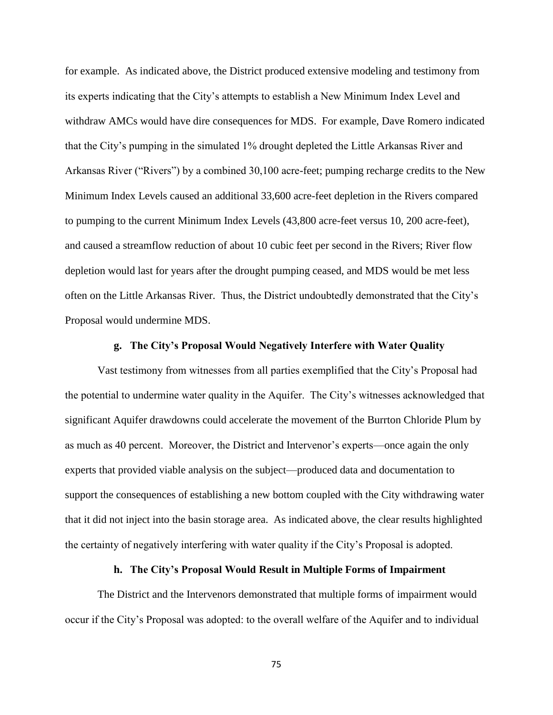for example. As indicated above, the District produced extensive modeling and testimony from its experts indicating that the City's attempts to establish a New Minimum Index Level and withdraw AMCs would have dire consequences for MDS. For example, Dave Romero indicated that the City's pumping in the simulated 1% drought depleted the Little Arkansas River and Arkansas River ("Rivers") by a combined 30,100 acre-feet; pumping recharge credits to the New Minimum Index Levels caused an additional 33,600 acre-feet depletion in the Rivers compared to pumping to the current Minimum Index Levels (43,800 acre-feet versus 10, 200 acre-feet), and caused a streamflow reduction of about 10 cubic feet per second in the Rivers; River flow depletion would last for years after the drought pumping ceased, and MDS would be met less often on the Little Arkansas River. Thus, the District undoubtedly demonstrated that the City's Proposal would undermine MDS.

## **g. The City's Proposal Would Negatively Interfere with Water Quality**

Vast testimony from witnesses from all parties exemplified that the City's Proposal had the potential to undermine water quality in the Aquifer. The City's witnesses acknowledged that significant Aquifer drawdowns could accelerate the movement of the Burrton Chloride Plum by as much as 40 percent. Moreover, the District and Intervenor's experts—once again the only experts that provided viable analysis on the subject—produced data and documentation to support the consequences of establishing a new bottom coupled with the City withdrawing water that it did not inject into the basin storage area. As indicated above, the clear results highlighted the certainty of negatively interfering with water quality if the City's Proposal is adopted.

## **h. The City's Proposal Would Result in Multiple Forms of Impairment**

The District and the Intervenors demonstrated that multiple forms of impairment would occur if the City's Proposal was adopted: to the overall welfare of the Aquifer and to individual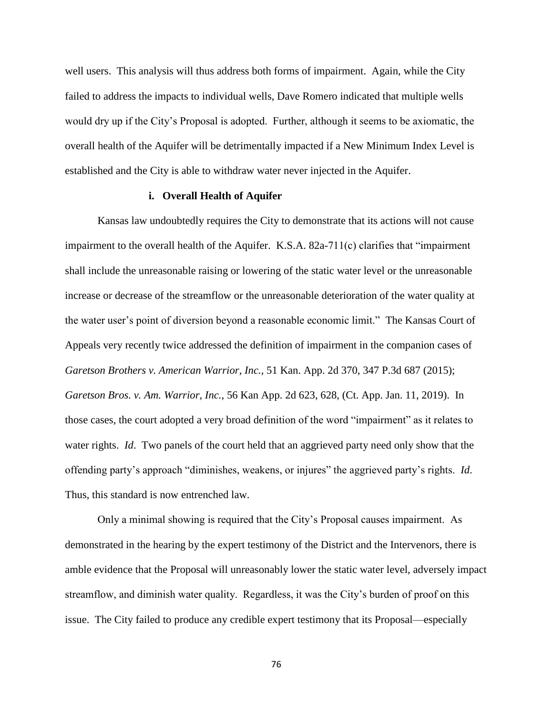well users. This analysis will thus address both forms of impairment. Again, while the City failed to address the impacts to individual wells, Dave Romero indicated that multiple wells would dry up if the City's Proposal is adopted. Further, although it seems to be axiomatic, the overall health of the Aquifer will be detrimentally impacted if a New Minimum Index Level is established and the City is able to withdraw water never injected in the Aquifer.

## **i. Overall Health of Aquifer**

Kansas law undoubtedly requires the City to demonstrate that its actions will not cause impairment to the overall health of the Aquifer. K.S.A. 82a-711(c) clarifies that "impairment shall include the unreasonable raising or lowering of the static water level or the unreasonable increase or decrease of the streamflow or the unreasonable deterioration of the water quality at the water user's point of diversion beyond a reasonable economic limit." The Kansas Court of Appeals very recently twice addressed the definition of impairment in the companion cases of *Garetson Brothers v. American Warrior, Inc.*, 51 Kan. App. 2d 370, 347 P.3d 687 (2015); *Garetson Bros. v. Am. Warrior, Inc.*, 56 Kan App. 2d 623, 628, (Ct. App. Jan. 11, 2019). In those cases, the court adopted a very broad definition of the word "impairment" as it relates to water rights. *Id*. Two panels of the court held that an aggrieved party need only show that the offending party's approach "diminishes, weakens, or injures" the aggrieved party's rights. *Id*. Thus, this standard is now entrenched law.

Only a minimal showing is required that the City's Proposal causes impairment. As demonstrated in the hearing by the expert testimony of the District and the Intervenors, there is amble evidence that the Proposal will unreasonably lower the static water level, adversely impact streamflow, and diminish water quality. Regardless, it was the City's burden of proof on this issue. The City failed to produce any credible expert testimony that its Proposal—especially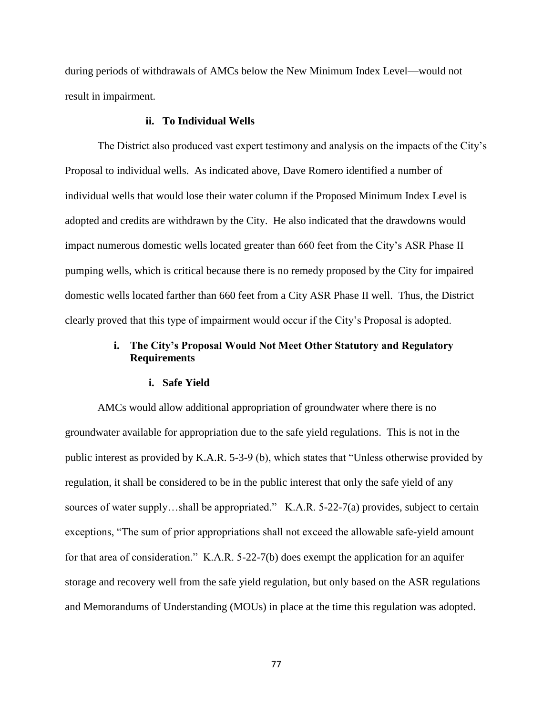during periods of withdrawals of AMCs below the New Minimum Index Level—would not result in impairment.

#### **ii. To Individual Wells**

The District also produced vast expert testimony and analysis on the impacts of the City's Proposal to individual wells. As indicated above, Dave Romero identified a number of individual wells that would lose their water column if the Proposed Minimum Index Level is adopted and credits are withdrawn by the City. He also indicated that the drawdowns would impact numerous domestic wells located greater than 660 feet from the City's ASR Phase II pumping wells, which is critical because there is no remedy proposed by the City for impaired domestic wells located farther than 660 feet from a City ASR Phase II well. Thus, the District clearly proved that this type of impairment would occur if the City's Proposal is adopted.

# **i. The City's Proposal Would Not Meet Other Statutory and Regulatory Requirements**

## **i. Safe Yield**

AMCs would allow additional appropriation of groundwater where there is no groundwater available for appropriation due to the safe yield regulations. This is not in the public interest as provided by K.A.R. 5-3-9 (b), which states that "Unless otherwise provided by regulation, it shall be considered to be in the public interest that only the safe yield of any sources of water supply...shall be appropriated." K.A.R. 5-22-7(a) provides, subject to certain exceptions, "The sum of prior appropriations shall not exceed the allowable safe-yield amount for that area of consideration." K.A.R. 5-22-7(b) does exempt the application for an aquifer storage and recovery well from the safe yield regulation, but only based on the ASR regulations and Memorandums of Understanding (MOUs) in place at the time this regulation was adopted.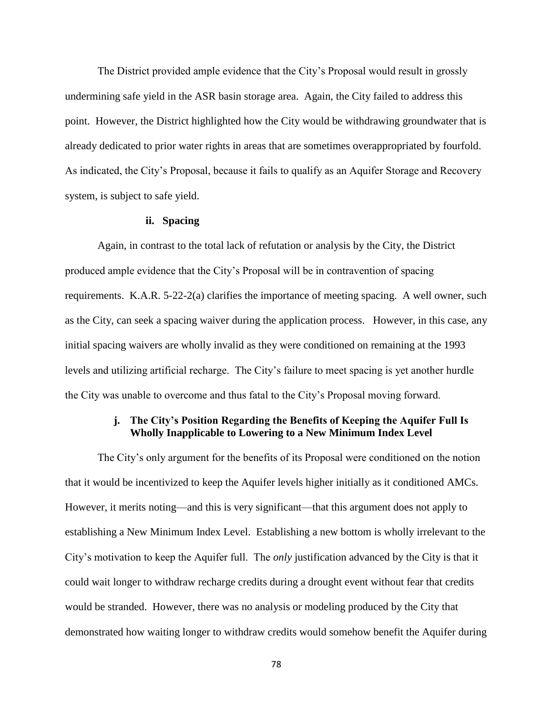The District provided ample evidence that the City's Proposal would result in grossly undermining safe yield in the ASR basin storage area. Again, the City failed to address this point. However, the District highlighted how the City would be withdrawing groundwater that is already dedicated to prior water rights in areas that are sometimes overappropriated by fourfold. As indicated, the City's Proposal, because it fails to qualify as an Aquifer Storage and Recovery system, is subject to safe yield.

## **ii. Spacing**

Again, in contrast to the total lack of refutation or analysis by the City, the District produced ample evidence that the City's Proposal will be in contravention of spacing requirements. K.A.R. 5-22-2(a) clarifies the importance of meeting spacing. A well owner, such as the City, can seek a spacing waiver during the application process. However, in this case, any initial spacing waivers are wholly invalid as they were conditioned on remaining at the 1993 levels and utilizing artificial recharge. The City's failure to meet spacing is yet another hurdle the City was unable to overcome and thus fatal to the City's Proposal moving forward.

# **j. The City's Position Regarding the Benefits of Keeping the Aquifer Full Is Wholly Inapplicable to Lowering to a New Minimum Index Level**

The City's only argument for the benefits of its Proposal were conditioned on the notion that it would be incentivized to keep the Aquifer levels higher initially as it conditioned AMCs. However, it merits noting—and this is very significant—that this argument does not apply to establishing a New Minimum Index Level. Establishing a new bottom is wholly irrelevant to the City's motivation to keep the Aquifer full. The *only* justification advanced by the City is that it could wait longer to withdraw recharge credits during a drought event without fear that credits would be stranded. However, there was no analysis or modeling produced by the City that demonstrated how waiting longer to withdraw credits would somehow benefit the Aquifer during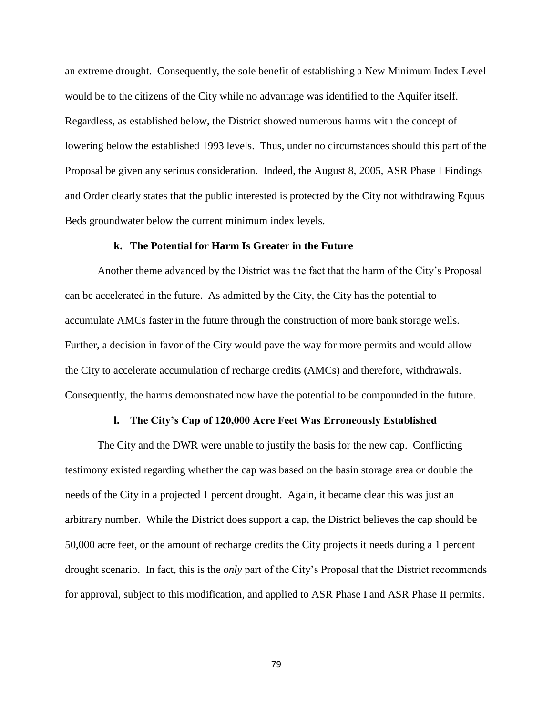an extreme drought. Consequently, the sole benefit of establishing a New Minimum Index Level would be to the citizens of the City while no advantage was identified to the Aquifer itself. Regardless, as established below, the District showed numerous harms with the concept of lowering below the established 1993 levels. Thus, under no circumstances should this part of the Proposal be given any serious consideration. Indeed, the August 8, 2005, ASR Phase I Findings and Order clearly states that the public interested is protected by the City not withdrawing Equus Beds groundwater below the current minimum index levels.

### **k. The Potential for Harm Is Greater in the Future**

Another theme advanced by the District was the fact that the harm of the City's Proposal can be accelerated in the future. As admitted by the City, the City has the potential to accumulate AMCs faster in the future through the construction of more bank storage wells. Further, a decision in favor of the City would pave the way for more permits and would allow the City to accelerate accumulation of recharge credits (AMCs) and therefore, withdrawals. Consequently, the harms demonstrated now have the potential to be compounded in the future.

### **l. The City's Cap of 120,000 Acre Feet Was Erroneously Established**

The City and the DWR were unable to justify the basis for the new cap. Conflicting testimony existed regarding whether the cap was based on the basin storage area or double the needs of the City in a projected 1 percent drought. Again, it became clear this was just an arbitrary number. While the District does support a cap, the District believes the cap should be 50,000 acre feet, or the amount of recharge credits the City projects it needs during a 1 percent drought scenario. In fact, this is the *only* part of the City's Proposal that the District recommends for approval, subject to this modification, and applied to ASR Phase I and ASR Phase II permits.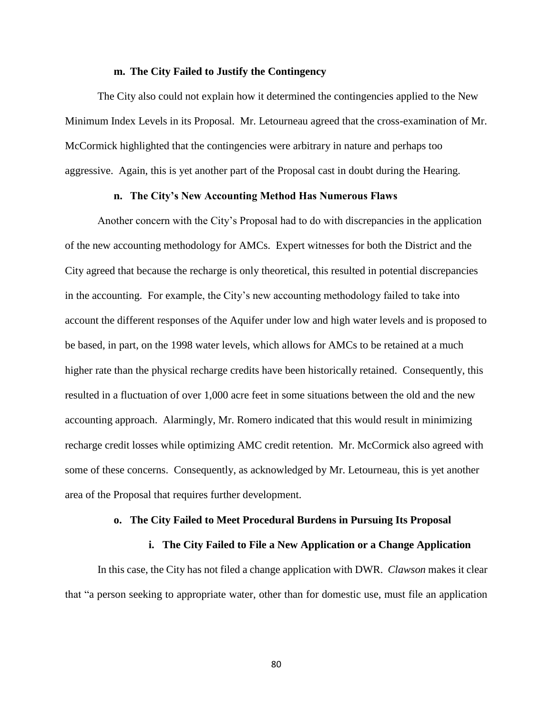### **m. The City Failed to Justify the Contingency**

The City also could not explain how it determined the contingencies applied to the New Minimum Index Levels in its Proposal. Mr. Letourneau agreed that the cross-examination of Mr. McCormick highlighted that the contingencies were arbitrary in nature and perhaps too aggressive. Again, this is yet another part of the Proposal cast in doubt during the Hearing.

## **n. The City's New Accounting Method Has Numerous Flaws**

Another concern with the City's Proposal had to do with discrepancies in the application of the new accounting methodology for AMCs. Expert witnesses for both the District and the City agreed that because the recharge is only theoretical, this resulted in potential discrepancies in the accounting. For example, the City's new accounting methodology failed to take into account the different responses of the Aquifer under low and high water levels and is proposed to be based, in part, on the 1998 water levels, which allows for AMCs to be retained at a much higher rate than the physical recharge credits have been historically retained. Consequently, this resulted in a fluctuation of over 1,000 acre feet in some situations between the old and the new accounting approach. Alarmingly, Mr. Romero indicated that this would result in minimizing recharge credit losses while optimizing AMC credit retention. Mr. McCormick also agreed with some of these concerns. Consequently, as acknowledged by Mr. Letourneau, this is yet another area of the Proposal that requires further development.

#### **o. The City Failed to Meet Procedural Burdens in Pursuing Its Proposal**

## **i. The City Failed to File a New Application or a Change Application**

In this case, the City has not filed a change application with DWR. *Clawson* makes it clear that "a person seeking to appropriate water, other than for domestic use, must file an application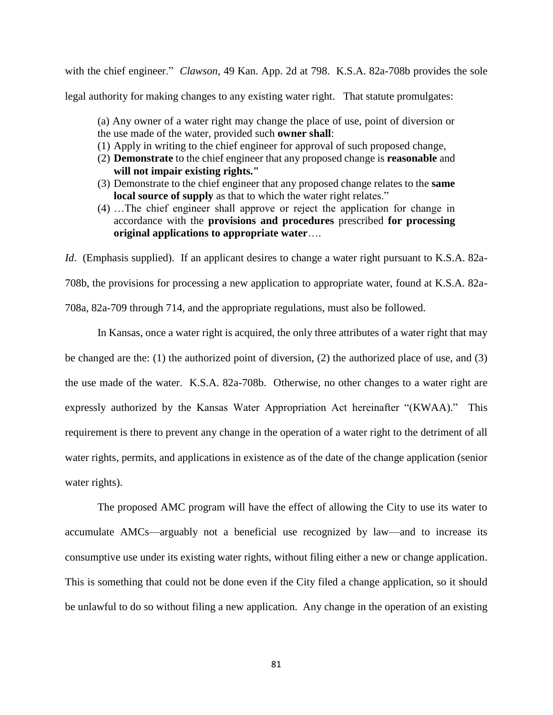with the chief engineer." *Clawson*[, 49 Kan. App. 2d at 798.](https://advance.lexis.com/api/document/collection/cases/id/5B3J-RTX1-F04G-C02D-00000-00?page=798&reporter=3164&context=1000516) K.S.A. 82a-708b provides the sole legal authority for making changes to any existing water right. That statute promulgates:

- (a) Any owner of a water right may change the place of use, point of diversion or the use made of the water, provided such **owner shall**:
- (1) Apply in writing to the chief engineer for approval of such proposed change,
- (2) **Demonstrate** to the chief engineer that any proposed change is **reasonable** and **will not impair existing rights."**
- (3) Demonstrate to the chief engineer that any proposed change relates to the **same local source of supply** as that to which the water right relates."
- (4) …The chief engineer shall approve or reject the application for change in accordance with the **provisions and procedures** prescribed **for processing original applications to appropriate water**….

*Id.* (Emphasis supplied). If an applicant desires to change a water right pursuant to K.S.A. 82a-708b, the provisions for processing a new application to appropriate water, found at K.S.A. 82a-708a, 82a-709 through 714, and the appropriate regulations, must also be followed.

In Kansas, once a water right is acquired, the only three attributes of a water right that may be changed are the: (1) the authorized point of diversion, (2) the authorized place of use, and (3) the use made of the water. K.S.A. 82a-708b. Otherwise, no other changes to a water right are expressly authorized by the Kansas Water Appropriation Act hereinafter "(KWAA)." This requirement is there to prevent any change in the operation of a water right to the detriment of all water rights, permits, and applications in existence as of the date of the change application (senior water rights).

The proposed AMC program will have the effect of allowing the City to use its water to accumulate AMCs—arguably not a beneficial use recognized by law—and to increase its consumptive use under its existing water rights, without filing either a new or change application. This is something that could not be done even if the City filed a change application, so it should be unlawful to do so without filing a new application. Any change in the operation of an existing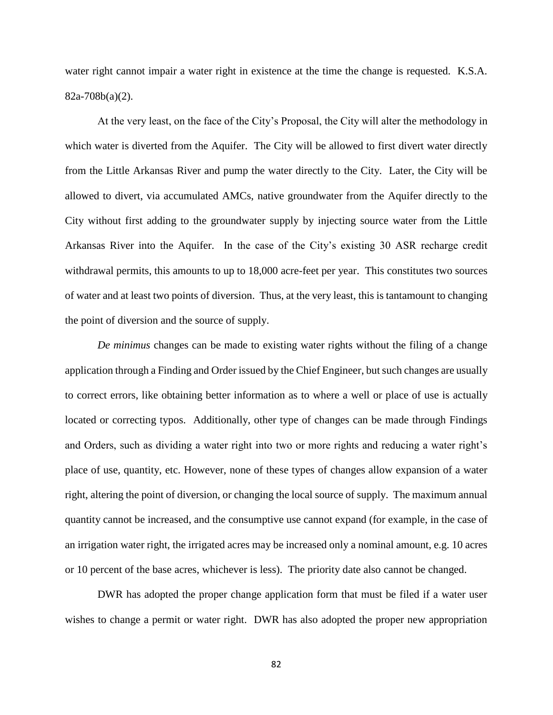water right cannot impair a water right in existence at the time the change is requested. K.S.A. 82a-708b(a)(2).

At the very least, on the face of the City's Proposal, the City will alter the methodology in which water is diverted from the Aquifer. The City will be allowed to first divert water directly from the Little Arkansas River and pump the water directly to the City. Later, the City will be allowed to divert, via accumulated AMCs, native groundwater from the Aquifer directly to the City without first adding to the groundwater supply by injecting source water from the Little Arkansas River into the Aquifer. In the case of the City's existing 30 ASR recharge credit withdrawal permits, this amounts to up to 18,000 acre-feet per year. This constitutes two sources of water and at least two points of diversion. Thus, at the very least, this is tantamount to changing the point of diversion and the source of supply.

*De minimus* changes can be made to existing water rights without the filing of a change application through a Finding and Order issued by the Chief Engineer, but such changes are usually to correct errors, like obtaining better information as to where a well or place of use is actually located or correcting typos. Additionally, other type of changes can be made through Findings and Orders, such as dividing a water right into two or more rights and reducing a water right's place of use, quantity, etc. However, none of these types of changes allow expansion of a water right, altering the point of diversion, or changing the local source of supply. The maximum annual quantity cannot be increased, and the consumptive use cannot expand (for example, in the case of an irrigation water right, the irrigated acres may be increased only a nominal amount, e.g. 10 acres or 10 percent of the base acres, whichever is less). The priority date also cannot be changed.

DWR has adopted the proper change application form that must be filed if a water user wishes to change a permit or water right. DWR has also adopted the proper new appropriation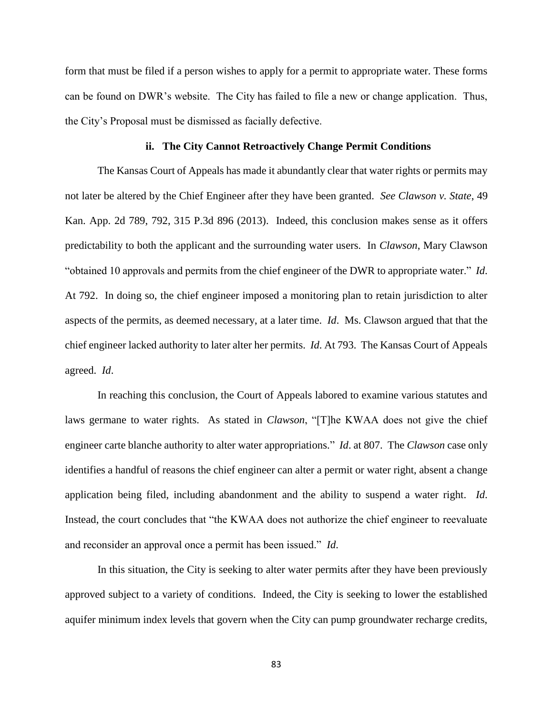form that must be filed if a person wishes to apply for a permit to appropriate water. These forms can be found on DWR's website. The City has failed to file a new or change application. Thus, the City's Proposal must be dismissed as facially defective.

#### **ii. The City Cannot Retroactively Change Permit Conditions**

The Kansas Court of Appeals has made it abundantly clear that water rights or permits may not later be altered by the Chief Engineer after they have been granted. *See Clawson v. State*, 49 Kan. App. 2d 789, 792, 315 P.3d 896 (2013). Indeed, this conclusion makes sense as it offers predictability to both the applicant and the surrounding water users. In *Clawson*, Mary Clawson "obtained 10 approvals and permits from the chief engineer of the DWR to appropriate water." *Id*. At 792. In doing so, the chief engineer imposed a monitoring plan to retain jurisdiction to alter aspects of the permits, as deemed necessary, at a later time. *Id*. Ms. Clawson argued that that the chief engineer lacked authority to later alter her permits. *Id*. At 793. The Kansas Court of Appeals agreed. *Id*.

In reaching this conclusion, the Court of Appeals labored to examine various statutes and laws germane to water rights. As stated in *Clawson*, "[T]he KWAA does not give the chief engineer carte blanche authority to alter water appropriations." *Id*. at 807. The *Clawson* case only identifies a handful of reasons the chief engineer can alter a permit or water right, absent a change application being filed, including abandonment and the ability to suspend a water right. *Id*. Instead, the court concludes that "the KWAA does not authorize the chief engineer to reevaluate and reconsider an approval once a permit has been issued." *Id*.

In this situation, the City is seeking to alter water permits after they have been previously approved subject to a variety of conditions. Indeed, the City is seeking to lower the established aquifer minimum index levels that govern when the City can pump groundwater recharge credits,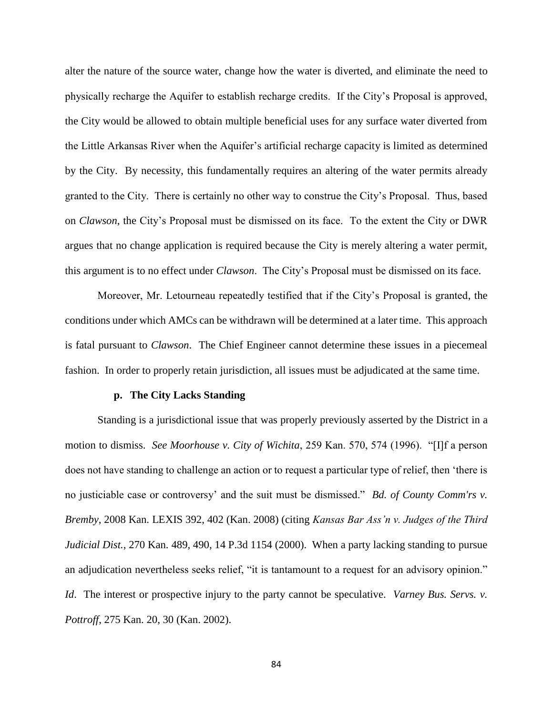alter the nature of the source water, change how the water is diverted, and eliminate the need to physically recharge the Aquifer to establish recharge credits. If the City's Proposal is approved, the City would be allowed to obtain multiple beneficial uses for any surface water diverted from the Little Arkansas River when the Aquifer's artificial recharge capacity is limited as determined by the City. By necessity, this fundamentally requires an altering of the water permits already granted to the City. There is certainly no other way to construe the City's Proposal. Thus, based on *Clawson*, the City's Proposal must be dismissed on its face. To the extent the City or DWR argues that no change application is required because the City is merely altering a water permit, this argument is to no effect under *Clawson*. The City's Proposal must be dismissed on its face.

Moreover, Mr. Letourneau repeatedly testified that if the City's Proposal is granted, the conditions under which AMCs can be withdrawn will be determined at a later time. This approach is fatal pursuant to *Clawson*. The Chief Engineer cannot determine these issues in a piecemeal fashion. In order to properly retain jurisdiction, all issues must be adjudicated at the same time.

#### **p. The City Lacks Standing**

Standing is a jurisdictional issue that was properly previously asserted by the District in a motion to dismiss. *See Moorhouse v. City of Wichita*, 259 Kan. 570, 574 (1996). "[I]f a person does not have standing to challenge an action or to request a particular type of relief, then 'there is no justiciable case or controversy' and the suit must be dismissed." *Bd. of County Comm'rs v. Bremby*, 2008 Kan. LEXIS 392, 402 (Kan. 2008) (citing *Kansas Bar Ass'n v. Judges of the Third Judicial Dist.*, 270 Kan. 489, 490, 14 P.3d 1154 (2000). When a party lacking standing to pursue an adjudication nevertheless seeks relief, "it is tantamount to a request for an advisory opinion." *Id*. The interest or prospective injury to the party cannot be speculative. *Varney Bus. Servs. v. Pottroff*, 275 Kan. 20, 30 (Kan. 2002).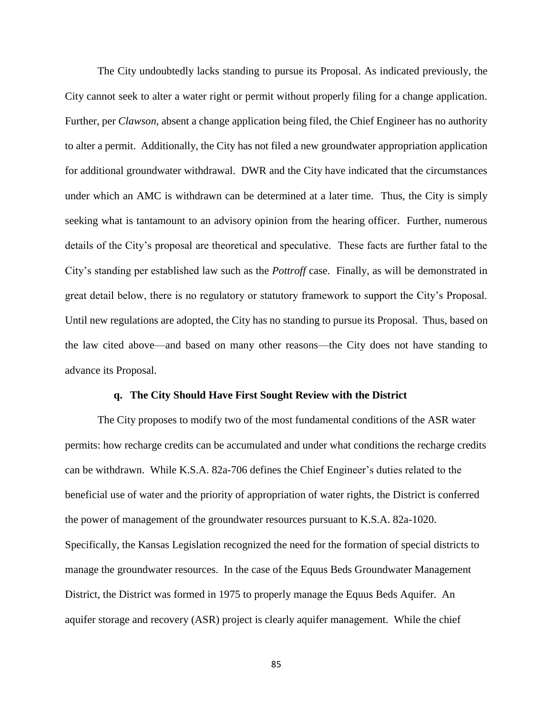The City undoubtedly lacks standing to pursue its Proposal. As indicated previously, the City cannot seek to alter a water right or permit without properly filing for a change application. Further, per *Clawson*, absent a change application being filed, the Chief Engineer has no authority to alter a permit. Additionally, the City has not filed a new groundwater appropriation application for additional groundwater withdrawal. DWR and the City have indicated that the circumstances under which an AMC is withdrawn can be determined at a later time. Thus, the City is simply seeking what is tantamount to an advisory opinion from the hearing officer. Further, numerous details of the City's proposal are theoretical and speculative. These facts are further fatal to the City's standing per established law such as the *Pottroff* case. Finally, as will be demonstrated in great detail below, there is no regulatory or statutory framework to support the City's Proposal. Until new regulations are adopted, the City has no standing to pursue its Proposal. Thus, based on the law cited above—and based on many other reasons—the City does not have standing to advance its Proposal.

#### **q. The City Should Have First Sought Review with the District**

The City proposes to modify two of the most fundamental conditions of the ASR water permits: how recharge credits can be accumulated and under what conditions the recharge credits can be withdrawn. While K.S.A. 82a-706 defines the Chief Engineer's duties related to the beneficial use of water and the priority of appropriation of water rights, the District is conferred the power of management of the groundwater resources pursuant to K.S.A. 82a-1020. Specifically, the Kansas Legislation recognized the need for the formation of special districts to manage the groundwater resources. In the case of the Equus Beds Groundwater Management District, the District was formed in 1975 to properly manage the Equus Beds Aquifer. An aquifer storage and recovery (ASR) project is clearly aquifer management. While the chief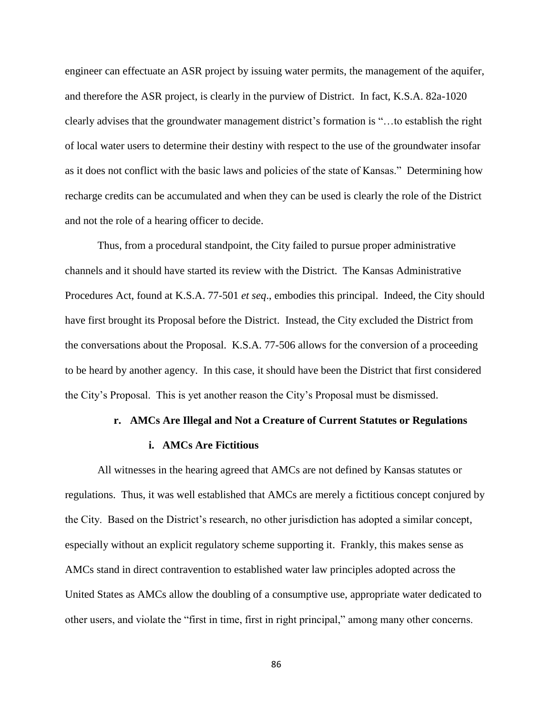engineer can effectuate an ASR project by issuing water permits, the management of the aquifer, and therefore the ASR project, is clearly in the purview of District. In fact, K.S.A. 82a-1020 clearly advises that the groundwater management district's formation is "…to establish the right of local water users to determine their destiny with respect to the use of the groundwater insofar as it does not conflict with the basic laws and policies of the state of Kansas." Determining how recharge credits can be accumulated and when they can be used is clearly the role of the District and not the role of a hearing officer to decide.

Thus, from a procedural standpoint, the City failed to pursue proper administrative channels and it should have started its review with the District. The Kansas Administrative Procedures Act, found at K.S.A. 77-501 *et seq*., embodies this principal. Indeed, the City should have first brought its Proposal before the District. Instead, the City excluded the District from the conversations about the Proposal. K.S.A. 77-506 allows for the conversion of a proceeding to be heard by another agency. In this case, it should have been the District that first considered the City's Proposal. This is yet another reason the City's Proposal must be dismissed.

### **r. AMCs Are Illegal and Not a Creature of Current Statutes or Regulations**

#### **i. AMCs Are Fictitious**

All witnesses in the hearing agreed that AMCs are not defined by Kansas statutes or regulations. Thus, it was well established that AMCs are merely a fictitious concept conjured by the City. Based on the District's research, no other jurisdiction has adopted a similar concept, especially without an explicit regulatory scheme supporting it. Frankly, this makes sense as AMCs stand in direct contravention to established water law principles adopted across the United States as AMCs allow the doubling of a consumptive use, appropriate water dedicated to other users, and violate the "first in time, first in right principal," among many other concerns.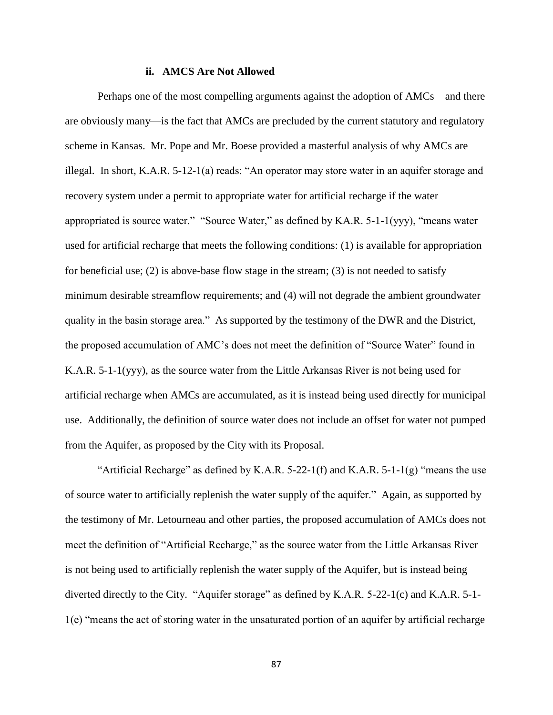### **ii. AMCS Are Not Allowed**

Perhaps one of the most compelling arguments against the adoption of AMCs—and there are obviously many—is the fact that AMCs are precluded by the current statutory and regulatory scheme in Kansas. Mr. Pope and Mr. Boese provided a masterful analysis of why AMCs are illegal. In short, K.A.R. 5-12-1(a) reads: "An operator may store water in an aquifer storage and recovery system under a permit to appropriate water for artificial recharge if the water appropriated is source water." "Source Water," as defined by KA.R. 5-1-1(yyy), "means water used for artificial recharge that meets the following conditions: (1) is available for appropriation for beneficial use; (2) is above-base flow stage in the stream; (3) is not needed to satisfy minimum desirable streamflow requirements; and (4) will not degrade the ambient groundwater quality in the basin storage area." As supported by the testimony of the DWR and the District, the proposed accumulation of AMC's does not meet the definition of "Source Water" found in K.A.R. 5-1-1(yyy), as the source water from the Little Arkansas River is not being used for artificial recharge when AMCs are accumulated, as it is instead being used directly for municipal use. Additionally, the definition of source water does not include an offset for water not pumped from the Aquifer, as proposed by the City with its Proposal.

"Artificial Recharge" as defined by K.A.R. 5-22-1(f) and K.A.R. 5-1-1(g) "means the use of source water to artificially replenish the water supply of the aquifer." Again, as supported by the testimony of Mr. Letourneau and other parties, the proposed accumulation of AMCs does not meet the definition of "Artificial Recharge," as the source water from the Little Arkansas River is not being used to artificially replenish the water supply of the Aquifer, but is instead being diverted directly to the City. "Aquifer storage" as defined by K.A.R. 5-22-1(c) and K.A.R. 5-1- 1(e) "means the act of storing water in the unsaturated portion of an aquifer by artificial recharge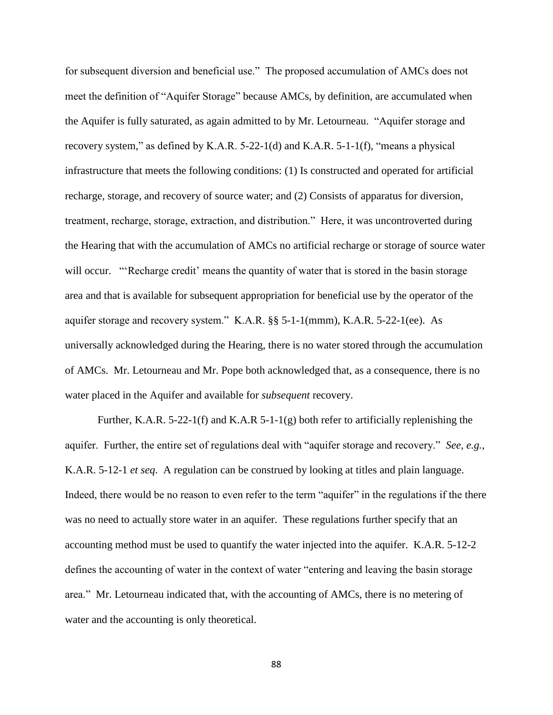for subsequent diversion and beneficial use." The proposed accumulation of AMCs does not meet the definition of "Aquifer Storage" because AMCs, by definition, are accumulated when the Aquifer is fully saturated, as again admitted to by Mr. Letourneau. "Aquifer storage and recovery system," as defined by K.A.R. 5-22-1(d) and K.A.R. 5-1-1(f), "means a physical infrastructure that meets the following conditions: (1) Is constructed and operated for artificial recharge, storage, and recovery of source water; and (2) Consists of apparatus for diversion, treatment, recharge, storage, extraction, and distribution." Here, it was uncontroverted during the Hearing that with the accumulation of AMCs no artificial recharge or storage of source water will occur. "'Recharge credit' means the quantity of water that is stored in the basin storage area and that is available for subsequent appropriation for beneficial use by the operator of the aquifer storage and recovery system." K.A.R. §§ 5-1-1(mmm), K.A.R. 5-22-1(ee). As universally acknowledged during the Hearing, there is no water stored through the accumulation of AMCs. Mr. Letourneau and Mr. Pope both acknowledged that, as a consequence, there is no water placed in the Aquifer and available for *subsequent* recovery.

Further, K.A.R. 5-22-1(f) and K.A.R 5-1-1(g) both refer to artificially replenishing the aquifer. Further, the entire set of regulations deal with "aquifer storage and recovery." *See, e.g.*, K.A.R. 5-12-1 *et seq*. A regulation can be construed by looking at titles and plain language. Indeed, there would be no reason to even refer to the term "aquifer" in the regulations if the there was no need to actually store water in an aquifer. These regulations further specify that an accounting method must be used to quantify the water injected into the aquifer. K.A.R. 5-12-2 defines the accounting of water in the context of water "entering and leaving the basin storage area." Mr. Letourneau indicated that, with the accounting of AMCs, there is no metering of water and the accounting is only theoretical.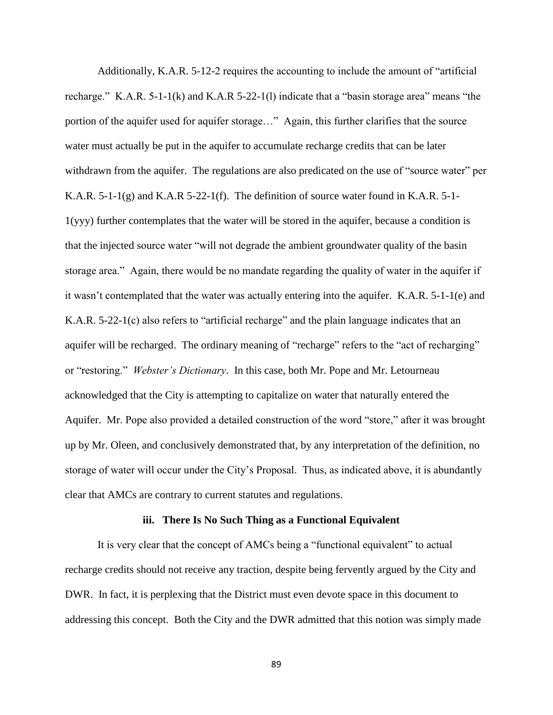Additionally, K.A.R. 5-12-2 requires the accounting to include the amount of "artificial recharge." K.A.R. 5-1-1(k) and K.A.R 5-22-1(l) indicate that a "basin storage area" means "the portion of the aquifer used for aquifer storage…" Again, this further clarifies that the source water must actually be put in the aquifer to accumulate recharge credits that can be later withdrawn from the aquifer. The regulations are also predicated on the use of "source water" per K.A.R. 5-1-1(g) and K.A.R 5-22-1(f). The definition of source water found in K.A.R. 5-1- 1(yyy) further contemplates that the water will be stored in the aquifer, because a condition is that the injected source water "will not degrade the ambient groundwater quality of the basin storage area." Again, there would be no mandate regarding the quality of water in the aquifer if it wasn't contemplated that the water was actually entering into the aquifer. K.A.R. 5-1-1(e) and K.A.R. 5-22-1(c) also refers to "artificial recharge" and the plain language indicates that an aquifer will be recharged. The ordinary meaning of "recharge" refers to the "act of recharging" or "restoring." *Webster's Dictionary*. In this case, both Mr. Pope and Mr. Letourneau acknowledged that the City is attempting to capitalize on water that naturally entered the Aquifer. Mr. Pope also provided a detailed construction of the word "store," after it was brought up by Mr. Oleen, and conclusively demonstrated that, by any interpretation of the definition, no storage of water will occur under the City's Proposal. Thus, as indicated above, it is abundantly clear that AMCs are contrary to current statutes and regulations.

#### **iii. There Is No Such Thing as a Functional Equivalent**

It is very clear that the concept of AMCs being a "functional equivalent" to actual recharge credits should not receive any traction, despite being fervently argued by the City and DWR. In fact, it is perplexing that the District must even devote space in this document to addressing this concept. Both the City and the DWR admitted that this notion was simply made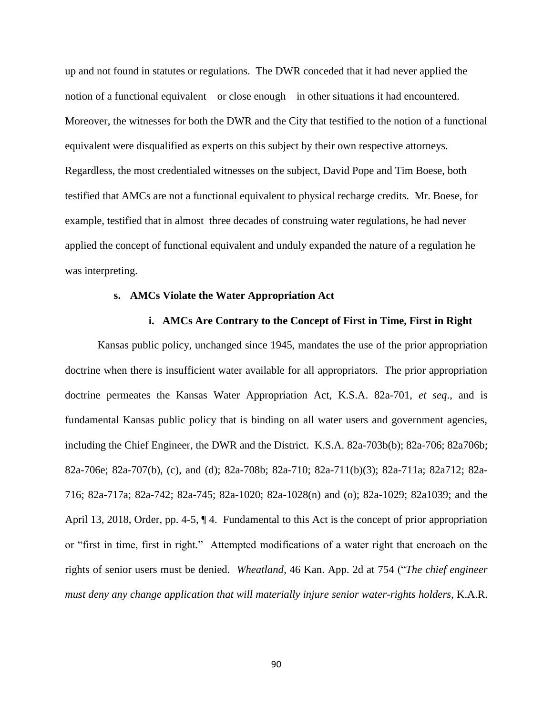up and not found in statutes or regulations. The DWR conceded that it had never applied the notion of a functional equivalent—or close enough—in other situations it had encountered. Moreover, the witnesses for both the DWR and the City that testified to the notion of a functional equivalent were disqualified as experts on this subject by their own respective attorneys. Regardless, the most credentialed witnesses on the subject, David Pope and Tim Boese, both testified that AMCs are not a functional equivalent to physical recharge credits. Mr. Boese, for example, testified that in almost three decades of construing water regulations, he had never applied the concept of functional equivalent and unduly expanded the nature of a regulation he was interpreting.

### **s. AMCs Violate the Water Appropriation Act**

### **i. AMCs Are Contrary to the Concept of First in Time, First in Right**

Kansas public policy, unchanged since 1945, mandates the use of the prior appropriation doctrine when there is insufficient water available for all appropriators. The prior appropriation doctrine permeates the Kansas Water Appropriation Act, K.S.A. 82a-701, *et seq*., and is fundamental Kansas public policy that is binding on all water users and government agencies, including the Chief Engineer, the DWR and the District. K.S.A. 82a-703b(b); 82a-706; 82a706b; 82a-706e; 82a-707(b), (c), and (d); 82a-708b; 82a-710; 82a-711(b)(3); 82a-711a; 82a712; 82a-716; 82a-717a; 82a-742; 82a-745; 82a-1020; 82a-1028(n) and (o); 82a-1029; 82a1039; and the April 13, 2018, Order, pp. 4-5, ¶ 4. Fundamental to this Act is the concept of prior appropriation or "first in time, first in right." Attempted modifications of a water right that encroach on the rights of senior users must be denied. *Wheatland*, 46 Kan. App. 2d at 754 ("*The chief engineer must deny any change application that will materially injure senior water-rights holders*, K.A.R.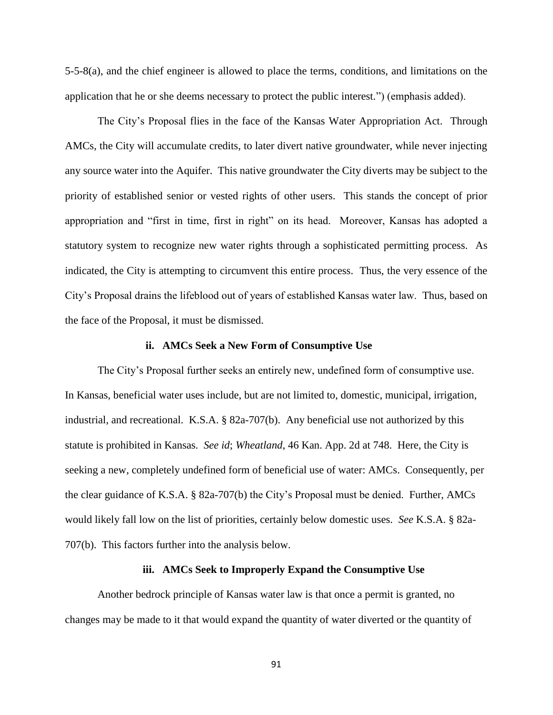5-5-8(a), and the chief engineer is allowed to place the terms, conditions, and limitations on the application that he or she deems necessary to protect the public interest.") (emphasis added).

The City's Proposal flies in the face of the Kansas Water Appropriation Act. Through AMCs, the City will accumulate credits, to later divert native groundwater, while never injecting any source water into the Aquifer. This native groundwater the City diverts may be subject to the priority of established senior or vested rights of other users. This stands the concept of prior appropriation and "first in time, first in right" on its head. Moreover, Kansas has adopted a statutory system to recognize new water rights through a sophisticated permitting process. As indicated, the City is attempting to circumvent this entire process. Thus, the very essence of the City's Proposal drains the lifeblood out of years of established Kansas water law. Thus, based on the face of the Proposal, it must be dismissed.

#### **ii. AMCs Seek a New Form of Consumptive Use**

The City's Proposal further seeks an entirely new, undefined form of consumptive use. In Kansas, beneficial water uses include, but are not limited to, domestic, municipal, irrigation, industrial, and recreational. K.S.A. § 82a-707(b). Any beneficial use not authorized by this statute is prohibited in Kansas. *See id*; *Wheatland*, 46 Kan. App. 2d at 748. Here, the City is seeking a new, completely undefined form of beneficial use of water: AMCs. Consequently, per the clear guidance of K.S.A. § 82a-707(b) the City's Proposal must be denied. Further, AMCs would likely fall low on the list of priorities, certainly below domestic uses. *See* K.S.A. § 82a-707(b). This factors further into the analysis below.

# **iii. AMCs Seek to Improperly Expand the Consumptive Use**

Another bedrock principle of Kansas water law is that once a permit is granted, no changes may be made to it that would expand the quantity of water diverted or the quantity of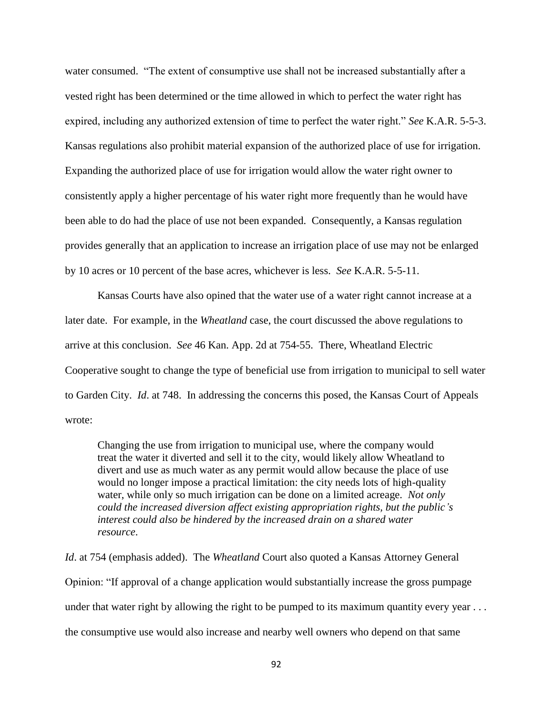water consumed. "The extent of consumptive use shall not be increased substantially after a vested right has been determined or the time allowed in which to perfect the water right has expired, including any authorized extension of time to perfect the water right." *See* K.A.R. 5-5-3. Kansas regulations also prohibit material expansion of the authorized place of use for irrigation. Expanding the authorized place of use for irrigation would allow the water right owner to consistently apply a higher percentage of his water right more frequently than he would have been able to do had the place of use not been expanded. Consequently, a Kansas regulation provides generally that an application to increase an irrigation place of use may not be enlarged by 10 acres or 10 percent of the base acres, whichever is less. *See* K.A.R. 5-5-11.

Kansas Courts have also opined that the water use of a water right cannot increase at a later date. For example, in the *Wheatland* case, the court discussed the above regulations to arrive at this conclusion. *See* 46 Kan. App. 2d at 754-55. There, Wheatland Electric Cooperative sought to change the type of beneficial use from irrigation to municipal to sell water to Garden City. *Id*. at 748. In addressing the concerns this posed, the Kansas Court of Appeals wrote:

Changing the use from irrigation to municipal use, where the company would treat the water it diverted and sell it to the city, would likely allow Wheatland to divert and use as much water as any permit would allow because the place of use would no longer impose a practical limitation: the city needs lots of high-quality water, while only so much irrigation can be done on a limited acreage. *Not only could the increased diversion affect existing appropriation rights, but the public's interest could also be hindered by the increased drain on a shared water resource*.

*Id*. at 754 (emphasis added). The *Wheatland* Court also quoted a Kansas Attorney General Opinion: "If approval of a change application would substantially increase the gross pumpage under that water right by allowing the right to be pumped to its maximum quantity every year ... the consumptive use would also increase and nearby well owners who depend on that same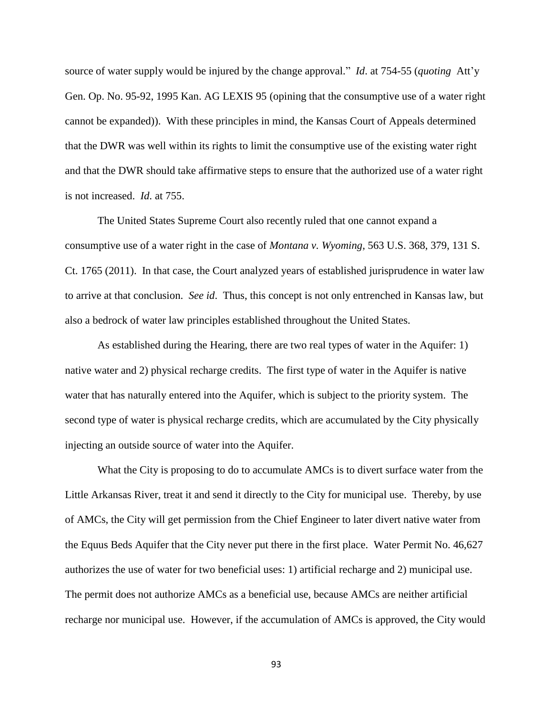source of water supply would be injured by the change approval." *Id*. at 754-55 (*quoting* Att'y Gen. Op. No. 95-92, 1995 Kan. AG LEXIS 95 (opining that the consumptive use of a water right cannot be expanded)). With these principles in mind, the Kansas Court of Appeals determined that the DWR was well within its rights to limit the consumptive use of the existing water right and that the DWR should take affirmative steps to ensure that the authorized use of a water right is not increased. *Id*. at 755.

The United States Supreme Court also recently ruled that one cannot expand a consumptive use of a water right in the case of *Montana v. Wyoming*, 563 U.S. 368, 379, 131 S. Ct. 1765 (2011). In that case, the Court analyzed years of established jurisprudence in water law to arrive at that conclusion. *See id*. Thus, this concept is not only entrenched in Kansas law, but also a bedrock of water law principles established throughout the United States.

As established during the Hearing, there are two real types of water in the Aquifer: 1) native water and 2) physical recharge credits. The first type of water in the Aquifer is native water that has naturally entered into the Aquifer, which is subject to the priority system. The second type of water is physical recharge credits, which are accumulated by the City physically injecting an outside source of water into the Aquifer.

What the City is proposing to do to accumulate AMCs is to divert surface water from the Little Arkansas River, treat it and send it directly to the City for municipal use. Thereby, by use of AMCs, the City will get permission from the Chief Engineer to later divert native water from the Equus Beds Aquifer that the City never put there in the first place. Water Permit No. 46,627 authorizes the use of water for two beneficial uses: 1) artificial recharge and 2) municipal use. The permit does not authorize AMCs as a beneficial use, because AMCs are neither artificial recharge nor municipal use. However, if the accumulation of AMCs is approved, the City would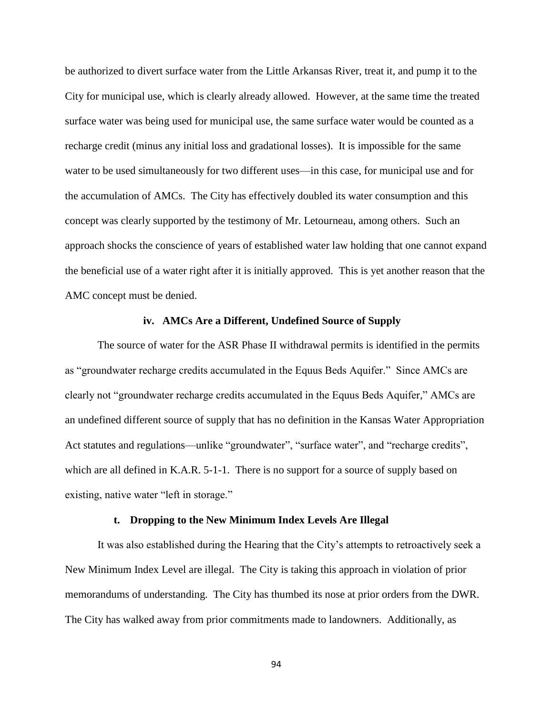be authorized to divert surface water from the Little Arkansas River, treat it, and pump it to the City for municipal use, which is clearly already allowed. However, at the same time the treated surface water was being used for municipal use, the same surface water would be counted as a recharge credit (minus any initial loss and gradational losses). It is impossible for the same water to be used simultaneously for two different uses—in this case, for municipal use and for the accumulation of AMCs. The City has effectively doubled its water consumption and this concept was clearly supported by the testimony of Mr. Letourneau, among others. Such an approach shocks the conscience of years of established water law holding that one cannot expand the beneficial use of a water right after it is initially approved. This is yet another reason that the AMC concept must be denied.

#### **iv. AMCs Are a Different, Undefined Source of Supply**

The source of water for the ASR Phase II withdrawal permits is identified in the permits as "groundwater recharge credits accumulated in the Equus Beds Aquifer." Since AMCs are clearly not "groundwater recharge credits accumulated in the Equus Beds Aquifer," AMCs are an undefined different source of supply that has no definition in the Kansas Water Appropriation Act statutes and regulations—unlike "groundwater", "surface water", and "recharge credits", which are all defined in K.A.R. 5-1-1. There is no support for a source of supply based on existing, native water "left in storage."

#### **t. Dropping to the New Minimum Index Levels Are Illegal**

It was also established during the Hearing that the City's attempts to retroactively seek a New Minimum Index Level are illegal. The City is taking this approach in violation of prior memorandums of understanding. The City has thumbed its nose at prior orders from the DWR. The City has walked away from prior commitments made to landowners. Additionally, as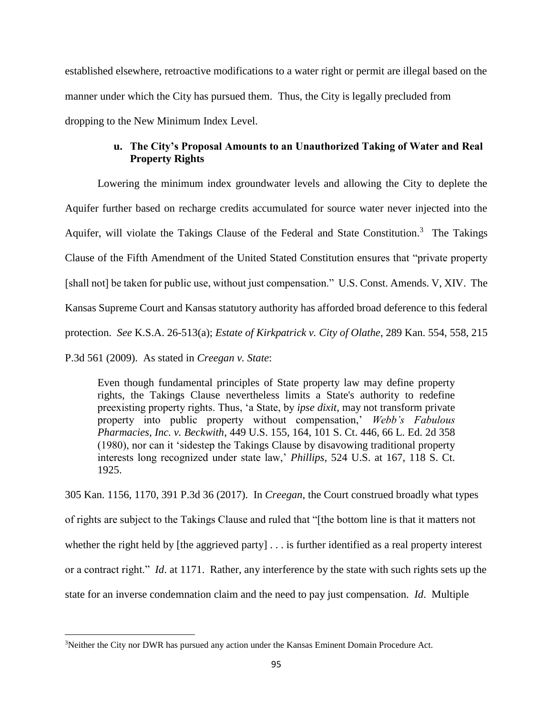established elsewhere, retroactive modifications to a water right or permit are illegal based on the manner under which the City has pursued them. Thus, the City is legally precluded from dropping to the New Minimum Index Level.

# **u. The City's Proposal Amounts to an Unauthorized Taking of Water and Real Property Rights**

Lowering the minimum index groundwater levels and allowing the City to deplete the Aquifer further based on recharge credits accumulated for source water never injected into the Aquifer, will violate the Takings Clause of the Federal and State Constitution.<sup>3</sup> The Takings Clause of the Fifth Amendment of the United Stated Constitution ensures that "private property [shall not] be taken for public use, without just compensation." U.S. Const. Amends. V, XIV. The Kansas Supreme Court and Kansas statutory authority has afforded broad deference to this federal protection. *See* K.S.A. 26-513(a); *Estate of Kirkpatrick v. City of Olathe*, 289 Kan. 554, 558, 215 P.3d 561 (2009). As stated in *Creegan v. State*:

Even though fundamental principles of State property law may define property rights, the Takings Clause nevertheless limits a State's authority to redefine preexisting property rights. Thus, 'a State, by *ipse dixit*, may not transform private property into public property without compensation,' *Webb's Fabulous Pharmacies, Inc. v. Beckwith*, 449 U.S. 155, 164, 101 S. Ct. 446, 66 L. Ed. 2d 358 (1980), nor can it 'sidestep the Takings Clause by disavowing traditional property interests long recognized under state law,' *Phillips*, 524 U.S. at 167, 118 S. Ct. 1925.

[305 Kan. 1156, 1170, 391 P.3d 36 \(2017\).](https://advance.lexis.com/api/document/collection/cases/id/5N59-21F1-F04G-D01W-00000-00?page=1170&reporter=3160&context=1000516) In *Creegan*, the Court construed broadly what types of rights are subject to the Takings Clause and ruled that "[the bottom line is that it matters not whether the right held by [the aggrieved party] . . . is further identified as a real property interest or a contract right." *Id*. at 1171. Rather, any interference by the state with such rights sets up the state for an inverse condemnation claim and the need to pay just compensation. *Id*. Multiple

 $\overline{\phantom{a}}$ 

<sup>&</sup>lt;sup>3</sup>Neither the City nor DWR has pursued any action under the Kansas Eminent Domain Procedure Act.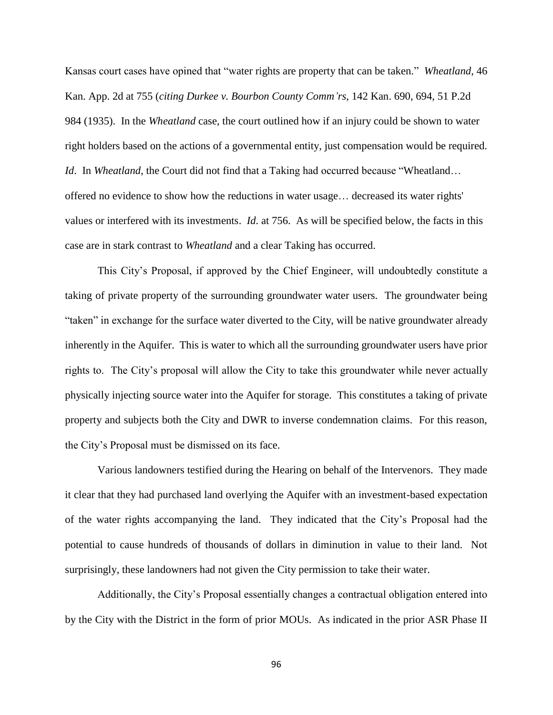Kansas court cases have opined that "water rights are property that can be taken." *Wheatland*, 46 Kan. App. 2d at 755 (*citing Durkee v. Bourbon County Comm'rs*, 142 Kan. 690, 694, 51 P.2d 984 (1935). In the *Wheatland* case, the court outlined how if an injury could be shown to water right holders based on the actions of a governmental entity, just compensation would be required. *Id*. In *Wheatland*, the Court did not find that a Taking had occurred because "Wheatland… offered no evidence to show how the reductions in water usage… decreased its water rights' values or interfered with its investments. *Id*. at 756. As will be specified below, the facts in this case are in stark contrast to *Wheatland* and a clear Taking has occurred.

This City's Proposal, if approved by the Chief Engineer, will undoubtedly constitute a taking of private property of the surrounding groundwater water users. The groundwater being "taken" in exchange for the surface water diverted to the City, will be native groundwater already inherently in the Aquifer. This is water to which all the surrounding groundwater users have prior rights to. The City's proposal will allow the City to take this groundwater while never actually physically injecting source water into the Aquifer for storage. This constitutes a taking of private property and subjects both the City and DWR to inverse condemnation claims. For this reason, the City's Proposal must be dismissed on its face.

Various landowners testified during the Hearing on behalf of the Intervenors. They made it clear that they had purchased land overlying the Aquifer with an investment-based expectation of the water rights accompanying the land. They indicated that the City's Proposal had the potential to cause hundreds of thousands of dollars in diminution in value to their land. Not surprisingly, these landowners had not given the City permission to take their water.

Additionally, the City's Proposal essentially changes a contractual obligation entered into by the City with the District in the form of prior MOUs. As indicated in the prior ASR Phase II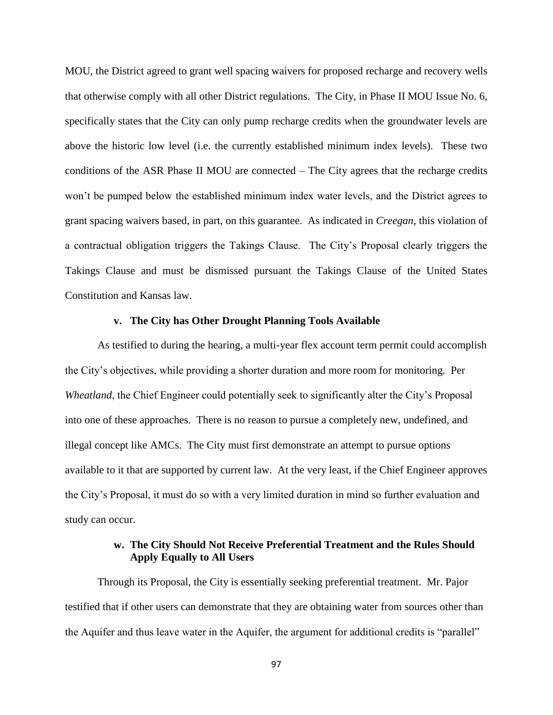MOU, the District agreed to grant well spacing waivers for proposed recharge and recovery wells that otherwise comply with all other District regulations. The City, in Phase II MOU Issue No. 6, specifically states that the City can only pump recharge credits when the groundwater levels are above the historic low level (i.e. the currently established minimum index levels). These two conditions of the ASR Phase II MOU are connected – The City agrees that the recharge credits won't be pumped below the established minimum index water levels, and the District agrees to grant spacing waivers based, in part, on this guarantee. As indicated in *Creegan*, this violation of a contractual obligation triggers the Takings Clause. The City's Proposal clearly triggers the Takings Clause and must be dismissed pursuant the Takings Clause of the United States Constitution and Kansas law.

### **v. The City has Other Drought Planning Tools Available**

As testified to during the hearing, a multi-year flex account term permit could accomplish the City's objectives, while providing a shorter duration and more room for monitoring. Per *Wheatland*, the Chief Engineer could potentially seek to significantly alter the City's Proposal into one of these approaches. There is no reason to pursue a completely new, undefined, and illegal concept like AMCs. The City must first demonstrate an attempt to pursue options available to it that are supported by current law. At the very least, if the Chief Engineer approves the City's Proposal, it must do so with a very limited duration in mind so further evaluation and study can occur.

# **w. The City Should Not Receive Preferential Treatment and the Rules Should Apply Equally to All Users**

Through its Proposal, the City is essentially seeking preferential treatment. Mr. Pajor testified that if other users can demonstrate that they are obtaining water from sources other than the Aquifer and thus leave water in the Aquifer, the argument for additional credits is "parallel"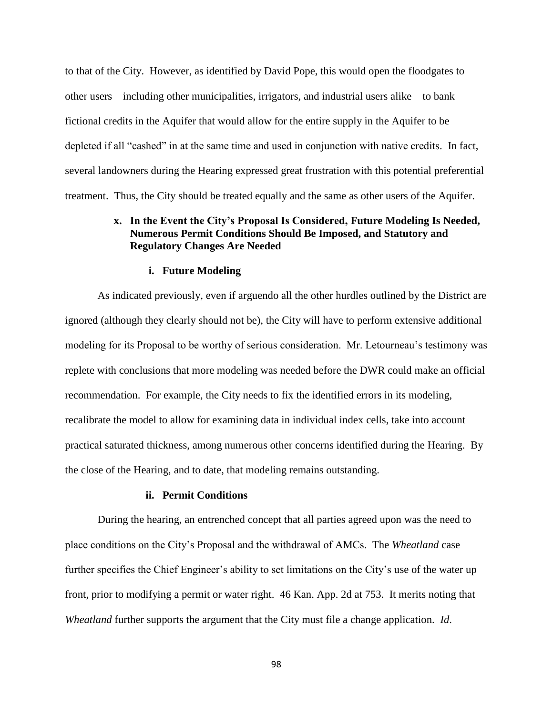to that of the City. However, as identified by David Pope, this would open the floodgates to other users—including other municipalities, irrigators, and industrial users alike—to bank fictional credits in the Aquifer that would allow for the entire supply in the Aquifer to be depleted if all "cashed" in at the same time and used in conjunction with native credits. In fact, several landowners during the Hearing expressed great frustration with this potential preferential treatment. Thus, the City should be treated equally and the same as other users of the Aquifer.

# **x. In the Event the City's Proposal Is Considered, Future Modeling Is Needed, Numerous Permit Conditions Should Be Imposed, and Statutory and Regulatory Changes Are Needed**

#### **i. Future Modeling**

As indicated previously, even if arguendo all the other hurdles outlined by the District are ignored (although they clearly should not be), the City will have to perform extensive additional modeling for its Proposal to be worthy of serious consideration. Mr. Letourneau's testimony was replete with conclusions that more modeling was needed before the DWR could make an official recommendation. For example, the City needs to fix the identified errors in its modeling, recalibrate the model to allow for examining data in individual index cells, take into account practical saturated thickness, among numerous other concerns identified during the Hearing. By the close of the Hearing, and to date, that modeling remains outstanding.

#### **ii. Permit Conditions**

During the hearing, an entrenched concept that all parties agreed upon was the need to place conditions on the City's Proposal and the withdrawal of AMCs. The *Wheatland* case further specifies the Chief Engineer's ability to set limitations on the City's use of the water up front, prior to modifying a permit or water right. 46 Kan. App. 2d at 753. It merits noting that *Wheatland* further supports the argument that the City must file a change application. *Id*.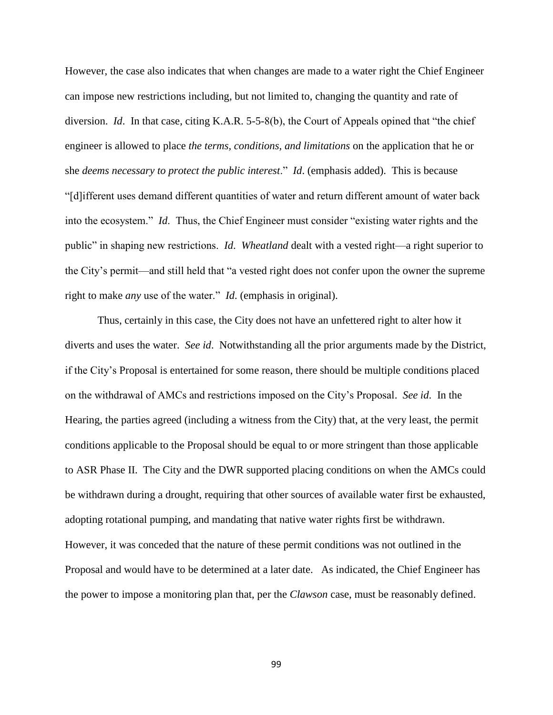However, the case also indicates that when changes are made to a water right the Chief Engineer can impose new restrictions including, but not limited to, changing the quantity and rate of diversion. *Id*. In that case, citing K.A.R. 5-5-8(b), the Court of Appeals opined that "the chief engineer is allowed to place *the terms, conditions, and limitations* on the application that he or she *deems necessary to protect the public interest*." *Id*. (emphasis added). This is because "[d]ifferent uses demand different quantities of water and return different amount of water back into the ecosystem." *Id*. Thus, the Chief Engineer must consider "existing water rights and the public" in shaping new restrictions. *Id*. *Wheatland* dealt with a vested right—a right superior to the City's permit—and still held that "a vested right does not confer upon the owner the supreme right to make *any* use of the water." *Id*. (emphasis in original).

Thus, certainly in this case, the City does not have an unfettered right to alter how it diverts and uses the water. *See id*. Notwithstanding all the prior arguments made by the District, if the City's Proposal is entertained for some reason, there should be multiple conditions placed on the withdrawal of AMCs and restrictions imposed on the City's Proposal. *See id*. In the Hearing, the parties agreed (including a witness from the City) that, at the very least, the permit conditions applicable to the Proposal should be equal to or more stringent than those applicable to ASR Phase II. The City and the DWR supported placing conditions on when the AMCs could be withdrawn during a drought, requiring that other sources of available water first be exhausted, adopting rotational pumping, and mandating that native water rights first be withdrawn. However, it was conceded that the nature of these permit conditions was not outlined in the Proposal and would have to be determined at a later date. As indicated, the Chief Engineer has the power to impose a monitoring plan that, per the *Clawson* case, must be reasonably defined.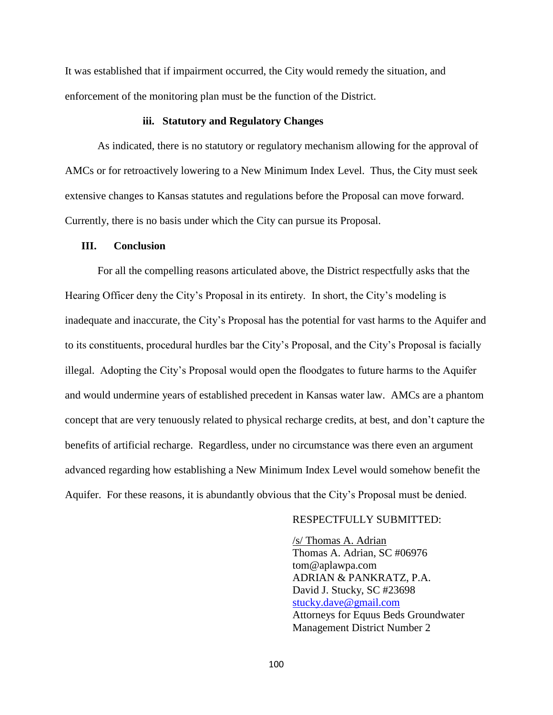It was established that if impairment occurred, the City would remedy the situation, and enforcement of the monitoring plan must be the function of the District.

# **iii. Statutory and Regulatory Changes**

As indicated, there is no statutory or regulatory mechanism allowing for the approval of AMCs or for retroactively lowering to a New Minimum Index Level. Thus, the City must seek extensive changes to Kansas statutes and regulations before the Proposal can move forward. Currently, there is no basis under which the City can pursue its Proposal.

#### **III. Conclusion**

For all the compelling reasons articulated above, the District respectfully asks that the Hearing Officer deny the City's Proposal in its entirety. In short, the City's modeling is inadequate and inaccurate, the City's Proposal has the potential for vast harms to the Aquifer and to its constituents, procedural hurdles bar the City's Proposal, and the City's Proposal is facially illegal. Adopting the City's Proposal would open the floodgates to future harms to the Aquifer and would undermine years of established precedent in Kansas water law. AMCs are a phantom concept that are very tenuously related to physical recharge credits, at best, and don't capture the benefits of artificial recharge. Regardless, under no circumstance was there even an argument advanced regarding how establishing a New Minimum Index Level would somehow benefit the Aquifer. For these reasons, it is abundantly obvious that the City's Proposal must be denied.

#### RESPECTFULLY SUBMITTED:

/s/ Thomas A. Adrian Thomas A. Adrian, SC #06976 tom@aplawpa.com ADRIAN & PANKRATZ, P.A. David J. Stucky, SC #23698 [stucky.dave@gmail.com](mailto:dave@aplawpa.com) Attorneys for Equus Beds Groundwater Management District Number 2